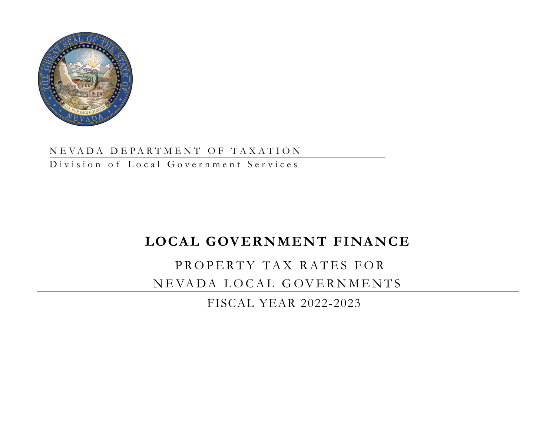

### NEVADA DEPARTMENT OF TAXATION

Division of Local Government Services

# **LOCAL GOVERNMENT FINANCE**

# PROPERTY TAX RATES FOR NEVADA LOCAL GOVERNMENTS

FISCAL YEAR 2022-2023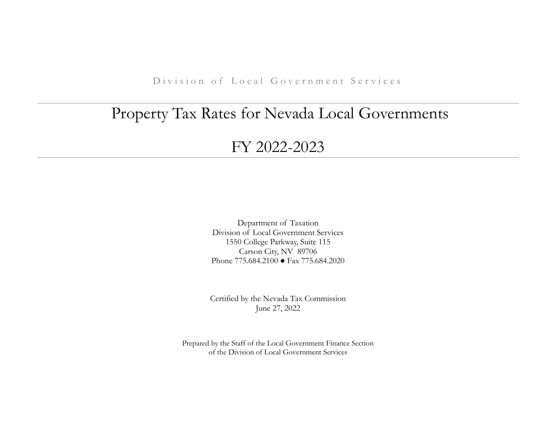D ivision of Local Government Services

# Property Tax Rates for Nevada Local Governments

## FY 2022-2023

Department of Taxation Division of Local Government Services 1550 College Parkway, Suite 115 Carson City, NV 89706 Phone 775.684.2100 ● Fax 775.684.2020

Certified by the Nevada Tax Commission June 27, 2022

Prepared by the Staff of the Local Government Finance Section of the Division of Local Government Services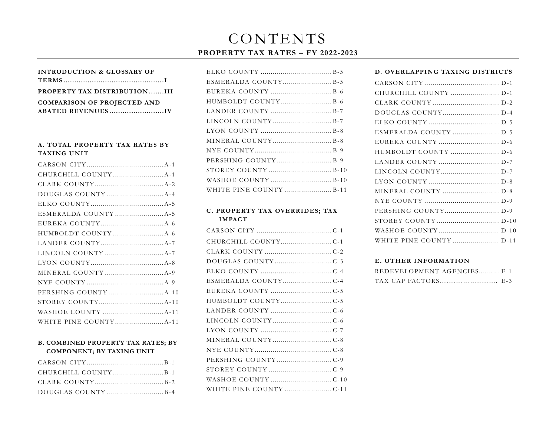# CONTENTS

### **PROPERTY TAX RATES – FY 2022-2023**

| <b>INTRODUCTION &amp; GLOSSARY OF</b> |  |
|---------------------------------------|--|
|                                       |  |
| PROPERTY TAX DISTRIBUTIONIII          |  |
| <b>COMPARISON OF PROJECTED AND</b>    |  |
|                                       |  |

### **A. TOTAL PROPERTY TAX RATES BY TAXING UNIT**

### **B. COMBINED PROPERTY TAX RATES; BY COMPONENT; BY TAXING UNIT**

| DOUGLAS COUNTY $\ldots$ |  |
|-------------------------|--|

| LANDER COUNTY  B-7      |
|-------------------------|
|                         |
|                         |
| MINERAL COUNTY B-8      |
|                         |
|                         |
| STOREY COUNTY  B-10     |
|                         |
| WHITE PINE COUNTY  B-11 |

### **C . PROPERTY TAX OVERRIDES; TAX IMPACT**

| HUMBOLDT COUNTYC-5 |  |
|--------------------|--|
|                    |  |
|                    |  |
|                    |  |
|                    |  |
|                    |  |
|                    |  |
|                    |  |
|                    |  |
|                    |  |

### **D. OVERLAPPING TAXING DISTRICTS**

### **E. OTHER INFORMATION**

| REDEVELOPMENT AGENCIES E-1 |  |
|----------------------------|--|
| TAX CAP FACTORS E-3        |  |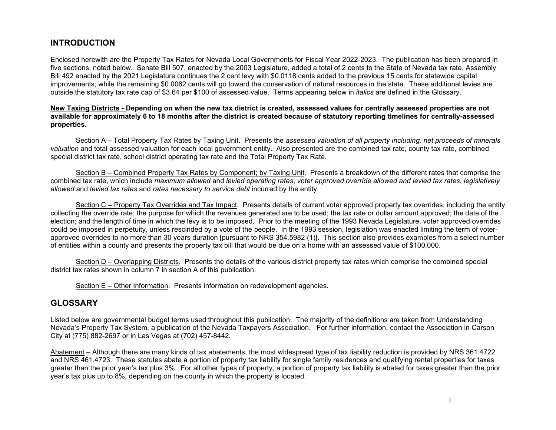### **INTRODUCTION**

Enclosed herewith are the Property Tax Rates for Nevada Local Governments for Fiscal Year 2022-2023. The publication has been prepared in five sections, noted below. Senate Bill 507, enacted by the 2003 Legislature, added a total of 2 cents to the State of Nevada tax rate. Assembly Bill 492 enacted by the 2021 Legislature continues the 2 cent levy with \$0.0118 cents added to the previous 15 cents for statewide capital improvements; while the remaining \$0.0082 cents will go toward the conservation of natural resources in the state. These additional levies are outside the statutory tax rate cap of \$3.64 per \$100 of assessed value.Terms appearing below in *italics* are defined in the Glossary.

### **New Taxing Districts - Depending on when the new tax district is created, assessed values for centrally assessed properties are not available for approximately 6 to 18 months after the district is created because of statutory reporting timelines for centrally-assessed properties.**

Section A – Total Property Tax Rates by Taxing Unit. Presents the *assessed valuation of all property including, net proceeds of minerals valuation* and total assessed valuation for each local government entity. Also presented are the combined tax rate, county tax rate, combined special district tax rate, school district operating tax rate and the Total Property Tax Rate.

Section B – Combined Property Tax Rates by Component; by Taxing Unit. Presents a breakdown of the different rates that comprise the combined tax rate, which include *maximum allowed* and *levied operating rates*, *voter approved override allowed and levied tax rates*, *legislatively allowed* and *levied tax rates* and *rates necessary to service debt* incurred by the entity.

Section C – Property Tax Overrides and Tax Impact. Presents details of current voter approved property tax overrides, including the entity collecting the override rate; the purpose for which the revenues generated are to be used; the tax rate or dollar amount approved; the date of the election; and the length of time in which the levy is to be imposed. Prior to the meeting of the 1993 Nevada Legislature, voter approved overrides could be imposed in perpetuity, unless rescinded by a vote of the people. In the 1993 session, legislation was enacted limiting the term of voterapproved overrides to no more than 30 years duration [pursuant to NRS 354.5982 (1)]. This section also provides examples from a select number of entities within a county and presents the property tax bill that would be due on a home with an assessed value of \$100,000.

Section D – Overlapping Districts. Presents the details of the various district property tax rates which comprise the combined special district tax rates shown in column 7 in section A of this publication.

Section E – Other Information. Presents information on redevelopment agencies.

### **GLOSSARY**

Listed below are governmental budget terms used throughout this publication. The majority of the definitions are taken from Understanding Nevada's Property Tax System, a publication of the Nevada Taxpayers Association. For further information, contact the Association in Carson City at (775) 882-2697 or in Las Vegas at (702) 457-8442.

Abatement – Although there are many kinds of tax abatements, the most widespread type of tax liability reduction is provided by NRS 361.4722 and NRS 461.4723. These statutes abate a portion of property tax liability for single family residences and qualifying rental properties for taxes greater than the prior year's tax plus 3%. For all other types of property, a portion of property tax liability is abated for taxes greater than the prior year's tax plus up to 8%, depending on the county in which the property is located.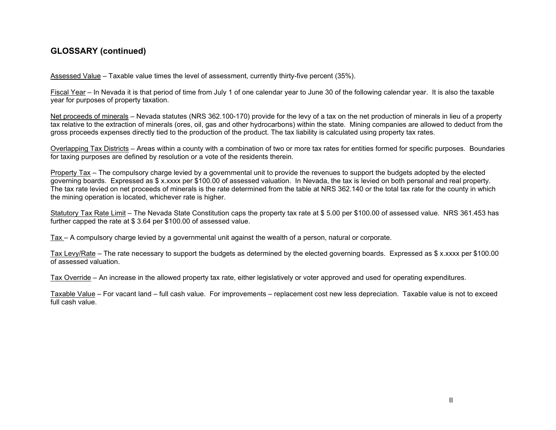### **GLOSSARY (continued)**

Assessed Value – Taxable value times the level of assessment, currently thirty-five percent (35%).

Fiscal Year – In Nevada it is that period of time from July 1 of one calendar year to June 30 of the following calendar year. It is also the taxable year for purposes of property taxation.

Net proceeds of minerals – Nevada statutes (NRS 362.100-170) provide for the levy of a tax on the net production of minerals in lieu of a property tax relative to the extraction of minerals (ores, oil, gas and other hydrocarbons) within the state. Mining companies are allowed to deduct from the gross proceeds expenses directly tied to the production of the product. The tax liability is calculated using property tax rates.

Overlapping Tax Districts – Areas within a county with a combination of two or more tax rates for entities formed for specific purposes. Boundaries for taxing purposes are defined by resolution or a vote of the residents therein.

Property Tax – The compulsory charge levied by a governmental unit to provide the revenues to support the budgets adopted by the elected governing boards. Expressed as \$ x.xxxx per \$100.00 of assessed valuation. In Nevada, the tax is levied on both personal and real property. The tax rate levied on net proceeds of minerals is the rate determined from the table at NRS 362.140 or the total tax rate for the county in which the mining operation is located, whichever rate is higher.

Statutory Tax Rate Limit – The Nevada State Constitution caps the property tax rate at \$ 5.00 per \$100.00 of assessed value. NRS 361.453 has further capped the rate at \$ 3.64 per \$100.00 of assessed value.

Tax – A compulsory charge levied by a governmental unit against the wealth of a person, natural or corporate.

Tax Levy/Rate – The rate necessary to support the budgets as determined by the elected governing boards. Expressed as \$ x.xxxx per \$100.00 of assessed valuation.

Tax Override – An increase in the allowed property tax rate, either legislatively or voter approved and used for operating expenditures.

Taxable Value – For vacant land – full cash value. For improvements – replacement cost new less depreciation. Taxable value is not to exceed full cash value.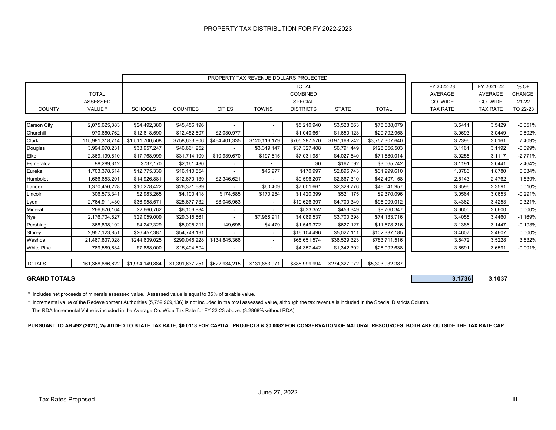|                    |                 |                 |                 |                          |                | PROPERTY TAX REVENUE DOLLARS PROJECTED |               |                 |                 |                 |               |
|--------------------|-----------------|-----------------|-----------------|--------------------------|----------------|----------------------------------------|---------------|-----------------|-----------------|-----------------|---------------|
|                    |                 |                 |                 |                          |                | <b>TOTAL</b>                           |               |                 | FY 2022-23      | FY 2021-22      | % OF          |
|                    | <b>TOTAL</b>    |                 |                 |                          |                | <b>COMBINED</b>                        |               |                 | <b>AVERAGE</b>  | <b>AVERAGE</b>  | <b>CHANGE</b> |
|                    | <b>ASSESSED</b> |                 |                 |                          |                | <b>SPECIAL</b>                         |               |                 | CO. WIDE        | CO. WIDE        | $21 - 22$     |
| <b>COUNTY</b>      | VALUE *         | <b>SCHOOLS</b>  | <b>COUNTIES</b> | <b>CITIES</b>            | <b>TOWNS</b>   | <b>DISTRICTS</b>                       | <b>STATE</b>  | <b>TOTAL</b>    | <b>TAX RATE</b> | <b>TAX RATE</b> | TO 22-23      |
|                    |                 |                 |                 |                          |                |                                        |               |                 |                 |                 |               |
| <b>Carson City</b> | 2,075,625,383   | \$24,492,380    | \$45,456,196    |                          |                | \$5,210,940                            | \$3,528,563   | \$78,688,079    | 3.5411          | 3.5429          | $-0.051%$     |
| Churchill          | 970,660,762     | \$12,618,590    | \$12,452,607    | \$2,030,977              |                | \$1,040,661                            | \$1,650,123   | \$29,792,958    | 3.0693          | 3.0449          | 0.802%        |
| Clark              | 115,981,318,714 | \$1,511,700,508 | \$758,633,806   | \$464,401,335            | \$120,116,179  | \$705,287,570                          | \$197,168,242 | \$3,757,307,640 | 3.2396          | 3.0161          | 7.409%        |
| Douglas            | 3,994,970,231   | \$33,957,247    | \$46,661,252    |                          | \$3,319,147    | \$37,327,408                           | \$6,791,449   | \$128,056,503   | 3.1161          | 3.1192          | $-0.099%$     |
| Elko               | 2,369,199,810   | \$17,768,999    | \$31,714,109    | \$10,939,670             | \$197,615      | \$7,031,981                            | \$4,027,640   | \$71,680,014    | 3.0255          | 3.1117          | $-2.771%$     |
| Esmeralda          | 98,289,312      | \$737,170       | \$2,161,480     |                          | $\blacksquare$ | \$0                                    | \$167,092     | \$3,065,742     | 3.1191          | 3.0441          | 2.464%        |
| Eureka             | 1,703,378,514   | \$12,775,339    | \$16,110,554    |                          | \$46,977       | \$170,997                              | \$2,895,743   | \$31,999,610    | 1.8786          | 1.8780          | 0.034%        |
| Humboldt           | 1,686,653,201   | \$14,926,881    | \$12,670,139    | \$2,346,621              |                | \$9,596,207                            | \$2,867,310   | \$42,407,158    | 2.5143          | 2.4762          | 1.539%        |
| Lander             | 1,370,456,228   | \$10,278,422    | \$26,371,689    |                          | \$60,409       | \$7,001,661                            | \$2,329,776   | \$46,041,957    | 3.3596          | 3.3591          | 0.016%        |
| Lincoln            | 306,573,341     | \$2,983,265     | \$4,100,418     | \$174,585                | \$170,254      | \$1,420,399                            | \$521,175     | \$9,370,096     | 3.0564          | 3.0653          | $-0.291%$     |
| Lyon               | 2,764,911,430   | \$36,958,571    | \$25,677,732    | \$8,045,963              | $\sim$         | \$19,626,397                           | \$4,700,349   | \$95,009,012    | 3.4362          | 3.4253          | 0.321%        |
| Mineral            | 266,676,164     | \$2,666,762     | \$6,106,884     | $\overline{\phantom{a}}$ | $\sim$         | \$533,352                              | \$453,349     | \$9,760,347     | 3.6600          | 3.6600          | 0.000%        |
| Nye                | 2,176,704,827   | \$29,059,009    | \$29,315,861    |                          | \$7,968,911    | \$4,089,537                            | \$3,700,398   | \$74,133,716    | 3.4058          | 3.4460          | $-1.169%$     |
| Pershing           | 368,898,192     | \$4,242,329     | \$5,005,211     | 149,698                  | \$4,479        | \$1,549,372                            | \$627,127     | \$11,578,216    | 3.1386          | 3.1447          | $-0.193%$     |
| Storey             | 2,957,123,851   | \$26,457,387    | \$54,748,191    |                          | $\sim$         | \$16,104,496                           | \$5,027,111   | \$102,337,185   | 3.4607          | 3.4607          | 0.000%        |
| Washoe             | 21,487,837,028  | \$244,639,025   | \$299,046,228   | \$134,845,366            | $\sim$         | \$68,651,574                           | \$36,529,323  | \$783,711,516   | 3.6472          | 3.5228          | 3.532%        |
| <b>White Pine</b>  | 789,589,634     | \$7,888,000     | \$15,404,894    |                          | $\blacksquare$ | \$4,357,442                            | \$1,342,302   | \$28,992,638    | 3.6591          | 3.6591          | $-0.001%$     |
|                    |                 |                 |                 |                          |                |                                        |               |                 |                 |                 |               |
| <b>TOTALS</b>      | 161,368,866,622 | \$1,994,149,884 | \$1,391,637,251 | \$622,934,215            | \$131,883,971  | \$888,999,994                          | \$274,327,072 | \$5,303,932,387 |                 |                 |               |

### **GRAND TOTALS 3.1736 3.1037**

\* Includes net proceeds of minerals assessed value. Assessed value is equal to 35% of taxable value.

**\*** Incremental value of the Redevelopment Authorities (5,759,969,136) is not included in the total assessed value, although the tax revenue is included in the Special Districts Column. The RDA Incremental Value is included in the Average Co. Wide Tax Rate for FY 22-23 above. (3.2868% without RDA)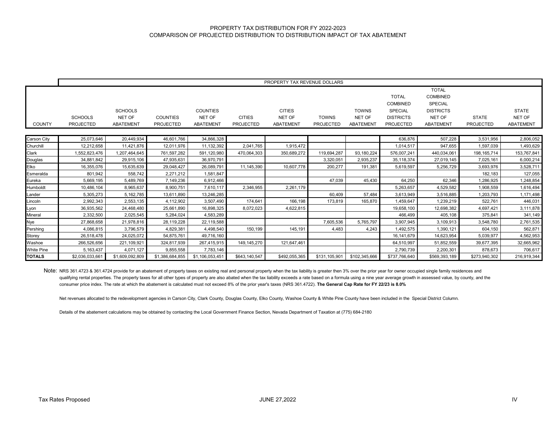### PROPERTY TAX DISTRIBUTION FOR FY 2022-2023 COMPARISON OF PROJECTED DISTRIBUTION TO DISTRIBUTION IMPACT OF TAX ABATEMENT

|                   | PROPERTY TAX REVENUE DOLLARS       |                                              |                              |                                               |                                   |                                             |                                  |                                            |                                                                                           |                                                                                                     |                                  |                                            |
|-------------------|------------------------------------|----------------------------------------------|------------------------------|-----------------------------------------------|-----------------------------------|---------------------------------------------|----------------------------------|--------------------------------------------|-------------------------------------------------------------------------------------------|-----------------------------------------------------------------------------------------------------|----------------------------------|--------------------------------------------|
| <b>COUNTY</b>     | <b>SCHOOLS</b><br><b>PROJECTED</b> | <b>SCHOOLS</b><br>NET OF<br><b>ABATEMENT</b> | <b>COUNTIES</b><br>PROJECTED | <b>COUNTIES</b><br>NET OF<br><b>ABATEMENT</b> | <b>CITIES</b><br><b>PROJECTED</b> | <b>CITIES</b><br>NET OF<br><b>ABATEMENT</b> | <b>TOWNS</b><br><b>PROJECTED</b> | <b>TOWNS</b><br>NET OF<br><b>ABATEMENT</b> | <b>TOTAL</b><br><b>COMBINED</b><br><b>SPECIAL</b><br><b>DISTRICTS</b><br><b>PROJECTED</b> | <b>TOTAL</b><br><b>COMBINED</b><br><b>SPECIAL</b><br><b>DISTRICTS</b><br>NET OF<br><b>ABATEMENT</b> | <b>STATE</b><br><b>PROJECTED</b> | <b>STATE</b><br>NET OF<br><b>ABATEMENT</b> |
| Carson City       | 25,073,646                         | 20,449,934                                   | 46,601,766                   | 34,866,328                                    |                                   |                                             |                                  |                                            | 636,876                                                                                   | 507,228                                                                                             | 3,531,956                        | 2,806,052                                  |
| Churchill         | 12,212,658                         | 11,421,876                                   | 12,011,976                   | 11,132,392                                    | 2,041,765                         | 1,915,472                                   |                                  |                                            | 1,014,517                                                                                 | 947,655                                                                                             | 1,597,039                        | 1,493,629                                  |
| Clark             | 1,552,823,476                      | 1,207,464,645                                | 761,597,282                  | 591,120,980                                   | 470,064,303                       | 350,689,272                                 | 119,694,287                      | 93,180,224                                 | 576,007,241                                                                               | 440,034,061                                                                                         | 198, 165, 714                    | 153,767,841                                |
| Douglas           | 34,881,842                         | 29,915,106                                   | 47,935,631                   | 36,970,791                                    |                                   |                                             | 3,320,051                        | 2,935,237                                  | 35,118,374                                                                                | 27,019,145                                                                                          | 7,025,161                        | 6,000,214                                  |
| Elko              | 16,355,076                         | 15,635,639                                   | 29,048,427                   | 26,089,791                                    | 11,145,390                        | 10,607,778                                  | 200,277                          | 191,381                                    | 5,619,597                                                                                 | 5,256,729                                                                                           | 3,693,976                        | 3,528,711                                  |
| Esmeralda         | 801,942                            | 558,742                                      | 2,271,212                    | 1,581,847                                     |                                   |                                             |                                  |                                            |                                                                                           |                                                                                                     | 182,183                          | 127,055                                    |
| Eureka            | 5.669.195                          | 5,489,769                                    | 7,149,236                    | 6,912,466                                     |                                   |                                             | 47.039                           | 45,430                                     | 64,250                                                                                    | 62,346                                                                                              | 1,286,925                        | 1,248,854                                  |
| Humboldt          | 10,486,104                         | 8,965,637                                    | 8,900,751                    | 7,610,117                                     | 2,346,955                         | 2,261,179                                   |                                  |                                            | 5,263,657                                                                                 | 4,529,582                                                                                           | 1,908,559                        | 1,616,494                                  |
| Lander            | 5,305,273                          | 5, 162, 785                                  | 13,611,890                   | 13,246,285                                    |                                   |                                             | 60,409                           | 57,484                                     | 3,613,949                                                                                 | 3,516,885                                                                                           | 1,203,793                        | 1,171,498                                  |
| Lincoln           | 2,992,343                          | 2,553,135                                    | 4,112,902                    | 3,507,490                                     | 174,641                           | 166,198                                     | 173,819                          | 165,870                                    | 1,459,647                                                                                 | 1,239,219                                                                                           | 522,761                          | 446,031                                    |
| Lyon              | 36,935,562                         | 24,468,480                                   | 25,661,890                   | 16,898,325                                    | 8,072,023                         | 4,622,815                                   |                                  |                                            | 19,658,100                                                                                | 12,698,382                                                                                          | 4,697,421                        | 3,111,878                                  |
| Mineral           | 2,332,500                          | 2,025,545                                    | 5,284,024                    | 4,583,289                                     |                                   |                                             |                                  |                                            | 466,499                                                                                   | 405,108                                                                                             | 375,841                          | 341,149                                    |
| Nye               | 27,868,658                         | 21,978,816                                   | 28,119,228                   | 22,119,588                                    |                                   |                                             | 7,605,536                        | 5,765,797                                  | 3,907,945                                                                                 | 3,109,913                                                                                           | 3,548,780                        | 2,761,535                                  |
| Pershing          | 4,086,815                          | 3,796,579                                    | 4,829,381                    | 4,498,540                                     | 150.199                           | 145,191                                     | 4,483                            | 4,243                                      | 1,492,575                                                                                 | 1,390,121                                                                                           | 604,150                          | 562,871                                    |
| Storey            | 26.518.478                         | 24,025,072                                   | 54.875.761                   | 49,716,160                                    |                                   |                                             |                                  |                                            | 16,141,679                                                                                | 14,623,954                                                                                          | 5,039,977                        | 4,562,953                                  |
| Washoe            | 266,526,656                        | 221,109,921                                  | 324,817,939                  | 267,415,915                                   | 149, 145, 270                     | 121,647,461                                 |                                  |                                            | 64,510,997                                                                                | 51,852,559                                                                                          | 39,677,395                       | 32,665,962                                 |
| <b>White Pine</b> | 5,163,437                          | 4,071,127                                    | 9,855,558                    | 7,783,146                                     |                                   |                                             |                                  |                                            | 2,790,739                                                                                 | 2,200,301                                                                                           | 878,673                          | 706,617                                    |
| <b>TOTALS</b>     | \$2,036,033,661                    | \$1,609,092,809                              | \$1,386,684,855              | \$1,106,053,451                               | \$643,140,547                     | \$492,055,365                               | \$131,105,901                    | \$102,345,666                              | \$737,766,640                                                                             | \$569,393,189                                                                                       | \$273,940,302                    | 216,919,344                                |

Note: NRS 361.4723 & 361.4724 provide for an abatement of property taxes on existing real and personal property when the tax liability is greater then 3% over the prior year for owner occupied single family residences and qualifying rental properties. The property taxes for all other types of property are also abated when the tax liability exceeds a rate based on a formula using a nine year average growth in assessed value, by county, and t consumer price index. The rate at which the abatement is calculated must not exceed 8% of the prior year's taxes (NRS 361.4722). **The General Cap Rate for FY 22/23 is 8.0%**

Net revenues allocated to the redevelopment agencies in Carson City, Clark County, Douglas County, Elko County, Washoe County & White Pine County have been included in the Special District Column.

Details of the abatement calculations may be obtained by contacting the Local Government Finance Section, Nevada Department of Taxation at (775) 684-2180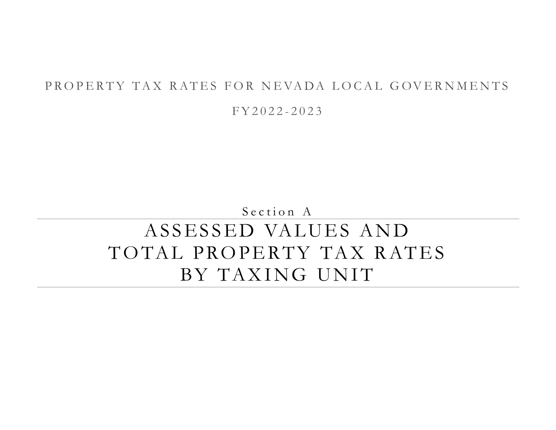# PROPERTY TAX RATES FOR NEVADA LOCAL GOVERNMENTS

F Y 2 0 2 2 - 2 0 2 3

Section A

# ASSESSED VALUES AND TOTAL PROPERTY TAX RATES BY TAXING UNIT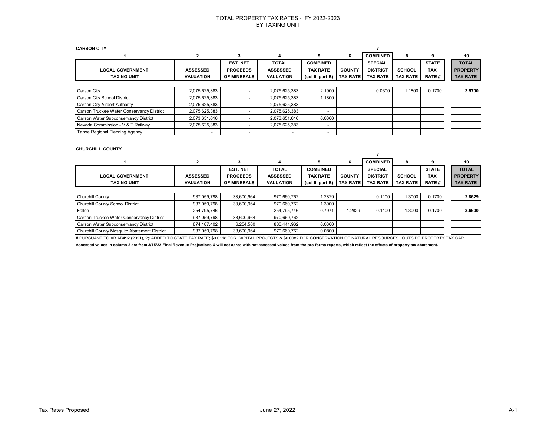| <b>CARSON CITY</b>                        |                          |                          |                          |                 |                 |                 |                 |               |                 |
|-------------------------------------------|--------------------------|--------------------------|--------------------------|-----------------|-----------------|-----------------|-----------------|---------------|-----------------|
|                                           |                          | 3                        | 4                        | 5               | 6               | <b>COMBINED</b> | 8               | 9             | 10              |
|                                           |                          | <b>EST. NET</b>          | <b>TOTAL</b>             | <b>COMBINED</b> |                 | <b>SPECIAL</b>  |                 | <b>STATE</b>  | <b>TOTAL</b>    |
| <b>LOCAL GOVERNMENT</b>                   | <b>ASSESSED</b>          | <b>PROCEEDS</b>          | <b>ASSESSED</b>          | <b>TAX RATE</b> | <b>COUNTY</b>   | <b>DISTRICT</b> | <b>SCHOOL</b>   | <b>TAX</b>    | <b>PROPERTY</b> |
| <b>TAXING UNIT</b>                        | <b>VALUATION</b>         | <b>OF MINERALS</b>       | <b>VALUATION</b>         | (col 9, part B) | <b>TAX RATE</b> | <b>TAX RATE</b> | <b>TAX RATE</b> | <b>RATE #</b> | <b>TAX RATE</b> |
|                                           |                          |                          |                          |                 |                 |                 |                 |               |                 |
| Carson City                               | 2,075,625,383            | $\overline{\phantom{0}}$ | 2,075,625,383            | 2.1900          |                 | 0.0300          | 1.1800          | 0.1700        | 3.5700          |
| Carson City School District               | 2,075,625,383            | $\overline{\phantom{a}}$ | 2,075,625,383            | 1.1800          |                 |                 |                 |               |                 |
| <b>Carson City Airport Authority</b>      | 2,075,625,383            | $\overline{\phantom{0}}$ | 2,075,625,383            |                 |                 |                 |                 |               |                 |
| Carson Truckee Water Conservancy District | 2,075,625,383            | $\overline{\phantom{0}}$ | 2,075,625,383            |                 |                 |                 |                 |               |                 |
| Carson Water Subconservancy District      | 2,073,651,616            | $\overline{\phantom{0}}$ | 2,073,651,616            | 0.0300          |                 |                 |                 |               |                 |
| Nevada Commission - V & T Railway         | 2,075,625,383            | $\overline{\phantom{a}}$ | 2,075,625,383            | -               |                 |                 |                 |               |                 |
| Tahoe Regional Planning Agency            | $\overline{\phantom{0}}$ | $\overline{\phantom{a}}$ | $\overline{\phantom{a}}$ | -               |                 |                 |                 |               |                 |

#### **CHURCHILL COUNTY**

|                                              | 2                | 3                  | 4                |                                         | 6               | <b>COMBINED</b> | 8               | 9             | 10              |
|----------------------------------------------|------------------|--------------------|------------------|-----------------------------------------|-----------------|-----------------|-----------------|---------------|-----------------|
|                                              |                  | <b>EST. NET</b>    | <b>TOTAL</b>     | <b>COMBINED</b>                         |                 | <b>SPECIAL</b>  |                 | <b>STATE</b>  | <b>TOTAL</b>    |
| <b>LOCAL GOVERNMENT</b>                      | <b>ASSESSED</b>  | <b>PROCEEDS</b>    | <b>ASSESSED</b>  | <b>TAX RATE</b>                         | <b>COUNTY</b>   | <b>DISTRICT</b> | <b>SCHOOL</b>   | <b>TAX</b>    | <b>PROPERTY</b> |
| <b>TAXING UNIT</b>                           | <b>VALUATION</b> | <b>OF MINERALS</b> | <b>VALUATION</b> | (col <sub>9</sub> , part <sub>B</sub> ) | <b>TAX RATE</b> | <b>TAX RATE</b> | <b>TAX RATE</b> | <b>RATE #</b> | <b>TAX RATE</b> |
|                                              |                  |                    |                  |                                         |                 |                 |                 |               |                 |
| <b>Churchill County</b>                      | 937,059,798      | 33,600,964         | 970.660.762      | 1.2829                                  |                 | 0.1100          | 1.3000          | 0.1700        | 2.8629          |
| Churchill County School District             | 937.059.798      | 33.600.964         | 970.660.762      | 1.3000                                  |                 |                 |                 |               |                 |
| Fallon                                       | 254.795.746      |                    | 254.795.746      | 0.7971                                  | 1.2829          | 0.1100          | 1.3000          | 0.1700        | 3.6600          |
| Carson Truckee Water Conservancy District    | 937,059,798      | 33,600,964         | 970,660,762      |                                         |                 |                 |                 |               |                 |
| Carson Water Subconservancy District         | 874,187,402      | 6,254,560          | 880,441,962      | 0.0300                                  |                 |                 |                 |               |                 |
| Churchill County Mosquito Abatement District | 937.059.798      | 33,600,964         | 970,660,762      | 0.0800                                  |                 |                 |                 |               |                 |

# PURSUANT TO AB AB492 (2021), 2¢ ADDED TO STATE TAX RATE; \$0.0118 FOR CAPITAL PROJECTS & \$0.0082 FOR CONSERVATION OF NATURAL RESOURCES. OUTSIDE PROPERTY TAX CAP.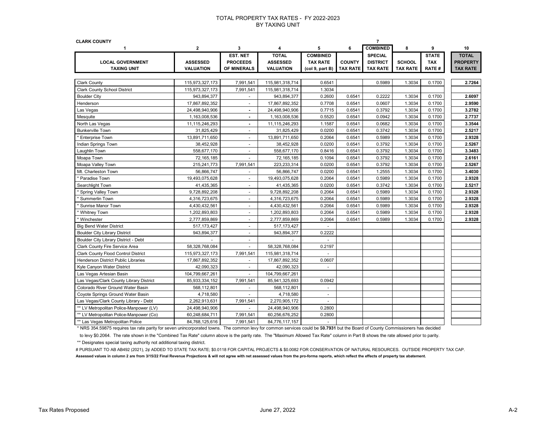| <b>CLARK COUNTY</b>                        |                  |                          |                  |                          |               | $\overline{7}$  |                 |              |                 |
|--------------------------------------------|------------------|--------------------------|------------------|--------------------------|---------------|-----------------|-----------------|--------------|-----------------|
| $\mathbf{1}$                               | $\mathbf{2}$     | 3                        | 4                | 5                        | 6             | <b>COMBINED</b> | 8               | 9            | 10              |
|                                            |                  | EST. NET                 | <b>TOTAL</b>     | <b>COMBINED</b>          |               | <b>SPECIAL</b>  |                 | <b>STATE</b> | <b>TOTAL</b>    |
| <b>LOCAL GOVERNMENT</b>                    | <b>ASSESSED</b>  | <b>PROCEEDS</b>          | <b>ASSESSED</b>  | <b>TAX RATE</b>          | <b>COUNTY</b> | <b>DISTRICT</b> | <b>SCHOOL</b>   | <b>TAX</b>   | <b>PROPERTY</b> |
| <b>TAXING UNIT</b>                         | <b>VALUATION</b> | <b>OF MINERALS</b>       | <b>VALUATION</b> | (col 9, part B)          | TAX RATE      | <b>TAX RATE</b> | <b>TAX RATE</b> | <b>RATE#</b> | <b>TAX RATE</b> |
|                                            |                  |                          |                  |                          |               |                 |                 |              |                 |
| <b>Clark County</b>                        | 115,973,327,173  | 7,991,541                | 115,981,318,714  | 0.6541                   |               | 0.5989          | 1.3034          | 0.1700       | 2.7264          |
| <b>Clark County School District</b>        | 115,973,327,173  | 7,991,541                | 115,981,318,714  | 1.3034                   |               |                 |                 |              |                 |
| <b>Boulder City</b>                        | 943,894,377      | $\blacksquare$           | 943,894,377      | 0.2600                   | 0.6541        | 0.2222          | 1.3034          | 0.1700       | 2.6097          |
| Henderson                                  | 17,867,892,352   | ÷                        | 17,867,892,352   | 0.7708                   | 0.6541        | 0.0607          | 1.3034          | 0.1700       | 2.9590          |
| Las Vegas                                  | 24,498,940,906   | $\blacksquare$           | 24,498,940,906   | 0.7715                   | 0.6541        | 0.3792          | 1.3034          | 0.1700       | 3.2782          |
| Mesquite                                   | 1,163,008,536    | $\blacksquare$           | 1,163,008,536    | 0.5520                   | 0.6541        | 0.0942          | 1.3034          | 0.1700       | 2.7737          |
| North Las Vegas                            | 11,115,246,293   | $\blacksquare$           | 11,115,246,293   | 1.1587                   | 0.6541        | 0.0682          | 1.3034          | 0.1700       | 3.3544          |
| <b>Bunkerville Town</b>                    | 31,825,429       | $\blacksquare$           | 31,825,429       | 0.0200                   | 0.6541        | 0.3742          | 1.3034          | 0.1700       | 2.5217          |
| * Enterprise Town                          | 13,891,711,650   | $\blacksquare$           | 13,891,711,650   | 0.2064                   | 0.6541        | 0.5989          | 1.3034          | 0.1700       | 2.9328          |
| Indian Springs Town                        | 38,452,928       | $\sim$                   | 38,452,928       | 0.0200                   | 0.6541        | 0.3792          | 1.3034          | 0.1700       | 2.5267          |
| Laughlin Town                              | 558,677,170      | $\overline{\phantom{a}}$ | 558,677,170      | 0.8416                   | 0.6541        | 0.3792          | 1.3034          | 0.1700       | 3.3483          |
| Moapa Town                                 | 72,165,185       | ÷                        | 72,165,185       | 0.1094                   | 0.6541        | 0.3792          | 1.3034          | 0.1700       | 2.6161          |
| Moapa Valley Town                          | 215,241,773      | 7,991,541                | 223,233,314      | 0.0200                   | 0.6541        | 0.3792          | 1.3034          | 0.1700       | 2.5267          |
| Mt. Charleston Town                        | 56,866,747       | $\omega$                 | 56,866,747       | 0.0200                   | 0.6541        | 1.2555          | 1.3034          | 0.1700       | 3.4030          |
| * Paradise Town                            | 19,493,075,628   | $\omega$                 | 19,493,075,628   | 0.2064                   | 0.6541        | 0.5989          | 1.3034          | 0.1700       | 2.9328          |
| Searchlight Town                           | 41,435,365       | $\overline{\phantom{a}}$ | 41,435,365       | 0.0200                   | 0.6541        | 0.3742          | 1.3034          | 0.1700       | 2.5217          |
| * Spring Valley Town                       | 9,728,892,208    | $\blacksquare$           | 9,728,892,208    | 0.2064                   | 0.6541        | 0.5989          | 1.3034          | 0.1700       | 2.9328          |
| * Summerlin Town                           | 4,316,723,675    | $\blacksquare$           | 4,316,723,675    | 0.2064                   | 0.6541        | 0.5989          | 1.3034          | 0.1700       | 2.9328          |
| Sunrise Manor Town                         | 4,430,432,561    | $\blacksquare$           | 4,430,432,561    | 0.2064                   | 0.6541        | 0.5989          | 1.3034          | 0.1700       | 2.9328          |
| * Whitney Town                             | 1,202,893,803    | $\blacksquare$           | 1,202,893,803    | 0.2064                   | 0.6541        | 0.5989          | 1.3034          | 0.1700       | 2.9328          |
| Winchester                                 | 2,777,859,869    | $\blacksquare$           | 2,777,859,869    | 0.2064                   | 0.6541        | 0.5989          | 1.3034          | 0.1700       | 2.9328          |
| <b>Big Bend Water District</b>             | 517, 173, 427    | $\blacksquare$           | 517, 173, 427    |                          |               |                 |                 |              |                 |
| <b>Boulder City Library District</b>       | 943,894,377      | $\blacksquare$           | 943,894,377      | 0.2222                   |               |                 |                 |              |                 |
| Boulder City Library District - Debt       | ÷.               | $\blacksquare$           |                  | $\sim$                   |               |                 |                 |              |                 |
| Clark County Fire Service Area             | 58,328,768,084   | $\blacksquare$           | 58,328,768,084   | 0.2197                   |               |                 |                 |              |                 |
| <b>Clark County Flood Control District</b> | 115,973,327,173  | 7,991,541                | 115,981,318,714  | ÷.                       |               |                 |                 |              |                 |
| <b>Henderson District Public Libraries</b> | 17,867,892,352   | $\blacksquare$           | 17,867,892,352   | 0.0607                   |               |                 |                 |              |                 |
| Kyle Canyon Water District                 | 42,090,323       | $\sim$                   | 42,090,323       | $\omega$                 |               |                 |                 |              |                 |
| Las Vegas Artesian Basin                   | 104,799,667,261  | $\blacksquare$           | 104,799,667,261  |                          |               |                 |                 |              |                 |
| Las Vegas/Clark County Library District    | 85,933,334,152   | 7,991,541                | 85,941,325,693   | 0.0942                   |               |                 |                 |              |                 |
| Colorado River Ground Water Basin          | 568,112,801      | $\blacksquare$           | 568,112,801      | $\overline{\phantom{a}}$ |               |                 |                 |              |                 |
| Coyote Springs Ground Water Basin          | 4,718,580        |                          | 4,718,580        |                          |               |                 |                 |              |                 |
| Las Vegas/Clark County Library - Debt      | 2,262,913,631    | 7,991,541                | 2,270,905,172    | $\sim$                   |               |                 |                 |              |                 |
| ** LV Metropolitan Police-Manpower (LV)    | 24,498,940,906   |                          | 24,498,940,906   | 0.2800                   |               |                 |                 |              |                 |
| ** LV Metropolitan Police-Manpower (Co)    | 60,248,684,711   | 7,991,541                | 60,256,676,252   | 0.2800                   |               |                 |                 |              |                 |
| ** Las Vegas Metropolitan Police           | 84,768,125,616   | 7,991,541                | 84,776,117,157   | $\sim$                   |               |                 |                 |              |                 |

\* NRS 354.59875 requires tax rate parity for seven unincorporated towns. The common levy for common services could be \$**0.7931** but the Board of County Commissioners has decided

to levy \$0.2064. The rate shown in the "Combined Tax Rate" column above is the parity rate. The "Maximum Allowed Tax Rate" column in Part B shows the rate allowed prior to parity.

\*\* Designates special taxing authority not additional taxing district.

# PURSUANT TO AB AB492 (2021), 2¢ ADDED TO STATE TAX RATE; \$0.0118 FOR CAPITAL PROJECTS & \$0.0082 FOR CONSERVATION OF NATURAL RESOURCES. OUTSIDE PROPERTY TAX CAP. **Assessed values in column 2 are from 3/15/22 Final Revenue Projections & will not agree with net assessed values from the pro-forma reports, which reflect the effects of property tax abatement.**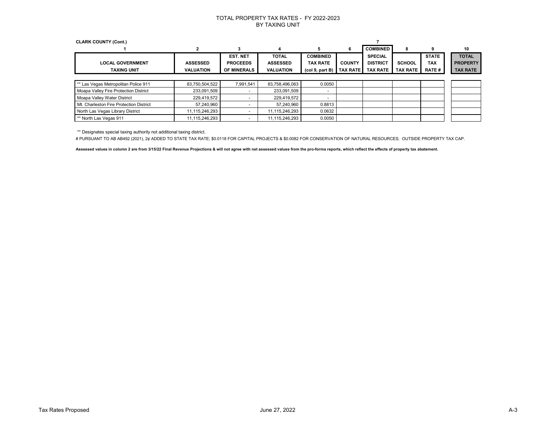| <b>CLARK COUNTY (Cont.)</b>             |                  |                          |                  |                                         |                 |                 |                 |              |                 |
|-----------------------------------------|------------------|--------------------------|------------------|-----------------------------------------|-----------------|-----------------|-----------------|--------------|-----------------|
|                                         | 2                | 3                        | 4                | ÷.                                      | 6               | <b>COMBINED</b> | 8               |              | 10              |
|                                         |                  | <b>EST. NET</b>          | <b>TOTAL</b>     | <b>COMBINED</b>                         |                 | <b>SPECIAL</b>  |                 | <b>STATE</b> | <b>TOTAL</b>    |
| <b>LOCAL GOVERNMENT</b>                 | <b>ASSESSED</b>  | <b>PROCEEDS</b>          | <b>ASSESSED</b>  | <b>TAX RATE</b>                         | <b>COUNTY</b>   | <b>DISTRICT</b> | <b>SCHOOL</b>   | <b>TAX</b>   | <b>PROPERTY</b> |
| <b>TAXING UNIT</b>                      | <b>VALUATION</b> | <b>OF MINERALS</b>       | <b>VALUATION</b> | (col <sub>9</sub> , part <sub>B</sub> ) | <b>TAX RATE</b> | <b>TAX RATE</b> | <b>TAX RATE</b> | <b>RATE#</b> | <b>TAX RATE</b> |
|                                         |                  |                          |                  |                                         |                 |                 |                 |              |                 |
| ** Las Vegas Metropolitan Police 911    | 83,750,504,522   | 7,991,541                | 83,758,496,063   | 0.0050                                  |                 |                 |                 |              |                 |
| Moapa Valley Fire Protection District   | 233,091,509      | $\overline{\phantom{0}}$ | 233,091,509      |                                         |                 |                 |                 |              |                 |
| Moapa Valley Water District             | 229,419,572      | $\overline{\phantom{0}}$ | 229,419,572      |                                         |                 |                 |                 |              |                 |
| Mt. Charleston Fire Protection District | 57,240,960       | $\overline{\phantom{0}}$ | 57,240,960       | 0.8813                                  |                 |                 |                 |              |                 |
| North Las Vegas Library District        | 11,115,246,293   | $\overline{\phantom{0}}$ | 11,115,246,293   | 0.0632                                  |                 |                 |                 |              |                 |
| ** North Las Vegas 911                  | 11,115,246,293   |                          | 11,115,246,293   | 0.0050                                  |                 |                 |                 |              |                 |

\*\* Designates special taxing authority not additional taxing district.

# PURSUANT TO AB AB492 (2021), 2¢ ADDED TO STATE TAX RATE; \$0.0118 FOR CAPITAL PROJECTS & \$0.0082 FOR CONSERVATION OF NATURAL RESOURCES. OUTSIDE PROPERTY TAX CAP.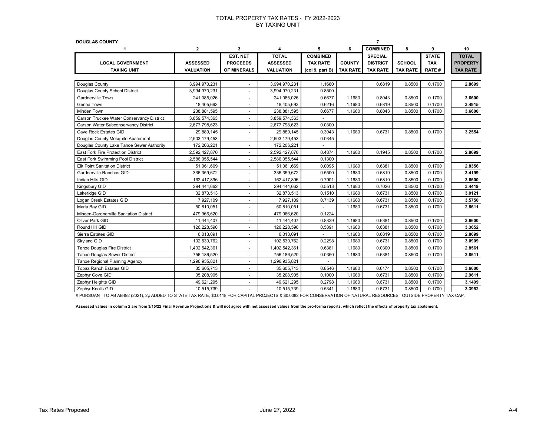| <b>DOUGLAS COUNTY</b>                     |                  |                          |                  |                 |                 |                 |                 |              |                 |
|-------------------------------------------|------------------|--------------------------|------------------|-----------------|-----------------|-----------------|-----------------|--------------|-----------------|
| 1                                         | $\mathbf{2}$     | 3                        | 4                | 5               | 6               | <b>COMBINED</b> | 8               | 9            | 10              |
|                                           |                  | EST. NET                 | <b>TOTAL</b>     | <b>COMBINED</b> |                 | <b>SPECIAL</b>  |                 | <b>STATE</b> | <b>TOTAL</b>    |
| <b>LOCAL GOVERNMENT</b>                   | <b>ASSESSED</b>  | <b>PROCEEDS</b>          | <b>ASSESSED</b>  | <b>TAX RATE</b> | <b>COUNTY</b>   | <b>DISTRICT</b> | <b>SCHOOL</b>   | <b>TAX</b>   | <b>PROPERTY</b> |
| <b>TAXING UNIT</b>                        | <b>VALUATION</b> | OF MINERALS              | <b>VALUATION</b> | (col 9, part B) | <b>TAX RATE</b> | <b>TAX RATE</b> | <b>TAX RATE</b> | RATE#        | <b>TAX RATE</b> |
|                                           |                  |                          |                  |                 |                 |                 |                 |              |                 |
| Douglas County                            | 3,994,970,231    | $\blacksquare$           | 3,994,970,231    | 1.1680          |                 | 0.6819          | 0.8500          | 0.1700       | 2.8699          |
| Douglas County School District            | 3,994,970,231    | $\blacksquare$           | 3,994,970,231    | 0.8500          |                 |                 |                 |              |                 |
| Gardnerville Town                         | 241,085,026      | $\overline{\phantom{a}}$ | 241,085,026      | 0.6677          | 1.1680          | 0.8043          | 0.8500          | 0.1700       | 3.6600          |
| Genoa Town                                | 18,405,693       | $\blacksquare$           | 18,405,693       | 0.6216          | 1.1680          | 0.6819          | 0.8500          | 0.1700       | 3.4915          |
| Minden Town                               | 238,881,595      | $\blacksquare$           | 238,881,595      | 0.6677          | 1.1680          | 0.8043          | 0.8500          | 0.1700       | 3.6600          |
| Carson Truckee Water Conservancy District | 3,859,574,363    | $\blacksquare$           | 3,859,574,363    |                 |                 |                 |                 |              |                 |
| Carson Water Subconservancy District      | 2,677,798,623    | $\blacksquare$           | 2,677,798,623    | 0.0300          |                 |                 |                 |              |                 |
| Cave Rock Estates GID                     | 29,889,145       | $\blacksquare$           | 29,889,145       | 0.3943          | 1.1680          | 0.6731          | 0.8500          | 0.1700       | 3.2554          |
| Douglas County Mosquito Abatement         | 2,503,179,453    | $\blacksquare$           | 2,503,179,453    | 0.0345          |                 |                 |                 |              |                 |
| Douglas County Lake Tahoe Sewer Authority | 172,206,221      | $\blacksquare$           | 172,206,221      |                 |                 |                 |                 |              |                 |
| East Fork Fire Protection District        | 2,592,427,870    | $\blacksquare$           | 2,592,427,870    | 0.4874          | 1.1680          | 0.1945          | 0.8500          | 0.1700       | 2.8699          |
| East Fork Swimming Pool District          | 2,586,055,544    | $\blacksquare$           | 2,586,055,544    | 0.1300          |                 |                 |                 |              |                 |
| <b>Elk Point Sanitation District</b>      | 51,061,669       | ä,                       | 51,061,669       | 0.0095          | 1.1680          | 0.6381          | 0.8500          | 0.1700       | 2.8356          |
| Gardnerville Ranchos GID                  | 336,359,672      | $\blacksquare$           | 336,359,672      | 0.5500          | 1.1680          | 0.6819          | 0.8500          | 0.1700       | 3.4199          |
| Indian Hills GID                          | 162,417,896      | ÷                        | 162,417,896      | 0.7901          | 1.1680          | 0.6819          | 0.8500          | 0.1700       | 3.6600          |
| Kingsbury GID                             | 294,444,662      | ä,                       | 294,444,662      | 0.5513          | 1.1680          | 0.7026          | 0.8500          | 0.1700       | 3.4419          |
| Lakeridge GID                             | 32,873,513       | ÷                        | 32,873,513       | 0.1510          | 1.1680          | 0.6731          | 0.8500          | 0.1700       | 3.0121          |
| Logan Creek Estates GID                   | 7,927,109        | $\blacksquare$           | 7,927,109        | 0.7139          | 1.1680          | 0.6731          | 0.8500          | 0.1700       | 3.5750          |
| Marla Bay GID                             | 50,810,051       | $\blacksquare$           | 50,810,051       |                 | 1.1680          | 0.6731          | 0.8500          | 0.1700       | 2.8611          |
| Minden-Gardnerville Sanitation District   | 479,966,620      | $\overline{\phantom{a}}$ | 479,966,620      | 0.1224          |                 |                 |                 |              |                 |
| Oliver Park GID                           | 11,444,407       | $\overline{\phantom{a}}$ | 11,444,407       | 0.8339          | 1.1680          | 0.6381          | 0.8500          | 0.1700       | 3.6600          |
| Round Hill GID                            | 126,228,590      | $\sim$                   | 126,228,590      | 0.5391          | 1.1680          | 0.6381          | 0.8500          | 0.1700       | 3.3652          |
| Sierra Estates GID                        | 6,013,091        | $\blacksquare$           | 6,013,091        |                 | 1.1680          | 0.6819          | 0.8500          | 0.1700       | 2.8699          |
| Skyland GID                               | 102,530,762      | $\overline{\phantom{a}}$ | 102,530,762      | 0.2298          | 1.1680          | 0.6731          | 0.8500          | 0.1700       | 3.0909          |
| Tahoe Douglas Fire District               | 1,402,542,361    | $\overline{\phantom{a}}$ | 1,402,542,361    | 0.6381          | 1.1680          | 0.0300          | 0.8500          | 0.1700       | 2.8561          |
| <b>Tahoe Douglas Sewer District</b>       | 756,186,520      | $\overline{\phantom{a}}$ | 756,186,520      | 0.0350          | 1.1680          | 0.6381          | 0.8500          | 0.1700       | 2.8611          |
| Tahoe Regional Planning Agency            | 1,296,935,821    | $\overline{\phantom{a}}$ | 1,296,935,821    |                 |                 |                 |                 |              |                 |
| Topaz Ranch Estates GID                   | 35,605,713       | $\overline{\phantom{a}}$ | 35,605,713       | 0.8546          | 1.1680          | 0.6174          | 0.8500          | 0.1700       | 3.6600          |
| Zephyr Cove GID                           | 35,208,905       | $\overline{\phantom{a}}$ | 35,208,905       | 0.1000          | 1.1680          | 0.6731          | 0.8500          | 0.1700       | 2.9611          |
| Zephyr Heights GID                        | 49,621,295       | $\overline{\phantom{a}}$ | 49,621,295       | 0.2798          | 1.1680          | 0.6731          | 0.8500          | 0.1700       | 3.1409          |
| Zephyr Knolls GID                         | 10,515,739       | $\overline{\phantom{a}}$ | 10,515,739       | 0.5341          | 1.1680          | 0.6731          | 0.8500          | 0.1700       | 3.3952          |

# PURSUANT TO AB AB492 (2021), 2¢ ADDED TO STATE TAX RATE; \$0.0118 FOR CAPITAL PROJECTS & \$0.0082 FOR CONSERVATION OF NATURAL RESOURCES. OUTSIDE PROPERTY TAX CAP.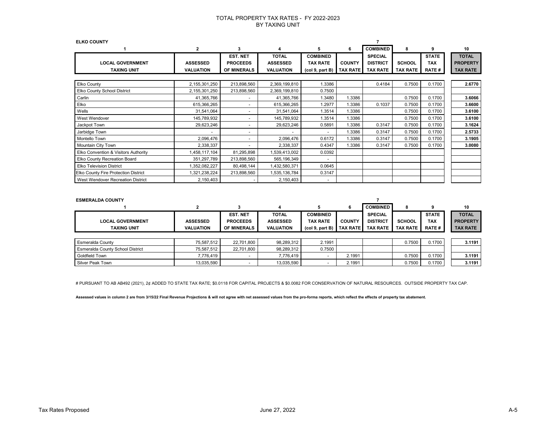| <b>ELKO COUNTY</b>                            |                                     |                                                   |                                                     |                                                       |                                  |                                                      |                                  |                                            |                                                    |
|-----------------------------------------------|-------------------------------------|---------------------------------------------------|-----------------------------------------------------|-------------------------------------------------------|----------------------------------|------------------------------------------------------|----------------------------------|--------------------------------------------|----------------------------------------------------|
|                                               | $\mathbf{2}$                        | 3                                                 | 4                                                   | 5                                                     | 6                                | <b>COMBINED</b>                                      | 8                                | 9                                          | 10                                                 |
| <b>LOCAL GOVERNMENT</b><br><b>TAXING UNIT</b> | <b>ASSESSED</b><br><b>VALUATION</b> | <b>EST. NET</b><br><b>PROCEEDS</b><br>OF MINERALS | <b>TOTAL</b><br><b>ASSESSED</b><br><b>VALUATION</b> | <b>COMBINED</b><br><b>TAX RATE</b><br>(col 9, part B) | <b>COUNTY</b><br><b>TAX RATE</b> | <b>SPECIAL</b><br><b>DISTRICT</b><br><b>TAX RATE</b> | <b>SCHOOL</b><br><b>TAX RATE</b> | <b>STATE</b><br><b>TAX</b><br><b>RATE#</b> | <b>TOTAL</b><br><b>PROPERTY</b><br><b>TAX RATE</b> |
|                                               |                                     |                                                   |                                                     |                                                       |                                  |                                                      |                                  |                                            |                                                    |
| Elko County                                   | 2,155,301,250                       | 213,898,560                                       | 2,369,199,810                                       | 1.3386                                                |                                  | 0.4184                                               | 0.7500                           | 0.1700                                     | 2.6770                                             |
| Elko County School District                   | 2,155,301,250                       | 213,898,560                                       | 2,369,199,810                                       | 0.7500                                                |                                  |                                                      |                                  |                                            |                                                    |
| Carlin                                        | 41,365,766                          | $\blacksquare$                                    | 41,365,766                                          | 1.3480                                                | 1.3386                           |                                                      | 0.7500                           | 0.1700                                     | 3.6066                                             |
| Elko                                          | 615,366,265                         | $\overline{a}$                                    | 615,366,265                                         | 1.2977                                                | 1.3386                           | 0.1037                                               | 0.7500                           | 0.1700                                     | 3.6600                                             |
| Wells                                         | 31,541,064                          | $\overline{a}$                                    | 31,541,064                                          | 1.3514                                                | 1.3386                           |                                                      | 0.7500                           | 0.1700                                     | 3.6100                                             |
| West Wendover                                 | 145,789,932                         | $\overline{\phantom{a}}$                          | 145,789,932                                         | 1.3514                                                | 1.3386                           |                                                      | 0.7500                           | 0.1700                                     | 3.6100                                             |
| Jackpot Town                                  | 29,623,246                          | $\overline{\phantom{a}}$                          | 29,623,246                                          | 0.5891                                                | 1.3386                           | 0.3147                                               | 0.7500                           | 0.1700                                     | 3.1624                                             |
| Jarbidge Town                                 | $\overline{\phantom{a}}$            | $\overline{\phantom{a}}$                          |                                                     |                                                       | 1.3386                           | 0.3147                                               | 0.7500                           | 0.1700                                     | 2.5733                                             |
| Montello Town                                 | 2,096,476                           | $\blacksquare$                                    | 2,096,476                                           | 0.6172                                                | 1.3386                           | 0.3147                                               | 0.7500                           | 0.1700                                     | 3.1905                                             |
| Mountain City Town                            | 2,338,337                           | $\blacksquare$                                    | 2,338,337                                           | 0.4347                                                | 1.3386                           | 0.3147                                               | 0.7500                           | 0.1700                                     | 3.0080                                             |
| Elko Convention & Visitors Authority          | 1,458,117,104                       | 81,295,898                                        | 1,539,413,002                                       | 0.0392                                                |                                  |                                                      |                                  |                                            |                                                    |
| Elko County Recreation Board                  | 351,297,789                         | 213,898,560                                       | 565,196,349                                         |                                                       |                                  |                                                      |                                  |                                            |                                                    |
| <b>Elko Television District</b>               | 1,352,082,227                       | 80,498,144                                        | 1,432,580,371                                       | 0.0645                                                |                                  |                                                      |                                  |                                            |                                                    |
| Elko County Fire Protection District          | 1,321,238,224                       | 213,898,560                                       | 1,535,136,784                                       | 0.3147                                                |                                  |                                                      |                                  |                                            |                                                    |
| West Wendover Recreation District             | 2,150,403                           |                                                   | 2,150,403                                           |                                                       |                                  |                                                      |                                  |                                            |                                                    |

| <b>ESMERALDA COUNTY</b> |                  |                    |                  |                 |                   |                 |                 |               |                 |
|-------------------------|------------------|--------------------|------------------|-----------------|-------------------|-----------------|-----------------|---------------|-----------------|
|                         |                  |                    |                  |                 | 6                 | <b>COMBINED</b> |                 |               | 10              |
|                         |                  | <b>EST. NET</b>    | <b>TOTAL</b>     | <b>COMBINED</b> |                   | <b>SPECIAL</b>  |                 | <b>STATE</b>  | <b>TOTAL</b>    |
| <b>LOCAL GOVERNMENT</b> | <b>ASSESSED</b>  | <b>PROCEEDS</b>    | <b>ASSESSED</b>  | <b>TAX RATE</b> | <b>COUNTY</b>     | <b>DISTRICT</b> | <b>SCHOOL</b>   | <b>TAX</b>    | <b>PROPERTY</b> |
| <b>TAXING UNIT</b>      | <b>VALUATION</b> | <b>OF MINERALS</b> | <b>VALUATION</b> | (col 9, part B) | <b>TAX RATE I</b> | <b>TAX RATE</b> | <b>TAX RATE</b> | <b>RATE #</b> | <b>TAX RATE</b> |
|                         |                  |                    |                  |                 |                   |                 |                 |               |                 |
| Esmeralda County        | 75.587.512       | 22.701.800         | 98,289,312       | 2.1991          |                   |                 | 0.7500          | 0.1700        | 3.1191          |

| i Esmeraiga County                      | 70.087.012 | <b>22.701.800</b> | 98.289.312 | 2. IYY I |        | U.ZOU  | <b>U.I</b> / UU | 3.1191 |
|-----------------------------------------|------------|-------------------|------------|----------|--------|--------|-----------------|--------|
| <b>Esmeralda County School District</b> | 75.587.512 | 22.701.800        | 98.289.312 | 0.7500   |        |        |                 |        |
| <b>Goldfield Town</b>                   | 7.776.419  |                   | 7.776.419  |          | 2.1991 | 0.7500 | 0.1700          | 3.1191 |
| Silver Peak Town                        | 13.035.590 |                   | 13.035.590 |          | 2.1991 | 0.7500 | 0.1700          | 3.1191 |

# PURSUANT TO AB AB492 (2021), 2¢ ADDED TO STATE TAX RATE; \$0.0118 FOR CAPITAL PROJECTS & \$0.0082 FOR CONSERVATION OF NATURAL RESOURCES. OUTSIDE PROPERTY TAX CAP.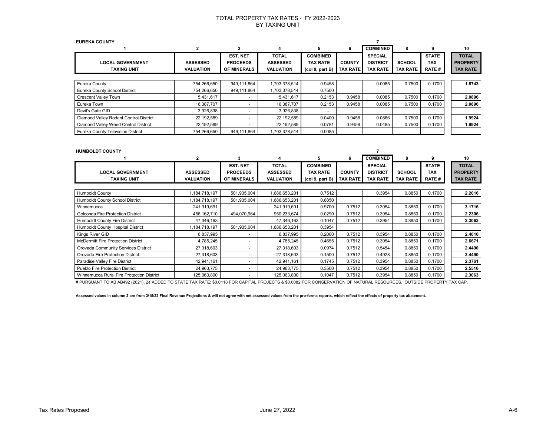| <b>EUREKA COUNTY</b>                   |                  |                          |                  |                 |                 |                 |               |              |                 |
|----------------------------------------|------------------|--------------------------|------------------|-----------------|-----------------|-----------------|---------------|--------------|-----------------|
|                                        | 2                | 3                        | 4                | 5               | 6               | <b>COMBINED</b> | 8             | 9            | 10              |
|                                        |                  | <b>EST. NET</b>          | <b>TOTAL</b>     | <b>COMBINED</b> |                 | <b>SPECIAL</b>  |               | <b>STATE</b> | <b>TOTAL</b>    |
| <b>LOCAL GOVERNMENT</b>                | <b>ASSESSED</b>  | <b>PROCEEDS</b>          | <b>ASSESSED</b>  | <b>TAX RATE</b> | <b>COUNTY</b>   | <b>DISTRICT</b> | <b>SCHOOL</b> | <b>TAX</b>   | <b>PROPERTY</b> |
| <b>TAXING UNIT</b>                     | <b>VALUATION</b> | <b>OF MINERALS</b>       | <b>VALUATION</b> | (col 9, part B) | <b>TAX RATE</b> | <b>TAX RATE</b> | TAX RATE      | <b>RATE#</b> | <b>TAX RATE</b> |
|                                        |                  |                          |                  |                 |                 |                 |               |              |                 |
| Eureka County                          | 754,266,650      | 949,111,864              | 1,703,378,514    | 0.9458          |                 | 0.0085          | 0.7500        | 0.1700       | 1.8743          |
| Eureka County School District          | 754,266,650      | 949,111,864              | 1,703,378,514    | 0.7500          |                 |                 |               |              |                 |
| <b>Crescent Valley Town</b>            | 5,431,617        | $\overline{a}$           | 5,431,617        | 0.2153          | 0.9458          | 0.0085          | 0.7500        | 0.1700       | 2.0896          |
| Eureka Town                            | 16,387,707       | $\overline{a}$           | 16,387,707       | 0.2153          | 0.9458          | 0.0085          | 0.7500        | 0.1700       | 2.0896          |
| Devil's Gate GID                       | 3,926,838        | $\overline{\phantom{0}}$ | 3,926,838        |                 |                 |                 |               |              |                 |
| Diamond Valley Rodent Control District | 22,192,589       | -                        | 22,192,589       | 0.0400          | 0.9458          | 0.0866          | 0.7500        | 0.1700       | 1.9924          |
| Diamond Valley Weed Control District   | 22,192,589       | $\overline{a}$           | 22,192,589       | 0.0781          | 0.9458          | 0.0485          | 0.7500        | 0.1700       | 1.9924          |
| Eureka County Television District      | 754,266,650      | 949,111,864              | 1,703,378,514    | 0.0085          |                 |                 |               |              |                 |
|                                        |                  |                          |                  |                 |                 |                 |               |              |                 |
|                                        |                  |                          |                  |                 |                 |                 |               |              |                 |
| <b>HUMBOLDT COUNTY</b>                 |                  |                          |                  |                 |                 |                 |               |              |                 |

|                                           | 2                | 3                        |                  | 5               | 6               | <b>COMBINED</b> | 8               | 9            | 10              |
|-------------------------------------------|------------------|--------------------------|------------------|-----------------|-----------------|-----------------|-----------------|--------------|-----------------|
|                                           |                  | EST. NET                 | <b>TOTAL</b>     | <b>COMBINED</b> |                 | <b>SPECIAL</b>  |                 | <b>STATE</b> | <b>TOTAL</b>    |
| <b>LOCAL GOVERNMENT</b>                   | <b>ASSESSED</b>  | <b>PROCEEDS</b>          | <b>ASSESSED</b>  | <b>TAX RATE</b> | <b>COUNTY</b>   | <b>DISTRICT</b> | <b>SCHOOL</b>   | <b>TAX</b>   | <b>PROPERTY</b> |
| <b>TAXING UNIT</b>                        | <b>VALUATION</b> | OF MINERALS              | <b>VALUATION</b> | (col 9, part B) | <b>TAX RATE</b> | <b>TAX RATE</b> | <b>TAX RATE</b> | <b>RATE#</b> | <b>TAX RATE</b> |
|                                           |                  |                          |                  |                 |                 |                 |                 |              |                 |
| <b>Humboldt County</b>                    | .184,718,197     | 501,935,004              | 1,686,653,201    | 0.7512          |                 | 0.3954          | 0.8850          | 0.1700       | 2.2016          |
| Humboldt County School District           | .184,718,197     | 501,935,004              | 1,686,653,201    | 0.8850          |                 |                 |                 |              |                 |
| Winnemucca                                | 241,919,691      |                          | 241,919,691      | 0.9700          | 0.7512          | 0.3954          | 0.8850          | 0.1700       | 3.1716          |
| Golconda Fire Protection District         | 456,162,710      | 494,070,964              | 950,233,674      | 0.0290          | 0.7512          | 0.3954          | 0.8850          | 0.1700       | 2.2306          |
| <b>Humboldt County Fire District</b>      | 47,346,163       | $\overline{a}$           | 47,346,163       | 0.1047          | 0.7512          | 0.3954          | 0.8850          | 0.1700       | 2.3063          |
| Humboldt County Hospital District         | 184,718,197      | 501,935,004              | 1,686,653,201    | 0.3954          |                 |                 |                 |              |                 |
| Kings River GID                           | 6,837,995        | $\overline{\phantom{a}}$ | 6,837,995        | 0.2000          | 0.7512          | 0.3954          | 0.8850          | 0.1700       | 2.4016          |
| McDermitt Fire Protection District        | 4,785,245        | $\overline{\phantom{a}}$ | 4,785,245        | 0.4655          | 0.7512          | 0.3954          | 0.8850          | 0.1700       | 2.6671          |
| Orovada Community Services District       | 27,318,603       | $\overline{\phantom{a}}$ | 27,318,603       | 0.0974          | 0.7512          | 0.5454          | 0.8850          | 0.1700       | 2.4490          |
| Orovada Fire Protection District          | 27,318,603       | $\overline{\phantom{a}}$ | 27,318,603       | 0.1500          | 0.7512          | 0.4928          | 0.8850          | 0.1700       | 2.4490          |
| Paradise Valley Fire District             | 42,941,161       | $\overline{\phantom{a}}$ | 42,941,161       | 0.1745          | 0.7512          | 0.3954          | 0.8850          | 0.1700       | 2.3761          |
| Pueblo Fire Protection District           | 24,963,775       | $\overline{\phantom{a}}$ | 24,963,775       | 0.3500          | 0.7512          | 0.3954          | 0.8850          | 0.1700       | 2.5516          |
| Winnemucca Rural Fire Protection District | 125,063,800      |                          | 125,063,800      | 0.1047          | 0.7512          | 0.3954          | 0.8850          | 0.1700       | 2.3063          |

# PURSUANT TO AB AB492 (2021), 2¢ ADDED TO STATE TAX RATE; \$0.0118 FOR CAPITAL PROJECTS & \$0.0082 FOR CONSERVATION OF NATURAL RESOURCES. OUTSIDE PROPERTY TAX CAP.

**Assessed values in column 2 are from 3/15/22 Final Revenue Projections & will not agree with net assessed values from the pro-forma reports, which reflect the effects of property tax abatement.**

. . . . . . . . .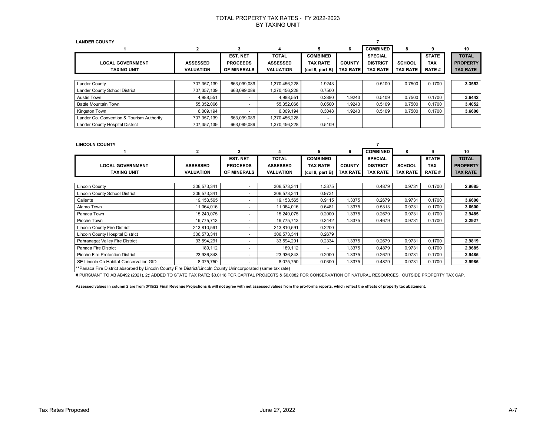| <b>LANDER COUNTY</b>                      |                  |                    |                  |                 |                 |                 |                 |              |                 |
|-------------------------------------------|------------------|--------------------|------------------|-----------------|-----------------|-----------------|-----------------|--------------|-----------------|
|                                           | 2                | з                  | 4                |                 | 6               | <b>COMBINED</b> |                 | ٩            | 10              |
|                                           |                  | <b>EST. NET</b>    | <b>TOTAL</b>     | <b>COMBINED</b> |                 | <b>SPECIAL</b>  |                 | <b>STATE</b> | <b>TOTAL</b>    |
| <b>LOCAL GOVERNMENT</b>                   | <b>ASSESSED</b>  | <b>PROCEEDS</b>    | <b>ASSESSED</b>  | <b>TAX RATE</b> | <b>COUNTY</b>   | <b>DISTRICT</b> | SCHOOL          | <b>TAX</b>   | <b>PROPERTY</b> |
| <b>TAXING UNIT</b>                        | <b>VALUATION</b> | <b>OF MINERALS</b> | <b>VALUATION</b> | (col 9, part B) | <b>TAX RATE</b> | <b>TAX RATE</b> | <b>TAX RATE</b> | <b>RATE#</b> | <b>TAX RATE</b> |
|                                           |                  |                    |                  |                 |                 |                 |                 |              |                 |
| <b>Lander County</b>                      | 707,357,139      | 663,099,089        | 1,370,456,228    | 1.9243          |                 | 0.5109          | 0.7500          | 0.1700       | 3.3552          |
| Lander County School District             | 707.357.139      | 663,099,089        | 1.370.456.228    | 0.7500          |                 |                 |                 |              |                 |
| Austin Town                               | 4,988,551        |                    | 4,988,551        | 0.2890          | 1.9243          | 0.5109          | 0.7500          | 0.1700       | 3.6442          |
| <b>Battle Mountain Town</b>               | 55,352,066       |                    | 55,352,066       | 0.0500          | 1.9243          | 0.5109          | 0.7500          | 0.1700       | 3.4052          |
| Kingston Town                             | 6.009.194        |                    | 6.009.194        | 0.3048          | 1.9243          | 0.5109          | 0.7500          | 0.1700       | 3.6600          |
| Lander Co. Convention & Tourism Authority | 707.357.139      | 663.099.089        | 1,370,456,228    |                 |                 |                 |                 |              |                 |
| Lander County Hospital District           | 707,357,139      | 663,099,089        | 1,370,456,228    | 0.5109          |                 |                 |                 |              |                 |

| <b>LINCOLN COUNTY</b>                   |                  |                          |                  |                 |                 |                 |                 |              |                 |
|-----------------------------------------|------------------|--------------------------|------------------|-----------------|-----------------|-----------------|-----------------|--------------|-----------------|
|                                         | $\overline{2}$   | 3                        |                  | 5               | 6               | <b>COMBINED</b> | 8               | 9            | 10              |
|                                         |                  | EST. NET                 | <b>TOTAL</b>     | <b>COMBINED</b> |                 | <b>SPECIAL</b>  |                 | <b>STATE</b> | <b>TOTAL</b>    |
| <b>LOCAL GOVERNMENT</b>                 | <b>ASSESSED</b>  | <b>PROCEEDS</b>          | <b>ASSESSED</b>  | <b>TAX RATE</b> | <b>COUNTY</b>   | <b>DISTRICT</b> | <b>SCHOOL</b>   | <b>TAX</b>   | <b>PROPERTY</b> |
| <b>TAXING UNIT</b>                      | <b>VALUATION</b> | OF MINERALS              | <b>VALUATION</b> | (col 9, part B) | <b>TAX RATE</b> | <b>TAX RATE</b> | <b>TAX RATE</b> | <b>RATE#</b> | <b>TAX RATE</b> |
|                                         |                  |                          |                  |                 |                 |                 |                 |              |                 |
| <b>Lincoln County</b>                   | 306,573,341      | $\overline{\phantom{a}}$ | 306,573,341      | 1.3375          |                 | 0.4879          | 0.9731          | 0.1700       | 2.9685          |
| <b>Lincoln County School District</b>   | 306,573,341      | $\overline{a}$           | 306,573,341      | 0.9731          |                 |                 |                 |              |                 |
| Caliente                                | 19,153,565       | $\sim$                   | 19,153,565       | 0.9115          | 1.3375          | 0.2679          | 0.9731          | 0.1700       | 3.6600          |
| Alamo Town                              | 11,064,016       | $\overline{\phantom{a}}$ | 11,064,016       | 0.6481          | 1.3375          | 0.5313          | 0.9731          | 0.1700       | 3.6600          |
| Panaca Town                             | 15,240,075       | $\overline{a}$           | 15,240,075       | 0.2000          | 1.3375          | 0.2679          | 0.9731          | 0.1700       | 2.9485          |
| Pioche Town                             | 19,775,713       | $\overline{a}$           | 19,775,713       | 0.3442          | 1.3375          | 0.4679          | 0.9731          | 0.1700       | 3.2927          |
| <b>Lincoln County Fire District</b>     | 213,810,591      | $\overline{a}$           | 213,810,591      | 0.2200          |                 |                 |                 |              |                 |
| <b>Lincoln County Hospital District</b> | 306,573,341      | $\overline{a}$           | 306,573,341      | 0.2679          |                 |                 |                 |              |                 |
| Pahranagat Valley Fire District         | 33,594,291       | $\overline{\phantom{a}}$ | 33,594,291       | 0.2334          | 1.3375          | 0.2679          | 0.9731          | 0.1700       | 2.9819          |
| Panaca Fire District                    | 189,112          | $\overline{\phantom{a}}$ | 189,112          |                 | 1.3375          | 0.4879          | 0.9731          | 0.1700       | 2.9685          |
| Pioche Fire Protection District         | 23,936,843       | $\overline{\phantom{a}}$ | 23,936,843       | 0.2000          | 1.3375          | 0.2679          | 0.9731          | 0.1700       | 2.9485          |
| SE Lincoln Co Habitat Conservation GID  | 8,075,750        | $\overline{\phantom{0}}$ | 8,075,750        | 0.0300          | 1.3375          | 0.4879          | 0.9731          | 0.1700       | 2.9985          |

\*\*Panaca Fire District absorbed by Lincoln County Fire District/Lincoln County Unincorporated (same tax rate)

# PURSUANT TO AB AB492 (2021), 2¢ ADDED TO STATE TAX RATE; \$0.0118 FOR CAPITAL PROJECTS & \$0.0082 FOR CONSERVATION OF NATURAL RESOURCES. OUTSIDE PROPERTY TAX CAP.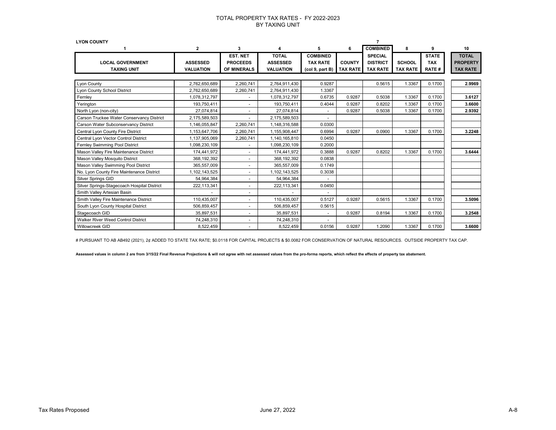| <b>LYON COUNTY</b>                          |                  |                          |                        |                 |                 |                 |                 |              |                 |
|---------------------------------------------|------------------|--------------------------|------------------------|-----------------|-----------------|-----------------|-----------------|--------------|-----------------|
|                                             | 2                | 3                        | $\boldsymbol{\Lambda}$ |                 | 6               | <b>COMBINED</b> | 8               | 9            | 10              |
|                                             |                  | <b>EST. NET</b>          | <b>TOTAL</b>           | <b>COMBINED</b> |                 | <b>SPECIAL</b>  |                 | <b>STATE</b> | <b>TOTAL</b>    |
| <b>LOCAL GOVERNMENT</b>                     | <b>ASSESSED</b>  | <b>PROCEEDS</b>          | <b>ASSESSED</b>        | <b>TAX RATE</b> | <b>COUNTY</b>   | <b>DISTRICT</b> | <b>SCHOOL</b>   | <b>TAX</b>   | <b>PROPERTY</b> |
| <b>TAXING UNIT</b>                          | <b>VALUATION</b> | <b>OF MINERALS</b>       | <b>VALUATION</b>       | (col 9, part B) | <b>TAX RATE</b> | <b>TAX RATE</b> | <b>TAX RATE</b> | <b>RATE#</b> | <b>TAX RATE</b> |
|                                             |                  |                          |                        |                 |                 |                 |                 |              |                 |
| Lyon County                                 | 2,762,650,689    | 2,260,741                | 2,764,911,430          | 0.9287          |                 | 0.5615          | 1.3367          | 0.1700       | 2.9969          |
| Lyon County School District                 | 2,762,650,689    | 2,260,741                | 2,764,911,430          | 1.3367          |                 |                 |                 |              |                 |
| Fernley                                     | 1,078,312,797    | $\blacksquare$           | 1,078,312,797          | 0.6735          | 0.9287          | 0.5038          | 1.3367          | 0.1700       | 3.6127          |
| Yerington                                   | 193,750,411      |                          | 193,750,411            | 0.4044          | 0.9287          | 0.8202          | 1.3367          | 0.1700       | 3.6600          |
| North Lyon (non-city)                       | 27,074,814       | $\blacksquare$           | 27,074,814             | $\blacksquare$  | 0.9287          | 0.5038          | 1.3367          | 0.1700       | 2.9392          |
| Carson Truckee Water Conservancy District   | 2,175,589,503    |                          | 2,175,589,503          | $\blacksquare$  |                 |                 |                 |              |                 |
| Carson Water Subconservancy District        | 1,146,055,847    | 2,260,741                | 1,148,316,588          | 0.0300          |                 |                 |                 |              |                 |
| Central Lyon County Fire District           | 1,153,647,706    | 2,260,741                | 1,155,908,447          | 0.6994          | 0.9287          | 0.0900          | 1.3367          | 0.1700       | 3.2248          |
| Central Lyon Vector Control District        | 1,137,905,069    | 2,260,741                | 1,140,165,810          | 0.0450          |                 |                 |                 |              |                 |
| Fernley Swimming Pool District              | 1,098,230,109    |                          | 1,098,230,109          | 0.2000          |                 |                 |                 |              |                 |
| Mason Valley Fire Maintenance District      | 174,441,972      | $\overline{\phantom{a}}$ | 174,441,972            | 0.3888          | 0.9287          | 0.8202          | 1.3367          | 0.1700       | 3.6444          |
| Mason Valley Mosquito District              | 368,192,392      | $\blacksquare$           | 368,192,392            | 0.0838          |                 |                 |                 |              |                 |
| Mason Valley Swimming Pool District         | 365,557,009      |                          | 365,557,009            | 0.1749          |                 |                 |                 |              |                 |
| No. Lyon County Fire Maintenance District   | 1,102,143,525    |                          | 1,102,143,525          | 0.3038          |                 |                 |                 |              |                 |
| <b>Silver Springs GID</b>                   | 54,964,384       | $\overline{\phantom{a}}$ | 54,964,384             |                 |                 |                 |                 |              |                 |
| Silver Springs-Stagecoach Hospital District | 222,113,341      | $\blacksquare$           | 222,113,341            | 0.0450          |                 |                 |                 |              |                 |
| Smith Valley Artesian Basin                 |                  |                          |                        |                 |                 |                 |                 |              |                 |
| Smith Valley Fire Maintenance District      | 110,435,007      | $\blacksquare$           | 110,435,007            | 0.5127          | 0.9287          | 0.5615          | 1.3367          | 0.1700       | 3.5096          |
| South Lyon County Hospital District         | 506,859,457      | $\overline{\phantom{a}}$ | 506,859,457            | 0.5615          |                 |                 |                 |              |                 |
| Stagecoach GID                              | 35,897,531       |                          | 35,897,531             | ÷.              | 0.9287          | 0.8194          | 1.3367          | 0.1700       | 3.2548          |
| <b>Walker River Weed Control District</b>   | 74,248,310       | $\overline{\phantom{a}}$ | 74,248,310             | ٠               |                 |                 |                 |              |                 |
| Willowcreek GID                             | 8,522,459        |                          | 8,522,459              | 0.0156          | 0.9287          | 1.2090          | 1.3367          | 0.1700       | 3.6600          |
|                                             |                  |                          |                        |                 |                 |                 |                 |              |                 |

# PURSUANT TO AB AB492 (2021), 2¢ ADDED TO STATE TAX RATE; \$0.0118 FOR CAPITAL PROJECTS & \$0.0082 FOR CONSERVATION OF NATURAL RESOURCES. OUTSIDE PROPERTY TAX CAP.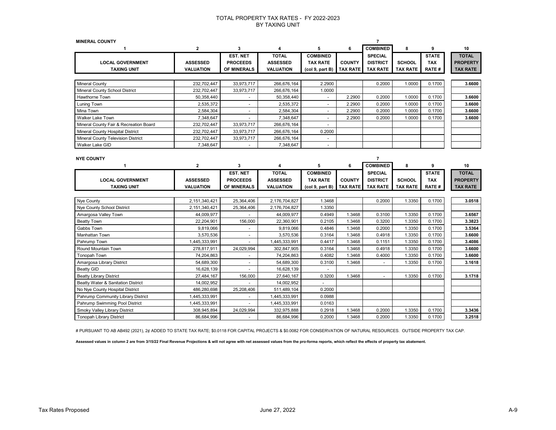| <b>MINERAL COUNTY</b><br>7                                                                                                                                                                                                                                                                                                                                                                |                                                                                                  |
|-------------------------------------------------------------------------------------------------------------------------------------------------------------------------------------------------------------------------------------------------------------------------------------------------------------------------------------------------------------------------------------------|--------------------------------------------------------------------------------------------------|
| <b>COMBINED</b><br>$\mathbf{2}$<br>3<br>5<br>6<br>8                                                                                                                                                                                                                                                                                                                                       | 9<br>10                                                                                          |
| <b>TOTAL</b><br><b>EST. NET</b><br><b>COMBINED</b><br><b>SPECIAL</b><br><b>ASSESSED</b><br><b>DISTRICT</b><br><b>LOCAL GOVERNMENT</b><br><b>ASSESSED</b><br><b>PROCEEDS</b><br><b>TAX RATE</b><br><b>COUNTY</b><br><b>SCHOOL</b><br><b>TAXING UNIT</b><br><b>VALUATION</b><br>OF MINERALS<br><b>VALUATION</b><br>(col 9, part B)<br><b>TAX RATE</b><br><b>TAX RATE</b><br><b>TAX RATE</b> | <b>TOTAL</b><br><b>STATE</b><br><b>PROPERTY</b><br><b>TAX</b><br><b>RATE#</b><br><b>TAX RATE</b> |
|                                                                                                                                                                                                                                                                                                                                                                                           |                                                                                                  |
| 33,973,717<br><b>Mineral County</b><br>232,702,447<br>266,676,164<br>2.2900<br>0.2000                                                                                                                                                                                                                                                                                                     | 1.0000<br>0.1700<br>3.6600                                                                       |
| Mineral County School District<br>232,702,447<br>33,973,717<br>266,676,164<br>1.0000                                                                                                                                                                                                                                                                                                      |                                                                                                  |
| 50,358,440<br>2.2900<br>Hawthorne Town<br>50,358,440<br>0.2000                                                                                                                                                                                                                                                                                                                            | 1.0000<br>0.1700<br>3.6600                                                                       |
| 2,535,372<br>2,535,372<br>2.2900<br>0.2000<br>Luning Town<br>$\sim$<br>$\blacksquare$                                                                                                                                                                                                                                                                                                     | 1.0000<br>0.1700<br>3.6600                                                                       |
| 2,584,304<br>Mina Town<br>2,584,304<br>2.2900<br>0.2000<br>$\blacksquare$<br>$\blacksquare$                                                                                                                                                                                                                                                                                               | 1.0000<br>0.1700<br>3.6600                                                                       |
| <b>Walker Lake Town</b><br>7,348,647<br>7,348,647<br>2.2900<br>0.2000<br>$\blacksquare$                                                                                                                                                                                                                                                                                                   | 1.0000<br>0.1700<br>3.6600                                                                       |
| Mineral County Fair & Recreation Board<br>232,702,447<br>33,973,717<br>266,676,164<br>÷                                                                                                                                                                                                                                                                                                   |                                                                                                  |
| Mineral County Hospital District<br>232,702,447<br>33,973,717<br>266,676,164<br>0.2000                                                                                                                                                                                                                                                                                                    |                                                                                                  |
| Mineral County Television District<br>232,702,447<br>33,973,717<br>266,676,164                                                                                                                                                                                                                                                                                                            |                                                                                                  |
| 7,348,647<br>7,348,647<br>Walker Lake GID<br>$\sim$<br>ä,                                                                                                                                                                                                                                                                                                                                 |                                                                                                  |
|                                                                                                                                                                                                                                                                                                                                                                                           |                                                                                                  |
| <b>NYE COUNTY</b><br>7<br><b>COMBINED</b>                                                                                                                                                                                                                                                                                                                                                 |                                                                                                  |
| $\mathbf{2}$<br>3<br>5<br>8<br>4<br>6<br>$\mathbf 1$                                                                                                                                                                                                                                                                                                                                      | 10<br>9<br><b>TOTAL</b>                                                                          |
| <b>EST. NET</b><br><b>TOTAL</b><br><b>COMBINED</b><br><b>SPECIAL</b><br><b>PROCEEDS</b><br><b>COUNTY</b><br><b>DISTRICT</b><br><b>SCHOOL</b>                                                                                                                                                                                                                                              | <b>STATE</b><br><b>TAX</b><br><b>PROPERTY</b>                                                    |
| <b>LOCAL GOVERNMENT</b><br><b>ASSESSED</b><br><b>ASSESSED</b><br><b>TAX RATE</b><br><b>TAXING UNIT</b><br><b>VALUATION</b><br>OF MINERALS<br><b>VALUATION</b><br><b>TAX RATE</b><br><b>TAX RATE</b><br><b>TAX RATE</b><br>(col 9, part B)                                                                                                                                                 | RATE#<br><b>TAX RATE</b>                                                                         |
|                                                                                                                                                                                                                                                                                                                                                                                           |                                                                                                  |
| 25,364,406<br>1.3468<br>Nye County<br>2,151,340,421<br>2,176,704,827<br>0.2000                                                                                                                                                                                                                                                                                                            | 1.3350<br>0.1700<br>3.0518                                                                       |
| Nye County School District<br>2,151,340,421<br>25,364,406<br>2,176,704,827<br>1.3350                                                                                                                                                                                                                                                                                                      |                                                                                                  |
| 1.3468<br>Amargosa Valley Town<br>44,009,977<br>44,009,977<br>0.4949<br>0.3100                                                                                                                                                                                                                                                                                                            | 1.3350<br>0.1700<br>3.6567                                                                       |
| 22,204,901<br>156,000<br>22,360,901<br>0.2105<br>1.3468<br>0.3200<br><b>Beatty Town</b>                                                                                                                                                                                                                                                                                                   | 1.3350<br>0.1700<br>3.3823                                                                       |
| 9,819,066<br>9,819,066<br>0.2000<br>Gabbs Town<br>0.4846<br>1.3468<br>$\sim$                                                                                                                                                                                                                                                                                                              | 1.3350<br>3.5364<br>0.1700                                                                       |
| 3,570,536<br>3,570,536<br>0.3164<br>1.3468<br>0.4918<br>Manhattan Town<br>$\sim$                                                                                                                                                                                                                                                                                                          | 1.3350<br>0.1700<br>3.6600                                                                       |
| Pahrump Town<br>1,445,333,991<br>1,445,333,991<br>0.4417<br>1.3468<br>0.1151                                                                                                                                                                                                                                                                                                              | 1.3350<br>0.1700<br>3.4086                                                                       |
| 278,817,911<br>24,029,994<br>1.3468<br>0.4918<br>Round Mountain Town<br>302,847,905<br>0.3164                                                                                                                                                                                                                                                                                             | 1.3350<br>3.6600<br>0.1700                                                                       |
| 74,204,863<br>74,204,863<br>0.4082<br>1.3468<br>0.4000<br><b>Tonopah Town</b>                                                                                                                                                                                                                                                                                                             | 1.3350<br>0.1700<br>3.6600                                                                       |
| 54,689,300<br>54,689,300<br>Amargosa Library District<br>0.3100<br>1.3468<br>$\sim$<br>÷.                                                                                                                                                                                                                                                                                                 | 1.3350<br>0.1700<br>3.1618                                                                       |
| <b>Beatty GID</b><br>16,628,139<br>16,628,139<br>$\sim$<br>$\blacksquare$                                                                                                                                                                                                                                                                                                                 |                                                                                                  |
| <b>Beatty Library District</b><br>27,484,167<br>156,000<br>27,640,167<br>0.3200<br>1.3468<br>$\blacksquare$                                                                                                                                                                                                                                                                               | 1.3350<br>0.1700<br>3.1718                                                                       |
| Beatty Water & Sanitation District<br>14,002,952<br>14,002,952                                                                                                                                                                                                                                                                                                                            |                                                                                                  |
| 486,280,698<br>25,208,406<br>511,489,104<br>0.2000<br>No Nye County Hospital District                                                                                                                                                                                                                                                                                                     |                                                                                                  |
| 1,445,333,991<br>0.0988<br>Pahrump Community Library District<br>1,445,333,991<br>$\omega$                                                                                                                                                                                                                                                                                                |                                                                                                  |
| Pahrump Swimming Pool District<br>1,445,333,991<br>1,445,333,991<br>0.0163<br>$\blacksquare$                                                                                                                                                                                                                                                                                              |                                                                                                  |
| Smoky Valley Library District<br>308,945,894<br>24,029,994<br>332,975,888<br>0.2918<br>1.3468<br>0.2000                                                                                                                                                                                                                                                                                   | 1.3350<br>3.3436<br>0.1700                                                                       |
| <b>Tonopah Library District</b><br>86,684,996<br>86,684,996<br>0.2000<br>1.3468<br>0.2000<br>÷.                                                                                                                                                                                                                                                                                           | 1.3350<br>0.1700<br>3.2518                                                                       |

# PURSUANT TO AB AB492 (2021), 2¢ ADDED TO STATE TAX RATE; \$0.0118 FOR CAPITAL PROJECTS & \$0.0082 FOR CONSERVATION OF NATURAL RESOURCES. OUTSIDE PROPERTY TAX CAP.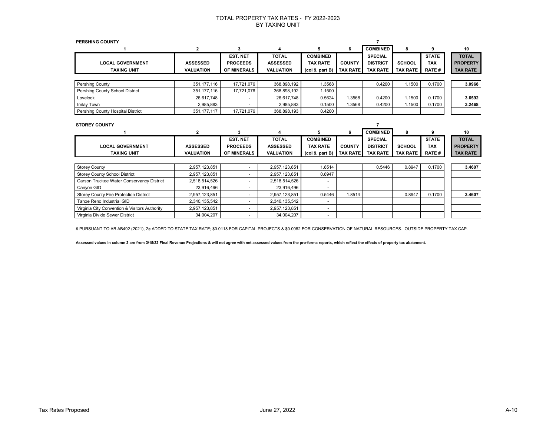| <b>PERSHING COUNTY</b>            |                  |                    |                  |                 |                 |                 |                 |              |                 |
|-----------------------------------|------------------|--------------------|------------------|-----------------|-----------------|-----------------|-----------------|--------------|-----------------|
|                                   | $\overline{2}$   | 3                  | 4                | 5               | 6               | <b>COMBINED</b> | 8               | 9            | 10              |
|                                   |                  | <b>EST. NET</b>    | <b>TOTAL</b>     | <b>COMBINED</b> |                 | <b>SPECIAL</b>  |                 | <b>STATE</b> | <b>TOTAL</b>    |
| <b>LOCAL GOVERNMENT</b>           | <b>ASSESSED</b>  | <b>PROCEEDS</b>    | <b>ASSESSED</b>  | <b>TAX RATE</b> | <b>COUNTY</b>   | <b>DISTRICT</b> | <b>SCHOOL</b>   | <b>TAX</b>   | <b>PROPERTY</b> |
| <b>TAXING UNIT</b>                | <b>VALUATION</b> | <b>OF MINERALS</b> | <b>VALUATION</b> | (col 9, part B) | <b>TAX RATE</b> | <b>TAX RATE</b> | <b>TAX RATE</b> | RATE#        | <b>TAX RATE</b> |
|                                   |                  |                    |                  |                 |                 |                 |                 |              |                 |
| Pershing County                   | 351, 177, 116    | 17,721,076         | 368,898,192      | 1.3568          |                 | 0.4200          | 1.1500          | 0.1700       | 3.0968          |
| Pershing County School District   | 351, 177, 116    | 17,721,076         | 368,898,192      | 1.1500          |                 |                 |                 |              |                 |
| Lovelock                          | 26,617,748       | $\sim$             | 26,617,748       | 0.5624          | .3568           | 0.4200          | 1.1500          | 0.1700       | 3.6592          |
| Imlay Town                        | 2,985,883        | $\sim$             | 2,985,883        | 0.1500          | .3568           | 0.4200          | 1.1500          | 0.1700       | 3.2468          |
| Pershing County Hospital District | 351, 177, 117    | 17,721,076         | 368,898,193      | 0.4200          |                 |                 |                 |              |                 |
|                                   |                  |                    |                  |                 |                 |                 |                 |              |                 |
| <b>STOREY COUNTY</b>              |                  |                    |                  |                 |                 |                 |                 |              |                 |
|                                   | $\overline{2}$   | 3                  | 4                | 5               | 6               | <b>COMBINED</b> | 8               | 9            | 10              |
|                                   |                  | <b>EST. NET</b>    | <b>TOTAL</b>     | <b>COMBINED</b> |                 | <b>SPECIAL</b>  |                 | <b>STATE</b> | <b>TOTAL</b>    |

| LOCAL GOVERNMENT                              | <b>ASSESSED</b>  | <b>PROCEEDS</b>    | <b>ASSESSED</b>  | TAX RATE                                      | <b>COUNTY</b>   | <b>DISTRICT</b> | <b>SCHOOL</b>   | TAX           | <b>PROPERTY</b> |
|-----------------------------------------------|------------------|--------------------|------------------|-----------------------------------------------|-----------------|-----------------|-----------------|---------------|-----------------|
| <b>TAXING UNIT</b>                            | <b>VALUATION</b> | <b>OF MINERALS</b> | <b>VALUATION</b> | $\left(\text{col } 9, \text{ part } B\right)$ | <b>TAX RATE</b> | <b>TAX RATE</b> | <b>TAX RATE</b> | <b>RATE #</b> | <b>TAX RATE</b> |
|                                               |                  |                    |                  |                                               |                 |                 |                 |               |                 |
| <b>Storey County</b>                          | 2,957,123,851    |                    | 2,957,123,851    | 1.8514                                        |                 | 0.5446          | 0.8947          | 0.1700        | 3.4607          |
| <b>Storey County School District</b>          | 2,957,123,851    |                    | 2.957.123.851    | 0.8947                                        |                 |                 |                 |               |                 |
| Carson Truckee Water Conservancy District     | 2,518,514,526    |                    | 2,518,514,526    |                                               |                 |                 |                 |               |                 |
| Canyon GID                                    | 23,916,496       |                    | 23.916.496       | $\overline{\phantom{0}}$                      |                 |                 |                 |               |                 |
| <b>Storey County Fire Protection District</b> | 2,957,123,851    |                    | 2,957,123,851    | 0.5446                                        | 1.8514          |                 | 0.8947          | 0.1700        | 3.4607          |
| Tahoe Reno Industrial GID                     | 2,340,135,542    |                    | 2,340,135,542    |                                               |                 |                 |                 |               |                 |
| Virginia City Convention & Visitors Authority | 2,957,123,851    |                    | 2,957,123,851    | $\overline{\phantom{0}}$                      |                 |                 |                 |               |                 |
| Virginia Divide Sewer District                | 34,004,207       |                    | 34,004,207       |                                               |                 |                 |                 |               |                 |

# PURSUANT TO AB AB492 (2021), 2¢ ADDED TO STATE TAX RATE; \$0.0118 FOR CAPITAL PROJECTS & \$0.0082 FOR CONSERVATION OF NATURAL RESOURCES. OUTSIDE PROPERTY TAX CAP.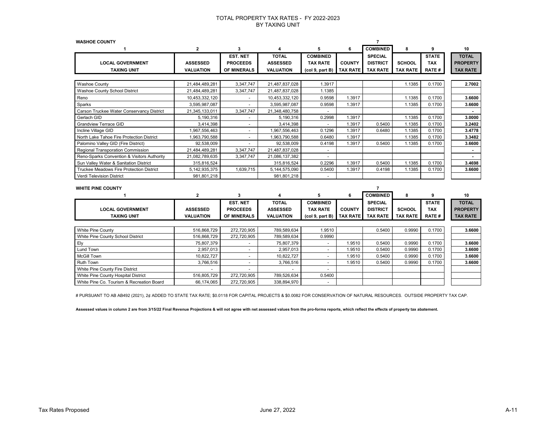| <b>WASHOE COUNTY</b>                        |                  |                 |                  |                 |                 | $\overline{7}$  |                 |              |                 |
|---------------------------------------------|------------------|-----------------|------------------|-----------------|-----------------|-----------------|-----------------|--------------|-----------------|
|                                             | 2                | 3               | 4                | 5               | 6               | <b>COMBINED</b> | 8               | 9            | 10              |
|                                             |                  | <b>EST. NET</b> | <b>TOTAL</b>     | <b>COMBINED</b> |                 | <b>SPECIAL</b>  |                 | <b>STATE</b> | <b>TOTAL</b>    |
| <b>LOCAL GOVERNMENT</b>                     | <b>ASSESSED</b>  | <b>PROCEEDS</b> | <b>ASSESSED</b>  | <b>TAX RATE</b> | <b>COUNTY</b>   | <b>DISTRICT</b> | <b>SCHOOL</b>   | <b>TAX</b>   | <b>PROPERTY</b> |
| <b>TAXING UNIT</b>                          | <b>VALUATION</b> | OF MINERALS     | <b>VALUATION</b> | (col 9, part B) | <b>TAX RATE</b> | <b>TAX RATE</b> | <b>TAX RATE</b> | <b>RATE#</b> | <b>TAX RATE</b> |
|                                             |                  |                 |                  |                 |                 |                 |                 |              |                 |
| <b>Washoe County</b>                        | 21,484,489,281   | 3,347,747       | 21,487,837,028   | 1.3917          |                 |                 | 1.1385          | 0.1700       | 2.7002          |
| Washoe County School District               | 21,484,489,281   | 3,347,747       | 21,487,837,028   | 1.1385          |                 |                 |                 |              |                 |
| Reno                                        | 10,453,332,120   |                 | 10,453,332,120   | 0.9598          | 1.3917          |                 | 1.1385          | 0.1700       | 3.6600          |
| Sparks                                      | 3,595,987,087    |                 | 3,595,987,087    | 0.9598          | 1.3917          |                 | 1.1385          | 0.1700       | 3.6600          |
| Carson Truckee Water Conservancy District   | 21,345,133,011   | 3,347,747       | 21,348,480,758   |                 |                 |                 |                 |              |                 |
| Gerlach GID                                 | 5,190,316        |                 | 5,190,316        | 0.2998          | 1.3917          |                 | 1.1385          | 0.1700       | 3.0000          |
| <b>Grandview Terrace GID</b>                | 3,414,398        |                 | 3,414,398        |                 | 1.3917          | 0.5400          | 1.1385          | 0.1700       | 3.2402          |
| Incline Village GID                         | 1,967,556,463    | $\sim$          | 1,967,556,463    | 0.1296          | 1.3917          | 0.6480          | 1.1385          | 0.1700       | 3.4778          |
| North Lake Tahoe Fire Protection District   | 1,963,790,588    | ä,              | 1,963,790,588    | 0.6480          | 1.3917          |                 | 1.1385          | 0.1700       | 3.3482          |
| Palomino Valley GID (Fire District)         | 92,538,009       |                 | 92,538,009       | 0.4198          | 1.3917          | 0.5400          | 1.1385          | 0.1700       | 3.6600          |
| Regional Transporation Commission           | 21,484,489,281   | 3,347,747       | 21,487,837,028   |                 |                 |                 |                 |              |                 |
| Reno-Sparks Convention & Visitors Authority | 21,082,789,635   | 3,347,747       | 21,086,137,382   |                 |                 |                 |                 |              |                 |
| Sun Valley Water & Sanitation District      | 315,816,524      |                 | 315,816,524      | 0.2296          | 1.3917          | 0.5400          | 1.1385          | 0.1700       | 3.4698          |
| Truckee Meadows Fire Protection District    | 5, 142, 935, 375 | 1,639,715       | 5,144,575,090    | 0.5400          | 1.3917          | 0.4198          | 1.1385          | 0.1700       | 3.6600          |
| <b>Verdi Television District</b>            | 981,801,218      |                 | 981,801,218      |                 |                 |                 |                 |              |                 |
|                                             |                  |                 |                  |                 |                 |                 |                 |              |                 |
| <b>WHITE PINE COUNTY</b>                    |                  |                 |                  |                 |                 | $\overline{7}$  |                 |              |                 |
|                                             | 2                | 3               | 4                | 5               | 6               | <b>COMBINED</b> | 8               | 9            | 10              |
|                                             |                  | EST. NET        | <b>TOTAL</b>     | <b>COMBINED</b> |                 | <b>SPECIAL</b>  |                 | <b>STATE</b> | <b>TOTAL</b>    |
| <b>LOCAL GOVERNMENT</b>                     | <b>ASSESSED</b>  | <b>PROCEEDS</b> | <b>ASSESSED</b>  | <b>TAX RATE</b> | <b>COUNTY</b>   | <b>DISTRICT</b> | <b>SCHOOL</b>   | <b>TAX</b>   | <b>PROPERTY</b> |
| <b>TAXING UNIT</b>                          | <b>VALUATION</b> | OF MINERALS     | <b>VALUATION</b> | (col 9, part B) | <b>TAX RATE</b> | <b>TAX RATE</b> | <b>TAX RATE</b> | <b>RATE#</b> | <b>TAX RATE</b> |
|                                             |                  |                 |                  |                 |                 |                 |                 |              |                 |
| White Pine County                           | 516,868,729      | 272,720,905     | 789,589,634      | 1.9510          |                 | 0.5400          | 0.9990          | 0.1700       | 3.6600          |
| White Pine County School District           | 516,868,729      | 272,720,905     | 789,589,634      | 0.9990          |                 |                 |                 |              |                 |
| Ely                                         | 75,807,379       |                 | 75,807,379       |                 | 1.9510          | 0.5400          | 0.9990          | 0.1700       | 3.6600          |
| Lund Town                                   | 2,957,013        | $\overline{a}$  | 2,957,013        |                 | 1.9510          | 0.5400          | 0.9990          | 0.1700       | 3.6600          |
| <b>McGill Town</b>                          | 10,822,727       | $\blacksquare$  | 10,822,727       |                 | 1.9510          | 0.5400          | 0.9990          | 0.1700       | 3.6600          |
| <b>Ruth Town</b>                            | 3,766,516        | $\blacksquare$  | 3,766,516        |                 | 1.9510          | 0.5400          | 0.9990          | 0.1700       | 3.6600          |
| White Pine County Fire District             |                  |                 |                  |                 |                 |                 |                 |              |                 |
| White Pine County Hospital District         | 516.805.729      | 272.720.905     | 789,526,634      | 0.5400          |                 |                 |                 |              |                 |

# PURSUANT TO AB AB492 (2021), 2¢ ADDED TO STATE TAX RATE; \$0.0118 FOR CAPITAL PROJECTS & \$0.0082 FOR CONSERVATION OF NATURAL RESOURCES. OUTSIDE PROPERTY TAX CAP.

**Assessed values in column 2 are from 3/15/22 Final Revenue Projections & will not agree with net assessed values from the pro-forma reports, which reflect the effects of property tax abatement.**

White Pine Co. Tourism & Recreation Board 66,174,065 272,720,905 338,894,970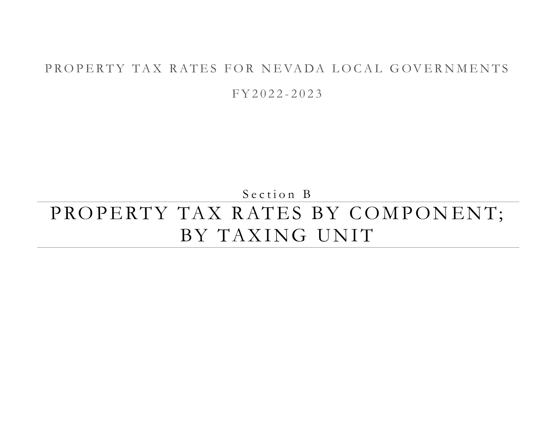## PROPERTY TAX RATES FOR NEVADA LOCAL GOVERNMENTS

F Y 2 0 2 2 - 2 0 2 3

Section B

# PROPERTY TAX RATES BY COMPONENT; BY TAXING UNIT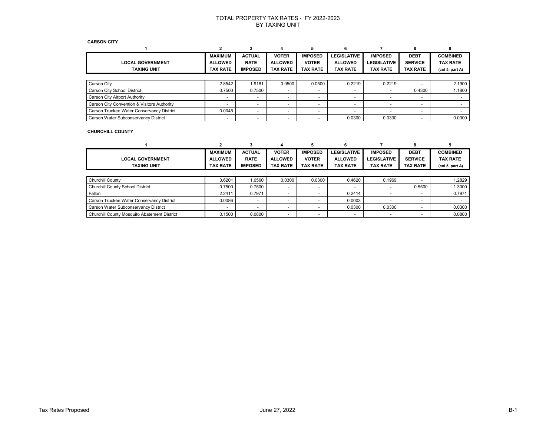#### **CARSON CITY**

|                                             | <b>MAXIMUM</b>  | <b>ACTUAL</b>            | <b>VOTER</b>             | <b>IMPOSED</b>           | <b>LEGISLATIVE</b>       | <b>IMPOSED</b>           | <b>DEBT</b>              | <b>COMBINED</b>                         |
|---------------------------------------------|-----------------|--------------------------|--------------------------|--------------------------|--------------------------|--------------------------|--------------------------|-----------------------------------------|
| <b>LOCAL GOVERNMENT</b>                     | <b>ALLOWED</b>  | <b>RATE</b>              | <b>ALLOWED</b>           | <b>VOTER</b>             | <b>ALLOWED</b>           | <b>LEGISLATIVE</b>       | <b>SERVICE</b>           | <b>TAX RATE</b>                         |
| <b>TAXING UNIT</b>                          | <b>TAX RATE</b> | <b>IMPOSED</b>           | <b>TAX RATE</b>          | <b>TAX RATE</b>          | <b>TAX RATE</b>          | <b>TAX RATE</b>          | <b>TAX RATE</b>          | (col <sub>5</sub> , part <sub>A</sub> ) |
|                                             |                 |                          |                          |                          |                          |                          |                          |                                         |
| Carson City                                 | 2.8542          | 1.9181                   | 0.0500                   | 0.0500                   | 0.2219                   | 0.2219                   |                          | 2.1900                                  |
| Carson City School District                 | 0.7500          | 0.7500                   |                          |                          | $\overline{\phantom{a}}$ |                          | 0.4300                   | 1.1800                                  |
| Carson City Airport Authority               |                 |                          |                          |                          | $\overline{\phantom{a}}$ |                          |                          |                                         |
| Carson City Convention & Visitors Authority |                 | -                        |                          |                          | $\overline{\phantom{a}}$ | $\overline{\phantom{0}}$ | $\overline{\phantom{0}}$ |                                         |
| Carson Truckee Water Conservancy District   | 0.0045          | $\overline{\phantom{0}}$ | $\overline{\phantom{0}}$ | $\overline{\phantom{a}}$ | $\overline{\phantom{a}}$ | $\overline{\phantom{0}}$ | $\overline{\phantom{0}}$ |                                         |
| Carson Water Subconservancy District        |                 | $\overline{\phantom{0}}$ | $\overline{\phantom{0}}$ |                          | 0.0300                   | 0.0300                   |                          | 0.0300                                  |

### **CHURCHILL COUNTY**

|                                              | MAXIMUM        | <b>ACTUAL</b>            | <b>VOTER</b>    | <b>IMPOSED</b>  | <b>LEGISLATIVE</b> | <b>IMPOSED</b>     | <b>DEBT</b>     | <b>COMBINED</b>                         |
|----------------------------------------------|----------------|--------------------------|-----------------|-----------------|--------------------|--------------------|-----------------|-----------------------------------------|
| <b>LOCAL GOVERNMENT</b>                      | <b>ALLOWED</b> | <b>RATE</b>              | <b>ALLOWED</b>  | <b>VOTER</b>    | <b>ALLOWED</b>     | <b>LEGISLATIVE</b> | <b>SERVICE</b>  | <b>TAX RATE</b>                         |
| <b>TAXING UNIT</b>                           | TAX RATE       | <b>IMPOSED</b>           | <b>TAX RATE</b> | <b>TAX RATE</b> | <b>TAX RATE</b>    | <b>TAX RATE</b>    | <b>TAX RATE</b> | (col <sub>5</sub> , part <sub>A</sub> ) |
|                                              |                |                          |                 |                 |                    |                    |                 |                                         |
| <b>Churchill County</b>                      | 3.6201         | 1.0560                   | 0.0300          | 0.0300          | 0.4620             | 0.1969             |                 | 1.2829                                  |
| Churchill County School District             | 0.7500         | 0.7500                   |                 |                 |                    |                    | 0.5500          | 1.3000                                  |
| Fallon                                       | 2.2411         | 0.7971                   |                 |                 | 0.2414             |                    |                 | 0.7971                                  |
| Carson Truckee Water Conservancy District    | 0.0086         | $\sim$                   |                 |                 | 0.0003             |                    |                 |                                         |
| Carson Water Subconservancy District         |                | $\overline{\phantom{0}}$ |                 |                 | 0.0300             | 0.0300             |                 | 0.0300                                  |
| Churchill County Mosquito Abatement District | 0.1500         | 0.0800                   |                 |                 |                    |                    |                 | 0.0800                                  |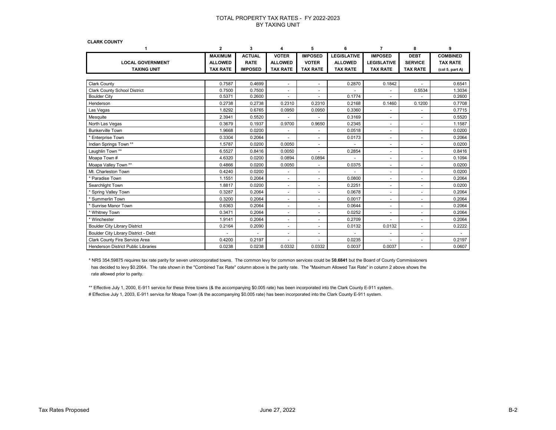**CLARK COUNTY**

| 1                                          | $\mathbf{2}$    | 3              | 4                        | 5                            | 6                  | 7                        | 8                        | 9               |
|--------------------------------------------|-----------------|----------------|--------------------------|------------------------------|--------------------|--------------------------|--------------------------|-----------------|
|                                            | <b>MAXIMUM</b>  | <b>ACTUAL</b>  | <b>VOTER</b>             | <b>IMPOSED</b>               | <b>LEGISLATIVE</b> | <b>IMPOSED</b>           | <b>DEBT</b>              | <b>COMBINED</b> |
| <b>LOCAL GOVERNMENT</b>                    | <b>ALLOWED</b>  | <b>RATE</b>    | <b>ALLOWED</b>           | <b>VOTER</b>                 | <b>ALLOWED</b>     | <b>LEGISLATIVE</b>       | <b>SERVICE</b>           | <b>TAX RATE</b> |
| <b>TAXING UNIT</b>                         | <b>TAX RATE</b> | <b>IMPOSED</b> | <b>TAX RATE</b>          | <b>TAX RATE</b>              | <b>TAX RATE</b>    | <b>TAX RATE</b>          | <b>TAX RATE</b>          | (col 5, part A) |
|                                            |                 |                |                          |                              |                    |                          |                          |                 |
| <b>Clark County</b>                        | 0.7587          | 0.4699         | $\ddot{\phantom{1}}$     | ÷.                           | 0.2870             | 0.1842                   |                          | 0.6541          |
| <b>Clark County School District</b>        | 0.7500          | 0.7500         | $\sim$                   | ÷.                           |                    | $\sim$                   | 0.5534                   | 1.3034          |
| <b>Boulder City</b>                        | 0.5371          | 0.2600         | $\blacksquare$           |                              | 0.1774             |                          |                          | 0.2600          |
| Henderson                                  | 0.2738          | 0.2738         | 0.2310                   | 0.2310                       | 0.2168             | 0.1460                   | 0.1200                   | 0.7708          |
| Las Vegas                                  | 1.8292          | 0.6765         | 0.0950                   | 0.0950                       | 0.3360             |                          |                          | 0.7715          |
| Mesquite                                   | 2.3941          | 0.5520         |                          | ٠                            | 0.3169             | $\overline{\phantom{a}}$ | $\overline{\phantom{a}}$ | 0.5520          |
| North Las Vegas                            | 0.3679          | 0.1937         | 0.9700                   | 0.9650                       | 0.2345             | $\overline{\phantom{a}}$ | $\overline{\phantom{a}}$ | 1.1587          |
| <b>Bunkerville Town</b>                    | 1.9668          | 0.0200         |                          | $\qquad \qquad \blacksquare$ | 0.0518             | $\overline{\phantom{a}}$ | $\overline{\phantom{a}}$ | 0.0200          |
| <b>Enterprise Town</b>                     | 0.3304          | 0.2064         |                          | ٠                            | 0.0173             | $\overline{\phantom{a}}$ | $\overline{\phantom{a}}$ | 0.2064          |
| Indian Springs Town **                     | 1.5787          | 0.0200         | 0.0050                   | $\blacksquare$               |                    | $\overline{\phantom{a}}$ | $\sim$                   | 0.0200          |
| Laughlin Town **                           | 6.5527          | 0.8416         | 0.0050                   | ÷.                           | 0.2854             | $\sim$                   | $\blacksquare$           | 0.8416          |
| Moapa Town #                               | 4.6320          | 0.0200         | 0.0894                   | 0.0894                       |                    | $\overline{\phantom{a}}$ | $\sim$                   | 0.1094          |
| Moapa Valley Town **                       | 0.4866          | 0.0200         | 0.0050                   | ٠                            | 0.0375             | $\sim$                   | $\sim$                   | 0.0200          |
| Mt. Charleston Town                        | 0.4240          | 0.0200         | $\blacksquare$           | $\blacksquare$               |                    | $\overline{\phantom{a}}$ | $\sim$                   | 0.0200          |
| Paradise Town                              | 1.1551          | 0.2064         | $\blacksquare$           | ٠                            | 0.0800             | $\blacksquare$           | $\sim$                   | 0.2064          |
| Searchlight Town                           | 1.8817          | 0.0200         | $\blacksquare$           | ÷,                           | 0.2251             | $\sim$                   | $\blacksquare$           | 0.0200          |
| Spring Valley Town                         | 0.3287          | 0.2064         | $\blacksquare$           | ٠                            | 0.0678             |                          | $\blacksquare$           | 0.2064          |
| Summerlin Town                             | 0.3200          | 0.2064         | $\overline{\phantom{a}}$ | ٠                            | 0.0017             |                          | $\overline{\phantom{a}}$ | 0.2064          |
| Sunrise Manor Town                         | 0.6363          | 0.2064         | $\blacksquare$           | ٠                            | 0.0644             | $\sim$                   | $\blacksquare$           | 0.2064          |
| * Whitney Town                             | 0.3471          | 0.2064         | $\blacksquare$           | ÷,                           | 0.0252             | $\sim$                   | $\sim$                   | 0.2064          |
| * Winchester                               | 1.9141          | 0.2064         | $\blacksquare$           | ٠                            | 0.2709             |                          | $\sim$                   | 0.2064          |
| <b>Boulder City Library District</b>       | 0.2164          | 0.2090         | $\blacksquare$           | $\overline{\phantom{a}}$     | 0.0132             | 0.0132                   | $\blacksquare$           | 0.2222          |
| Boulder City Library District - Debt       |                 |                | $\blacksquare$           | ÷,                           |                    |                          | $\blacksquare$           |                 |
| Clark County Fire Service Area             | 0.4200          | 0.2197         |                          |                              | 0.0235             |                          |                          | 0.2197          |
| <b>Henderson District Public Libraries</b> | 0.0238          | 0.0238         | 0.0332                   | 0.0332                       | 0.0037             | 0.0037                   |                          | 0.0607          |

 \* NRS 354.59875 requires tax rate parity for seven unincorporated towns. The common levy for common services could be \$**0.6841** but the Board of County Commissioners has decided to levy \$0.2064. The rate shown in the "Combined Tax Rate" column above is the parity rate. The "Maximum Allowed Tax Rate" in column 2 above shows the rate allowed prior to parity.

\*\* Effective July 1, 2000, E-911 service for these three towns (& the accompanying \$0.005 rate) has been incorporated into the Clark County E-911 system. # Effective July 1, 2003, E-911 service for Moapa Town (& the accompanying \$0.005 rate) has been incorporated into the Clark County E-911 system.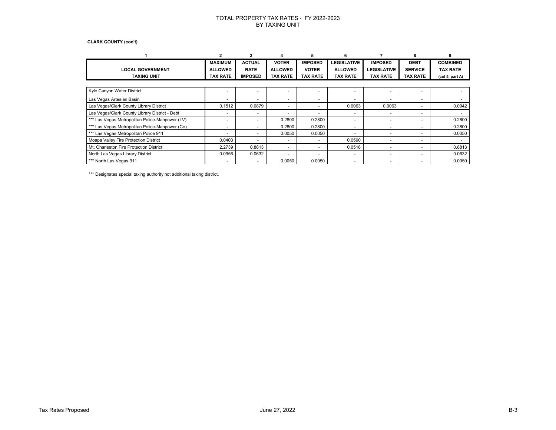#### **CLARK COUNTY (con't)**

|                                                 |                          |                          |                          |                          | 6                        |                          |                          |                 |  |  |  |
|-------------------------------------------------|--------------------------|--------------------------|--------------------------|--------------------------|--------------------------|--------------------------|--------------------------|-----------------|--|--|--|
|                                                 | <b>MAXIMUM</b>           | <b>ACTUAL</b>            | <b>VOTER</b>             | <b>IMPOSED</b>           | <b>LEGISLATIVE</b>       | <b>IMPOSED</b>           | <b>DEBT</b>              | <b>COMBINED</b> |  |  |  |
| <b>LOCAL GOVERNMENT</b>                         | <b>ALLOWED</b>           | <b>RATE</b>              | <b>ALLOWED</b>           | <b>VOTER</b>             | <b>ALLOWED</b>           | <b>LEGISLATIVE</b>       | <b>SERVICE</b>           | <b>TAX RATE</b> |  |  |  |
| <b>TAXING UNIT</b>                              | <b>TAX RATE</b>          | <b>IMPOSED</b>           | <b>TAX RATE</b>          | <b>TAX RATE</b>          | <b>TAX RATE</b>          | <b>TAX RATE</b>          | <b>TAX RATE</b>          | (col 5, part A) |  |  |  |
|                                                 |                          |                          |                          |                          |                          |                          |                          |                 |  |  |  |
| Kyle Canyon Water District                      | $\overline{\phantom{0}}$ | $\sim$                   | $\overline{\phantom{0}}$ | $\overline{\phantom{0}}$ | $\overline{a}$           |                          |                          |                 |  |  |  |
| Las Vegas Artesian Basin                        |                          |                          |                          | ٠                        | $\overline{a}$           |                          | $\overline{\phantom{0}}$ |                 |  |  |  |
| Las Vegas/Clark County Library District         | 0.1512                   | 0.0879                   | $\overline{\phantom{0}}$ | ٠                        | 0.0063                   | 0.0063                   | $\overline{\phantom{0}}$ | 0.0942          |  |  |  |
| Las Vegas/Clark County Library District - Debt  | -                        | $\overline{\phantom{0}}$ | $\overline{\phantom{0}}$ | -                        | $\overline{\phantom{a}}$ | $\overline{\phantom{0}}$ | $\overline{\phantom{0}}$ |                 |  |  |  |
| *** Las Vegas Metropolitan Police-Manpower (LV) |                          |                          | 0.2800                   | 0.2800                   | $\overline{a}$           |                          |                          | 0.2800          |  |  |  |
| *** Las Vegas Metropolitan Police-Manpower (Co) | $\overline{\phantom{0}}$ |                          | 0.2800                   | 0.2800                   | $\overline{\phantom{a}}$ | $\overline{\phantom{0}}$ | $\overline{\phantom{0}}$ | 0.2800          |  |  |  |
| *** Las Vegas Metropolitan Police 911           | -                        | $\overline{\phantom{0}}$ | 0.0050                   | 0.0050                   | $\overline{\phantom{a}}$ | $\overline{\phantom{0}}$ | $\overline{\phantom{0}}$ | 0.0050          |  |  |  |
| Moapa Valley Fire Protection District           | 0.0403                   |                          |                          | $\overline{\phantom{0}}$ | 0.0590                   |                          |                          |                 |  |  |  |
| Mt. Charleston Fire Protection District         | 2.2739                   | 0.8813                   | $\overline{\phantom{0}}$ | -                        | 0.0518                   |                          |                          | 0.8813          |  |  |  |
| North Las Vegas Library District                | 0.0956                   | 0.0632                   | $\overline{\phantom{0}}$ | $\overline{\phantom{0}}$ | $\overline{\phantom{a}}$ | $\overline{\phantom{0}}$ |                          | 0.0632          |  |  |  |
| *** North Las Vegas 911                         |                          | $\overline{\phantom{a}}$ | 0.0050                   | 0.0050                   | $\overline{\phantom{a}}$ |                          | $\overline{\phantom{0}}$ | 0.0050          |  |  |  |

\*\*\* Designates special taxing authority not additional taxing district.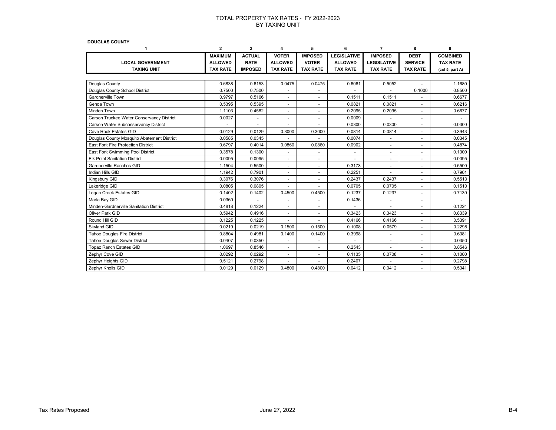**DOUGLAS COUNTY**

| 1                                          | $\mathbf{2}$    | 3                    | 4                        | 5                        | 6                        | 7                  | 8               | 9               |
|--------------------------------------------|-----------------|----------------------|--------------------------|--------------------------|--------------------------|--------------------|-----------------|-----------------|
|                                            | <b>MAXIMUM</b>  | <b>ACTUAL</b>        | <b>VOTER</b>             | <b>IMPOSED</b>           | <b>LEGISLATIVE</b>       | <b>IMPOSED</b>     | <b>DEBT</b>     | <b>COMBINED</b> |
| <b>LOCAL GOVERNMENT</b>                    | <b>ALLOWED</b>  | <b>RATE</b>          | <b>ALLOWED</b>           | <b>VOTER</b>             | <b>ALLOWED</b>           | <b>LEGISLATIVE</b> | <b>SERVICE</b>  | <b>TAX RATE</b> |
| <b>TAXING UNIT</b>                         | <b>TAX RATE</b> | <b>IMPOSED</b>       | <b>TAX RATE</b>          | <b>TAX RATE</b>          | <b>TAX RATE</b>          | <b>TAX RATE</b>    | <b>TAX RATE</b> | (col 5, part A) |
|                                            |                 |                      |                          |                          |                          |                    |                 |                 |
| Douglas County                             | 0.6838          | 0.6153               | 0.0475                   | 0.0475                   | 0.6061                   | 0.5052             | ÷               | 1.1680          |
| Douglas County School District             | 0.7500          | 0.7500               |                          | ä,                       |                          |                    | 0.1000          | 0.8500          |
| Gardnerville Town                          | 0.9797          | 0.5166               |                          |                          | 0.1511                   | 0.1511             |                 | 0.6677          |
| Genoa Town                                 | 0.5395          | 0.5395               | $\overline{\phantom{a}}$ | $\overline{\phantom{a}}$ | 0.0821                   | 0.0821             | $\blacksquare$  | 0.6216          |
| Minden Town                                | 1.1103          | 0.4582               |                          | ٠                        | 0.2095                   | 0.2095             |                 | 0.6677          |
| Carson Truckee Water Conservancy District  | 0.0027          | $\ddot{\phantom{1}}$ | $\sim$                   | $\sim$                   | 0.0009                   |                    | $\sim$          |                 |
| Carson Water Subconservancy District       |                 |                      |                          |                          | 0.0300                   | 0.0300             |                 | 0.0300          |
| Cave Rock Estates GID                      | 0.0129          | 0.0129               | 0.3000                   | 0.3000                   | 0.0814                   | 0.0814             | $\sim$          | 0.3943          |
| Douglas County Mosquito Abatement District | 0.0585          | 0.0345               |                          |                          | 0.0074                   |                    |                 | 0.0345          |
| East Fork Fire Protection District         | 0.6797          | 0.4014               | 0.0860                   | 0.0860                   | 0.0902                   | $\sim$             | $\sim$          | 0.4874          |
| East Fork Swimming Pool District           | 0.3578          | 0.1300               |                          | ÷,                       |                          |                    |                 | 0.1300          |
| <b>Elk Point Sanitation District</b>       | 0.0095          | 0.0095               | $\overline{\phantom{a}}$ | $\overline{\phantom{a}}$ | $\overline{\phantom{a}}$ | $\sim$             | $\sim$          | 0.0095          |
| Gardnerville Ranchos GID                   | 1.1504          | 0.5500               | ÷.                       | ÷                        | 0.3173                   | ÷                  | ÷               | 0.5500          |
| Indian Hills GID                           | 1.1942          | 0.7901               | $\sim$                   | $\blacksquare$           | 0.2251                   |                    |                 | 0.7901          |
| Kingsbury GID                              | 0.3076          | 0.3076               |                          | $\ddot{\phantom{1}}$     | 0.2437                   | 0.2437             | $\sim$          | 0.5513          |
| Lakeridge GID                              | 0.0805          | 0.0805               | $\overline{\phantom{a}}$ | $\overline{\phantom{a}}$ | 0.0705                   | 0.0705             | $\sim$          | 0.1510          |
| Logan Creek Estates GID                    | 0.1402          | 0.1402               | 0.4500                   | 0.4500                   | 0.1237                   | 0.1237             | ÷               | 0.7139          |
| Marla Bay GID                              | 0.0360          |                      | $\sim$                   | $\blacksquare$           | 0.1436                   | $\sim$             | $\sim$          |                 |
| Minden-Gardnerville Sanitation District    | 0.4818          | 0.1224               |                          | ÷.                       |                          |                    | ÷.              | 0.1224          |
| Oliver Park GID                            | 0.5942          | 0.4916               | $\overline{\phantom{a}}$ | $\overline{\phantom{a}}$ | 0.3423                   | 0.3423             |                 | 0.8339          |
| Round Hill GID                             | 0.1225          | 0.1225               |                          |                          | 0.4166                   | 0.4166             | ÷               | 0.5391          |
| Skyland GID                                | 0.0219          | 0.0219               | 0.1500                   | 0.1500                   | 0.1008                   | 0.0579             | $\blacksquare$  | 0.2298          |
| <b>Tahoe Douglas Fire District</b>         | 0.8804          | 0.4981               | 0.1400                   | 0.1400                   | 0.3998                   |                    | $\sim$          | 0.6381          |
| <b>Tahoe Douglas Sewer District</b>        | 0.0407          | 0.0350               | $\overline{\phantom{a}}$ | $\overline{\phantom{a}}$ |                          | $\sim$             | $\blacksquare$  | 0.0350          |
| <b>Topaz Ranch Estates GID</b>             | 1.0697          | 0.8546               | $\sim$                   | ٠                        | 0.2543                   | $\sim$             | $\sim$          | 0.8546          |
| Zephyr Cove GID                            | 0.0292          | 0.0292               | $\overline{\phantom{a}}$ | $\blacksquare$           | 0.1135                   | 0.0708             | $\sim$          | 0.1000          |
| Zephyr Heights GID                         | 0.5121          | 0.2798               |                          |                          | 0.2407                   |                    | $\sim$          | 0.2798          |
| Zephyr Knolls GID                          | 0.0129          | 0.0129               | 0.4800                   | 0.4800                   | 0.0412                   | 0.0412             |                 | 0.5341          |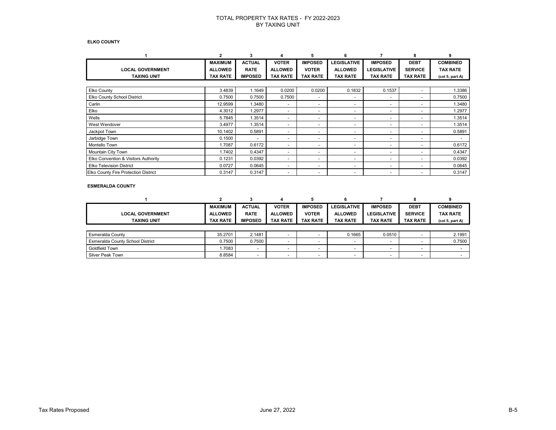#### **ELKO COUNTY**

|                                             | 2               | 3                        | 4                        | 5                        | б                        |                          | 8                        | 9               |
|---------------------------------------------|-----------------|--------------------------|--------------------------|--------------------------|--------------------------|--------------------------|--------------------------|-----------------|
|                                             | <b>MAXIMUM</b>  | <b>ACTUAL</b>            | <b>VOTER</b>             | <b>IMPOSED</b>           | <b>LEGISLATIVE</b>       | <b>IMPOSED</b>           | <b>DEBT</b>              | <b>COMBINED</b> |
| <b>LOCAL GOVERNMENT</b>                     | <b>ALLOWED</b>  | <b>RATE</b>              | <b>ALLOWED</b>           | <b>VOTER</b>             | <b>ALLOWED</b>           | <b>LEGISLATIVE</b>       | <b>SERVICE</b>           | <b>TAX RATE</b> |
| <b>TAXING UNIT</b>                          | <b>TAX RATE</b> | <b>IMPOSED</b>           | <b>TAX RATE</b>          | <b>TAX RATE</b>          | <b>TAX RATE</b>          | <b>TAX RATE</b>          | <b>TAX RATE</b>          | (col 5, part A) |
|                                             |                 |                          |                          |                          |                          |                          |                          |                 |
| <b>Elko County</b>                          | 3.4839          | 1.1649                   | 0.0200                   | 0.0200                   | 0.1832                   | 0.1537                   | $\sim$                   | 1.3386          |
| <b>Elko County School District</b>          | 0.7500          | 0.7500                   | 0.7500                   | $\overline{\phantom{0}}$ | $\overline{a}$           | $\overline{\phantom{0}}$ | ۰                        | 0.7500          |
| Carlin                                      | 12.9599         | 1.3480                   |                          | $\overline{\phantom{0}}$ | $\overline{a}$           | $\overline{\phantom{0}}$ | $\overline{\phantom{0}}$ | 1.3480          |
| Elko                                        | 4.3012          | 1.2977                   | $\overline{\phantom{a}}$ | $\overline{\phantom{0}}$ | $\overline{a}$           | $\overline{\phantom{0}}$ | $\overline{\phantom{0}}$ | 1.2977          |
| Wells                                       | 5.7845          | 1.3514                   | $\overline{\phantom{a}}$ | $\overline{\phantom{0}}$ | $\overline{a}$           | $\overline{\phantom{0}}$ | $\overline{\phantom{0}}$ | 1.3514          |
| West Wendover                               | 3.4977          | 1.3514                   | $\overline{\phantom{0}}$ | $\overline{\phantom{0}}$ | $\overline{\phantom{0}}$ | $\overline{\phantom{0}}$ | ۰                        | 1.3514          |
| Jackpot Town                                | 10.1402         | 0.5891                   | $\overline{\phantom{a}}$ | $\overline{\phantom{0}}$ | $\overline{\phantom{a}}$ | $\overline{\phantom{a}}$ | $\overline{\phantom{0}}$ | 0.5891          |
| Jarbidge Town                               | 0.1500          | $\overline{\phantom{0}}$ | $\overline{\phantom{0}}$ | $\overline{\phantom{0}}$ | $\overline{\phantom{a}}$ | $\overline{\phantom{a}}$ | $\overline{\phantom{0}}$ |                 |
| Montello Town                               | 1.7087          | 0.6172                   | $\overline{\phantom{0}}$ | $\overline{\phantom{0}}$ | $\overline{a}$           | $\overline{\phantom{a}}$ | $\overline{\phantom{0}}$ | 0.6172          |
| Mountain City Town                          | 1.7402          | 0.4347                   | $\overline{\phantom{0}}$ | $\overline{\phantom{0}}$ | $\overline{\phantom{0}}$ | $\overline{\phantom{0}}$ | $\overline{\phantom{0}}$ | 0.4347          |
| Elko Convention & Visitors Authority        | 0.1231          | 0.0392                   | $\overline{\phantom{a}}$ | ٠                        | $\overline{\phantom{a}}$ | $\overline{\phantom{a}}$ | $\overline{\phantom{0}}$ | 0.0392          |
| <b>Elko Television District</b>             | 0.0727          | 0.0645                   | $\overline{\phantom{a}}$ | $\overline{\phantom{0}}$ | $\overline{a}$           | $\overline{\phantom{a}}$ | $\overline{\phantom{0}}$ | 0.0645          |
| <b>Elko County Fire Protection District</b> | 0.3147          | 0.3147                   | $\overline{\phantom{0}}$ | $\overline{\phantom{0}}$ | $\overline{a}$           | -                        | $\overline{\phantom{0}}$ | 0.3147          |

#### **ESMERALDA COUNTY**

|                                         |                 |                |                          |                          | n                        |                          | 8                        |                                         |
|-----------------------------------------|-----------------|----------------|--------------------------|--------------------------|--------------------------|--------------------------|--------------------------|-----------------------------------------|
|                                         | <b>MAXIMUM</b>  | <b>ACTUAL</b>  | <b>VOTER</b>             | <b>IMPOSED</b>           | <b>LEGISLATIVE</b>       | <b>IMPOSED</b>           | <b>DEBT</b>              | <b>COMBINED</b>                         |
| <b>LOCAL GOVERNMENT</b>                 | <b>ALLOWED</b>  | <b>RATE</b>    | <b>ALLOWED</b>           | <b>VOTER</b>             | <b>ALLOWED</b>           | <b>LEGISLATIVE</b>       | <b>SERVICE</b>           | <b>TAX RATE</b>                         |
| <b>TAXING UNIT</b>                      | <b>TAX RATE</b> | <b>IMPOSED</b> | <b>TAX RATE</b>          | <b>TAX RATE</b>          | <b>TAX RATE</b>          | <b>TAX RATE</b>          | <b>TAX RATE</b>          | (col <sub>5</sub> , part <sub>A</sub> ) |
|                                         |                 |                |                          |                          |                          |                          |                          |                                         |
| <b>Esmeralda County</b>                 | 35.2701         | 2.1481         | $\overline{\phantom{0}}$ |                          | 0.1665                   | 0.0510                   |                          | 2.1991                                  |
| <b>Esmeralda County School District</b> | 0.7500          | 0.7500         | $\overline{\phantom{0}}$ | $\overline{\phantom{0}}$ | $\overline{\phantom{0}}$ | $\overline{\phantom{a}}$ | $\overline{\phantom{0}}$ | 0.7500                                  |
| Goldfield Town                          | .7083           | -              | -                        | $\overline{\phantom{a}}$ | $\overline{\phantom{0}}$ | $\overline{\phantom{0}}$ | -                        |                                         |
| Silver Peak Town                        | 8.8584          |                | -                        | $\sim$                   | $\overline{\phantom{0}}$ | -                        | -                        |                                         |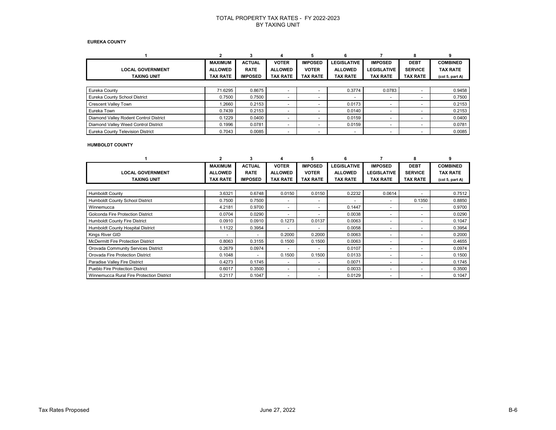#### **EUREKA COUNTY**

|                                        |                 |                |                          |                          | 6                        |                          |                          |                                         |
|----------------------------------------|-----------------|----------------|--------------------------|--------------------------|--------------------------|--------------------------|--------------------------|-----------------------------------------|
|                                        | <b>MAXIMUM</b>  | <b>ACTUAL</b>  | <b>VOTER</b>             | <b>IMPOSED</b>           | <b>LEGISLATIVE</b>       | <b>IMPOSED</b>           | <b>DEBT</b>              | <b>COMBINED</b>                         |
| <b>LOCAL GOVERNMENT</b>                | <b>ALLOWED</b>  | <b>RATE</b>    | <b>ALLOWED</b>           | <b>VOTER</b>             | <b>ALLOWED</b>           | <b>LEGISLATIVE</b>       | <b>SERVICE</b>           | <b>TAX RATE</b>                         |
| <b>TAXING UNIT</b>                     | <b>TAX RATE</b> | <b>IMPOSED</b> | <b>TAX RATE</b>          | <b>TAX RATE</b>          | <b>TAX RATE</b>          | <b>TAX RATE</b>          | <b>TAX RATE</b>          | (col <sub>5</sub> , part <sub>A</sub> ) |
|                                        |                 |                |                          |                          |                          |                          |                          |                                         |
| Eureka County                          | 71.6295         | 0.8675         | $\overline{\phantom{0}}$ |                          | 0.3774                   | 0.0783                   | $\overline{\phantom{0}}$ | 0.9458                                  |
| Eureka County School District          | 0.7500          | 0.7500         | $\overline{\phantom{0}}$ | $\overline{\phantom{0}}$ | $\overline{\phantom{a}}$ | -                        | $\overline{\phantom{0}}$ | 0.7500                                  |
| <b>Crescent Valley Town</b>            | .2660           | 0.2153         | -                        |                          | 0.0173                   |                          |                          | 0.2153                                  |
| Eureka Town                            | 0.7439          | 0.2153         | $\overline{\phantom{0}}$ |                          | 0.0140                   |                          |                          | 0.2153                                  |
| Diamond Valley Rodent Control District | 0.1229          | 0.0400         | $\overline{\phantom{0}}$ |                          | 0.0159                   | $\overline{\phantom{a}}$ | $\overline{\phantom{0}}$ | 0.0400                                  |
| Diamond Valley Weed Control District   | 0.1996          | 0.0781         | $\overline{\phantom{0}}$ |                          | 0.0159                   | $\overline{\phantom{0}}$ | $\overline{\phantom{0}}$ | 0.0781                                  |
| Eureka County Television District      | 0.7043          | 0.0085         | -                        |                          | $\overline{\phantom{a}}$ |                          |                          | 0.0085                                  |

#### **HUMBOLDT COUNTY**

|                                           |                 | 3              |                          | 5                        | 6                        |                    |                          |                                         |
|-------------------------------------------|-----------------|----------------|--------------------------|--------------------------|--------------------------|--------------------|--------------------------|-----------------------------------------|
|                                           | <b>MAXIMUM</b>  | <b>ACTUAL</b>  | <b>VOTER</b>             | <b>IMPOSED</b>           | <b>LEGISLATIVE</b>       | <b>IMPOSED</b>     | <b>DEBT</b>              | <b>COMBINED</b>                         |
| <b>LOCAL GOVERNMENT</b>                   | <b>ALLOWED</b>  | <b>RATE</b>    | <b>ALLOWED</b>           | <b>VOTER</b>             | <b>ALLOWED</b>           | <b>LEGISLATIVE</b> | <b>SERVICE</b>           | <b>TAX RATE</b>                         |
| <b>TAXING UNIT</b>                        | <b>TAX RATE</b> | <b>IMPOSED</b> | <b>TAX RATE</b>          | <b>TAX RATE</b>          | <b>TAX RATE</b>          | <b>TAX RATE</b>    | <b>TAX RATE</b>          | (col <sub>5</sub> , part <sub>A</sub> ) |
|                                           |                 |                |                          |                          |                          |                    |                          |                                         |
| <b>Humboldt County</b>                    | 3.6321          | 0.6748         | 0.0150                   | 0.0150                   | 0.2232                   | 0.0614             |                          | 0.7512                                  |
| Humboldt County School District           | 0.7500          | 0.7500         | ٠                        | ۰                        | $\overline{\phantom{0}}$ | ٠                  | 0.1350                   | 0.8850                                  |
| Winnemucca                                | 4.2181          | 0.9700         | ۰                        |                          | 0.1447                   | ۰                  | ۰                        | 0.9700                                  |
| Golconda Fire Protection District         | 0.0704          | 0.0290         |                          |                          | 0.0038                   | ٠                  | $\overline{\phantom{0}}$ | 0.0290                                  |
| <b>Humboldt County Fire District</b>      | 0.0910          | 0.0910         | 0.1273                   | 0.0137                   | 0.0063                   | -                  | $\overline{\phantom{0}}$ | 0.1047                                  |
| Humboldt County Hospital District         | 1.1122          | 0.3954         |                          |                          | 0.0058                   | -                  | $\overline{\phantom{0}}$ | 0.3954                                  |
| Kings River GID                           |                 |                | 0.2000                   | 0.2000                   | 0.0063                   | ۰                  | $\overline{\phantom{0}}$ | 0.2000                                  |
| <b>McDermitt Fire Protection District</b> | 0.8063          | 0.3155         | 0.1500                   | 0.1500                   | 0.0063                   | ٠                  | $\overline{\phantom{0}}$ | 0.4655                                  |
| Orovada Community Services District       | 0.2679          | 0.0974         |                          |                          | 0.0107                   | ۰                  | $\overline{\phantom{0}}$ | 0.0974                                  |
| Orovada Fire Protection District          | 0.1048          |                | 0.1500                   | 0.1500                   | 0.0133                   | ٠                  | $\overline{\phantom{0}}$ | 0.1500                                  |
| Paradise Valley Fire District             | 0.4273          | 0.1745         | -                        | $\overline{\phantom{0}}$ | 0.0071                   | -                  | $\overline{\phantom{0}}$ | 0.1745                                  |
| <b>Pueblo Fire Protection District</b>    | 0.6017          | 0.3500         | $\overline{\phantom{0}}$ | $\overline{\phantom{0}}$ | 0.0033                   | -                  | $\overline{\phantom{0}}$ | 0.3500                                  |
| Winnemucca Rural Fire Protection District | 0.2117          | 0.1047         | $\overline{\phantom{0}}$ | $\overline{\phantom{0}}$ | 0.0129                   | ٠                  | $\overline{\phantom{0}}$ | 0.1047                                  |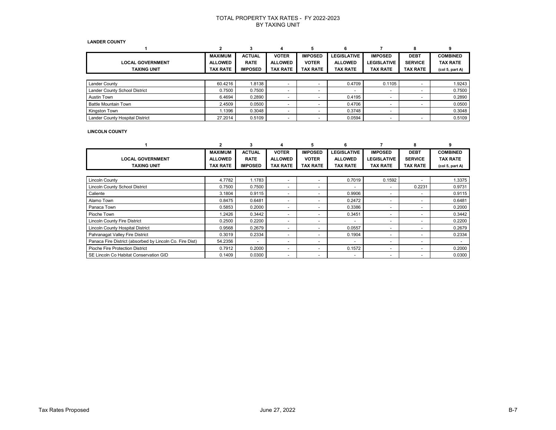#### **LANDER COUNTY**

|                                      | <b>MAXIMUM</b>  | <b>ACTUAL</b>  | <b>VOTER</b>             | <b>IMPOSED</b>           | <b>LEGISLATIVE</b>       | <b>IMPOSED</b>           | <b>DEBT</b>     | <b>COMBINED</b> |
|--------------------------------------|-----------------|----------------|--------------------------|--------------------------|--------------------------|--------------------------|-----------------|-----------------|
| <b>LOCAL GOVERNMENT</b>              | <b>ALLOWED</b>  | <b>RATE</b>    | <b>ALLOWED</b>           | <b>VOTER</b>             | <b>ALLOWED</b>           | <b>LEGISLATIVE</b>       | <b>SERVICE</b>  | <b>TAX RATE</b> |
| <b>TAXING UNIT</b>                   | <b>TAX RATE</b> | <b>IMPOSED</b> | <b>TAX RATE</b>          | <b>TAX RATE</b>          | TAX RATE                 | TAX RATE                 | <b>TAX RATE</b> | (col 5, part A) |
|                                      |                 |                |                          |                          |                          |                          |                 |                 |
| <b>Lander County</b>                 | 60.4216         | 1.8138         |                          |                          | 0.4709                   | 0.1105                   |                 | 1.9243          |
| <b>Lander County School District</b> | 0.7500          | 0.7500         |                          | -                        | $\overline{\phantom{a}}$ | $\overline{\phantom{a}}$ |                 | 0.7500          |
| <b>Austin Town</b>                   | 6.4694          | 0.2890         |                          |                          | 0.4195                   |                          |                 | 0.2890          |
| <b>Battle Mountain Town</b>          | 2.4509          | 0.0500         |                          |                          | 0.4706                   |                          |                 | 0.0500          |
| Kingston Town                        | .1396           | 0.3048         | $\overline{\phantom{0}}$ | $\overline{\phantom{0}}$ | 0.3748                   |                          |                 | 0.3048          |
| Lander County Hospital District      | 27.2014         | 0.5109         | $\overline{\phantom{0}}$ | $\overline{\phantom{0}}$ | 0.0594                   | $\overline{\phantom{a}}$ |                 | 0.5109          |

### **LINCOLN COUNTY**

|                                                          |                | 3              |                          | 5                        |                          |                          |                 |                                         |
|----------------------------------------------------------|----------------|----------------|--------------------------|--------------------------|--------------------------|--------------------------|-----------------|-----------------------------------------|
|                                                          | <b>MAXIMUM</b> | <b>ACTUAL</b>  | <b>VOTER</b>             | <b>IMPOSED</b>           | <b>LEGISLATIVE</b>       | <b>IMPOSED</b>           | <b>DEBT</b>     | <b>COMBINED</b>                         |
| <b>LOCAL GOVERNMENT</b>                                  | <b>ALLOWED</b> | <b>RATE</b>    | <b>ALLOWED</b>           | <b>VOTER</b>             | <b>ALLOWED</b>           | <b>LEGISLATIVE</b>       | <b>SERVICE</b>  | <b>TAX RATE</b>                         |
| <b>TAXING UNIT</b>                                       | TAX RATE       | <b>IMPOSED</b> | <b>TAX RATE</b>          | <b>TAX RATE</b>          | <b>TAX RATE</b>          | TAX RATE                 | <b>TAX RATE</b> | (col <sub>5</sub> , part <sub>A</sub> ) |
|                                                          |                |                |                          |                          |                          |                          |                 |                                         |
| <b>Lincoln County</b>                                    | 4.7782         | 1.1783         | $\overline{\phantom{0}}$ | -                        | 0.7019                   | 0.1592                   | ۰               | 1.3375                                  |
| <b>Lincoln County School District</b>                    | 0.7500         | 0.7500         | $\overline{\phantom{0}}$ | $\overline{\phantom{0}}$ | $\overline{\phantom{a}}$ | $\overline{\phantom{0}}$ | 0.2231          | 0.9731                                  |
| Caliente                                                 | 3.1804         | 0.9115         | $\overline{\phantom{0}}$ | $\overline{\phantom{0}}$ | 0.9906                   | $\overline{\phantom{0}}$ | ۰               | 0.9115                                  |
| Alamo Town                                               | 0.8475         | 0.6481         | $\sim$                   |                          | 0.2472                   |                          | ۰               | 0.6481                                  |
| Panaca Town                                              | 0.5853         | 0.2000         | $\overline{\phantom{0}}$ | $\overline{\phantom{0}}$ | 0.3386                   | -                        | -               | 0.2000                                  |
| Pioche Town                                              | 1.2426         | 0.3442         | $\overline{\phantom{0}}$ | $\overline{\phantom{a}}$ | 0.3451                   | $\overline{\phantom{0}}$ | ۰               | 0.3442                                  |
| <b>Lincoln County Fire District</b>                      | 0.2500         | 0.2200         | $\overline{\phantom{0}}$ | $\overline{\phantom{0}}$ | $\overline{\phantom{a}}$ | $\overline{\phantom{0}}$ | ٠               | 0.2200                                  |
| Lincoln County Hospital District                         | 0.9568         | 0.2679         |                          |                          | 0.0557                   | -                        |                 | 0.2679                                  |
| Pahranagat Valley Fire District                          | 0.3019         | 0.2334         | $\overline{\phantom{0}}$ |                          | 0.1904                   | -                        | ۰               | 0.2334                                  |
| Panaca Fire District (absorbed by Lincoln Co. Fire Dist) | 54.2356        |                |                          | $\overline{\phantom{0}}$ | $\overline{\phantom{a}}$ | $\overline{\phantom{0}}$ | -               |                                         |
| Pioche Fire Protection District                          | 0.7912         | 0.2000         | $\overline{\phantom{0}}$ | $\overline{\phantom{0}}$ | 0.1572                   | $\overline{\phantom{0}}$ | ٠               | 0.2000                                  |
| SE Lincoln Co Habitat Conservation GID                   | 0.1409         | 0.0300         |                          | $\overline{\phantom{a}}$ | $\overline{\phantom{a}}$ | ٠                        | ۰               | 0.0300                                  |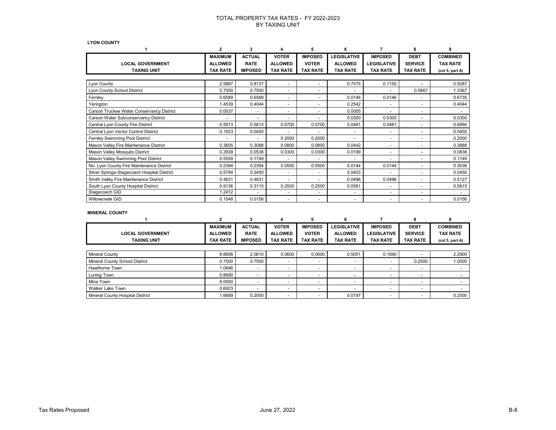**LYON COUNTY** 

|                                             | $\overline{2}$  | 3              |                          |                 | 6                        |                          | 8                        | 9               |
|---------------------------------------------|-----------------|----------------|--------------------------|-----------------|--------------------------|--------------------------|--------------------------|-----------------|
|                                             | <b>MAXIMUM</b>  | <b>ACTUAL</b>  | <b>VOTER</b>             | <b>IMPOSED</b>  | <b>LEGISLATIVE</b>       | <b>IMPOSED</b>           | <b>DEBT</b>              | <b>COMBINED</b> |
| <b>LOCAL GOVERNMENT</b>                     | <b>ALLOWED</b>  | <b>RATE</b>    | <b>ALLOWED</b>           | <b>VOTER</b>    | <b>ALLOWED</b>           | <b>LEGISLATIVE</b>       | <b>SERVICE</b>           | <b>TAX RATE</b> |
| <b>TAXING UNIT</b>                          | <b>TAX RATE</b> | <b>IMPOSED</b> | <b>TAX RATE</b>          | <b>TAX RATE</b> | <b>TAX RATE</b>          | <b>TAX RATE</b>          | <b>TAX RATE</b>          | (col 5, part A) |
|                                             |                 |                |                          |                 |                          |                          |                          |                 |
| Lyon County                                 | 2.5867          | 0.8137         | ٠                        | ٠               | 0.7575                   | 0.1150                   |                          | 0.9287          |
| Lyon County School District                 | 0.7500          | 0.7500         | $\overline{\phantom{0}}$ | ٠               |                          |                          | 0.5867                   | 1.3367          |
| Fernley                                     | 0.6589          | 0.6589         | $\overline{\phantom{0}}$ | ٠               | 0.0146                   | 0.0146                   | $\overline{\phantom{a}}$ | 0.6735          |
| Yerington                                   | 1.4539          | 0.4044         | $\overline{\phantom{0}}$ | ٠               | 0.2542                   |                          | $\overline{\phantom{a}}$ | 0.4044          |
| Carson Truckee Water Conservancy District   | 0.0037          |                | $\overline{\phantom{0}}$ | ٠               | 0.0005                   |                          | $\overline{\phantom{0}}$ |                 |
| Carson Water Subconservancy District        | ٠               |                |                          | ۰               | 0.0300                   | 0.0300                   |                          | 0.0300          |
| Central Lyon County Fire District           | 0.5813          | 0.5813         | 0.0700                   | 0.0700          | 0.0481                   | 0.0481                   |                          | 0.6994          |
| Central Lyon Vector Control District        | 0.1923          | 0.0450         |                          | ٠               | $\overline{\phantom{a}}$ | $\sim$                   | $\sim$                   | 0.0450          |
| Fernley Swimming Pool District              |                 |                | 0.2000                   | 0.2000          |                          |                          |                          | 0.2000          |
| Mason Valley Fire Maintenance District      | 0.3605          | 0.3088         | 0.0800                   | 0.0800          | 0.0442                   |                          |                          | 0.3888          |
| Mason Valley Mosquito District              | 0.2939          | 0.0538         | 0.0300                   | 0.0300          | 0.0199                   | $\sim$                   | $\overline{\phantom{a}}$ | 0.0838          |
| Mason Valley Swimming Pool District         | 0.5559          | 0.1749         |                          | ٠               | $\overline{\phantom{a}}$ |                          | $\sim$                   | 0.1749          |
| No. Lyon County Fire Maintenance District   | 0.2394          | 0.2394         | 0.0500                   | 0.0500          | 0.0144                   | 0.0144                   |                          | 0.3038          |
| Silver Springs-Stagecoach Hospital District | 0.5784          | 0.0450         |                          | ٠               | 0.0403                   | $\overline{\phantom{a}}$ |                          | 0.0450          |
| Smith Valley Fire Maintenance District      | 0.4631          | 0.4631         |                          | ٠               | 0.0496                   | 0.0496                   |                          | 0.5127          |
| South Lyon County Hospital District         | 0.9136          | 0.3115         | 0.2500                   | 0.2500          | 0.0581                   |                          |                          | 0.5615          |
| Stagecoach GID                              | 1.2412          |                | ٠                        | ٠               | $\blacksquare$           | $\overline{\phantom{a}}$ |                          |                 |
| Willowcreek GID                             | 0.1548          | 0.0156         | $\overline{\phantom{0}}$ | ٠               | $\overline{\phantom{a}}$ |                          |                          | 0.0156          |

### **MINERAL COUNTY**

|                                  |                 | -5                       |                 | 5                        |                          |                          |                          |                 |
|----------------------------------|-----------------|--------------------------|-----------------|--------------------------|--------------------------|--------------------------|--------------------------|-----------------|
|                                  | <b>MAXIMUM</b>  | <b>ACTUAL</b>            | <b>VOTER</b>    | <b>IMPOSED</b>           | LEGISLATIVE              | <b>IMPOSED</b>           | <b>DEBT</b>              | <b>COMBINED</b> |
| <b>LOCAL GOVERNMENT</b>          | <b>ALLOWED</b>  | <b>RATE</b>              | <b>ALLOWED</b>  | <b>VOTER</b>             | <b>ALLOWED</b>           | <b>LEGISLATIVE</b>       | <b>SERVICE</b>           | <b>TAX RATE</b> |
| <b>TAXING UNIT</b>               | <b>TAX RATE</b> | <b>IMPOSED</b>           | <b>TAX RATE</b> | <b>TAX RATE</b>          | <b>TAX RATE</b>          | <b>TAX RATE</b>          | <b>TAX RATE</b>          | (col 5, part A) |
|                                  |                 |                          |                 |                          |                          |                          |                          |                 |
| <b>Mineral County</b>            | 8.8856          | 2.0610                   | 0.0600          | 0.0600                   | 0.5051                   | 0.1690                   |                          | 2.2900          |
| Mineral County School District   | 0.7500          | 0.7500                   |                 | -                        | $\overline{\phantom{0}}$ |                          | 0.2500                   | 1.0000          |
| <b>Hawthorne Town</b>            | 1.0846          |                          |                 |                          | $\overline{\phantom{a}}$ |                          |                          |                 |
| Luning Town                      | 0.8690          | $\overline{\phantom{0}}$ |                 | $\overline{\phantom{a}}$ | $\overline{\phantom{0}}$ | $\overline{\phantom{a}}$ | $\overline{\phantom{0}}$ |                 |
| Mina Town                        | 9.0050          | $\overline{\phantom{0}}$ |                 | -                        | $\overline{\phantom{a}}$ | $\overline{\phantom{a}}$ | -                        |                 |
| Walker Lake Town                 | 0.6923          | $\overline{\phantom{0}}$ |                 | ۰                        | $\overline{\phantom{a}}$ | $\overline{\phantom{a}}$ | -                        |                 |
| Mineral County Hospital District | 1.6689          | 0.2000                   |                 |                          | 0.0197                   | $\overline{\phantom{a}}$ |                          | 0.2000          |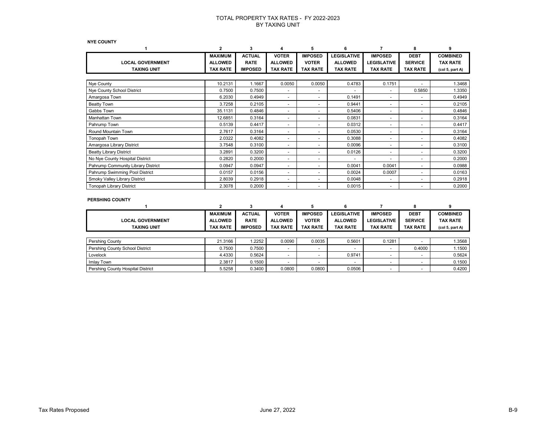**NYE COUNTY**

|                                               | 2                                                   | 3                                              | 4                                                 | 5                                                 | 6                                                       |                                                         | 8                                                | q                                                     |
|-----------------------------------------------|-----------------------------------------------------|------------------------------------------------|---------------------------------------------------|---------------------------------------------------|---------------------------------------------------------|---------------------------------------------------------|--------------------------------------------------|-------------------------------------------------------|
| <b>LOCAL GOVERNMENT</b><br><b>TAXING UNIT</b> | <b>MAXIMUM</b><br><b>ALLOWED</b><br><b>TAX RATE</b> | <b>ACTUAL</b><br><b>RATE</b><br><b>IMPOSED</b> | <b>VOTER</b><br><b>ALLOWED</b><br><b>TAX RATE</b> | <b>IMPOSED</b><br><b>VOTER</b><br><b>TAX RATE</b> | <b>LEGISLATIVE</b><br><b>ALLOWED</b><br><b>TAX RATE</b> | <b>IMPOSED</b><br><b>LEGISLATIVE</b><br><b>TAX RATE</b> | <b>DEBT</b><br><b>SERVICE</b><br><b>TAX RATE</b> | <b>COMBINED</b><br><b>TAX RATE</b><br>(col 5, part A) |
|                                               |                                                     |                                                |                                                   |                                                   |                                                         |                                                         |                                                  |                                                       |
| Nye County                                    | 10.2131                                             | 1.1667                                         | 0.0050                                            | 0.0050                                            | 0.4783                                                  | 0.1751                                                  |                                                  | 1.3468                                                |
| Nye County School District                    | 0.7500                                              | 0.7500                                         | ٠                                                 |                                                   |                                                         |                                                         | 0.5850                                           | 1.3350                                                |
| Amargosa Town                                 | 6.2030                                              | 0.4949                                         | ٠                                                 |                                                   | 0.1491                                                  | ٠                                                       | ٠                                                | 0.4949                                                |
| <b>Beatty Town</b>                            | 3.7258                                              | 0.2105                                         | ٠                                                 |                                                   | 0.9441                                                  | ۰                                                       |                                                  | 0.2105                                                |
| Gabbs Town                                    | 35.1131                                             | 0.4846                                         |                                                   |                                                   | 0.5406                                                  | ۰                                                       |                                                  | 0.4846                                                |
| Manhattan Town                                | 12.6851                                             | 0.3164                                         | ٠                                                 |                                                   | 0.0831                                                  | ٠                                                       | -                                                | 0.3164                                                |
| Pahrump Town                                  | 0.5139                                              | 0.4417                                         | $\overline{\phantom{0}}$                          | $\overline{\phantom{0}}$                          | 0.0312                                                  | ٠                                                       | $\overline{\phantom{0}}$                         | 0.4417                                                |
| Round Mountain Town                           | 2.7617                                              | 0.3164                                         | $\overline{\phantom{0}}$                          | $\overline{\phantom{0}}$                          | 0.0530                                                  | ٠                                                       | $\overline{\phantom{0}}$                         | 0.3164                                                |
| Tonopah Town                                  | 2.0322                                              | 0.4082                                         | $\overline{\phantom{0}}$                          |                                                   | 0.3088                                                  | ٠                                                       | $\overline{\phantom{0}}$                         | 0.4082                                                |
| Amargosa Library District                     | 3.7548                                              | 0.3100                                         | ٠                                                 | $\overline{\phantom{a}}$                          | 0.0096                                                  | ٠                                                       | ٠                                                | 0.3100                                                |
| <b>Beatty Library District</b>                | 3.2891                                              | 0.3200                                         | ٠                                                 |                                                   | 0.0126                                                  | ٠                                                       | $\overline{\phantom{0}}$                         | 0.3200                                                |
| No Nye County Hospital District               | 0.2820                                              | 0.2000                                         |                                                   |                                                   |                                                         |                                                         | ٠                                                | 0.2000                                                |
| Pahrump Community Library District            | 0.0947                                              | 0.0947                                         | ٠                                                 |                                                   | 0.0041                                                  | 0.0041                                                  | $\overline{\phantom{0}}$                         | 0.0988                                                |
| Pahrump Swimming Pool District                | 0.0157                                              | 0.0156                                         | ٠                                                 |                                                   | 0.0024                                                  | 0.0007                                                  | ٠                                                | 0.0163                                                |
| Smoky Valley Library District                 | 2.8039                                              | 0.2918                                         | ٠                                                 |                                                   | 0.0048                                                  | ۰                                                       |                                                  | 0.2918                                                |
| <b>Tonopah Library District</b>               | 2.3078                                              | 0.2000                                         | ٠                                                 |                                                   | 0.0015                                                  |                                                         |                                                  | 0.2000                                                |

#### **PERSHING COUNTY**

|                                   |                 |                |                          |                 |                          |                          | 8               |                                         |
|-----------------------------------|-----------------|----------------|--------------------------|-----------------|--------------------------|--------------------------|-----------------|-----------------------------------------|
|                                   | <b>MAXIMUM</b>  | <b>ACTUAL</b>  | <b>VOTER</b>             | <b>IMPOSED</b>  | <b>LEGISLATIVE</b>       | <b>IMPOSED</b>           | <b>DEBT</b>     | <b>COMBINED</b>                         |
| <b>LOCAL GOVERNMENT</b>           | <b>ALLOWED</b>  | <b>RATE</b>    | <b>ALLOWED</b>           | <b>VOTER</b>    | <b>ALLOWED</b>           | <b>LEGISLATIVE</b>       | <b>SERVICE</b>  | <b>TAX RATE</b>                         |
| <b>TAXING UNIT</b>                | <b>TAX RATE</b> | <b>IMPOSED</b> | <b>TAX RATE</b>          | <b>TAX RATE</b> | <b>TAX RATE</b>          | <b>TAX RATE</b>          | <b>TAX RATE</b> | (col <sub>5</sub> , part <sub>A</sub> ) |
|                                   |                 |                |                          |                 |                          |                          |                 |                                         |
| <b>Pershing County</b>            | 21.3166         | 1.2252         | 0.0090                   | 0.0035          | 0.5601                   | 0.1281                   |                 | 1.3568                                  |
| Pershing County School District   | 0.7500          | 0.7500         | $\overline{\phantom{0}}$ |                 | $\overline{\phantom{0}}$ | $\overline{\phantom{0}}$ | 0.4000          | 1.1500                                  |
| Lovelock                          | 4.4330          | 0.5624         |                          |                 | 0.9741                   |                          |                 | 0.5624                                  |
| Imlay Town                        | 2.3817          | 0.1500         |                          |                 | $\overline{\phantom{0}}$ |                          |                 | 0.1500                                  |
| Pershing County Hospital District | 5.5258          | 0.3400         | 0.0800                   | 0.0800          | 0.0506                   |                          |                 | 0.4200                                  |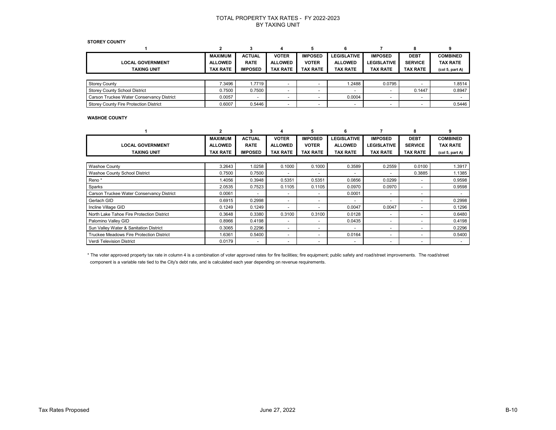#### **STOREY COUNTY**

|                                           | <b>MAXIMUM</b>  | <b>ACTUAL</b>  | <b>VOTER</b>    | <b>IMPOSED</b>  | <b>LEGISLATIVE</b>       | <b>IMPOSED</b>     | <b>DEBT</b>              | <b>COMBINED</b>                         |
|-------------------------------------------|-----------------|----------------|-----------------|-----------------|--------------------------|--------------------|--------------------------|-----------------------------------------|
| <b>LOCAL GOVERNMENT</b>                   | <b>ALLOWED</b>  | <b>RATE</b>    | <b>ALLOWED</b>  | <b>VOTER</b>    | <b>ALLOWED</b>           | <b>LEGISLATIVE</b> | <b>SERVICE</b>           | <b>TAX RATE</b>                         |
| <b>TAXING UNIT</b>                        | <b>TAX RATE</b> | <b>IMPOSED</b> | <b>TAX RATE</b> | <b>TAX RATE</b> | <b>TAX RATE</b>          | <b>TAX RATE</b>    | <b>TAX RATE</b>          | (col <sub>5</sub> , part <sub>A</sub> ) |
|                                           |                 |                |                 |                 |                          |                    |                          |                                         |
| <b>Storey County</b>                      | 7.3496          | 1.7719         |                 |                 | 1.2488                   | 0.0795             |                          | 1.8514                                  |
| <b>Storey County School District</b>      | 0.7500          | 0.7500         |                 |                 | $\overline{\phantom{a}}$ |                    | 0.1447                   | 0.8947                                  |
| Carson Truckee Water Conservancy District | 0.0057          |                | -               |                 | 0.0004                   |                    | $\overline{\phantom{0}}$ |                                         |
| Storey County Fire Protection District    | 0.6007          | 0.5446         |                 |                 | $\overline{\phantom{a}}$ | -                  | $\overline{\phantom{0}}$ | 0.5446                                  |

#### **WASHOE COUNTY**

|                                           |                 | 3              |                          | 5                        | б                        |                          | 8                        |                                         |
|-------------------------------------------|-----------------|----------------|--------------------------|--------------------------|--------------------------|--------------------------|--------------------------|-----------------------------------------|
|                                           | <b>MAXIMUM</b>  | <b>ACTUAL</b>  | <b>VOTER</b>             | <b>IMPOSED</b>           | <b>LEGISLATIVE</b>       | <b>IMPOSED</b>           | <b>DEBT</b>              | <b>COMBINED</b>                         |
| <b>LOCAL GOVERNMENT</b>                   | <b>ALLOWED</b>  | <b>RATE</b>    | <b>ALLOWED</b>           | <b>VOTER</b>             | <b>ALLOWED</b>           | <b>LEGISLATIVE</b>       | <b>SERVICE</b>           | TAX RATE                                |
| <b>TAXING UNIT</b>                        | <b>TAX RATE</b> | <b>IMPOSED</b> | <b>TAX RATE</b>          | <b>TAX RATE</b>          | <b>TAX RATE</b>          | <b>TAX RATE</b>          | TAX RATE                 | (col <sub>5</sub> , part <sub>A</sub> ) |
|                                           |                 |                |                          |                          |                          |                          |                          |                                         |
| <b>Washoe County</b>                      | 3.2643          | 1.0258         | 0.1000                   | 0.1000                   | 0.3589                   | 0.2559                   | 0.0100                   | 1.3917                                  |
| <b>Washoe County School District</b>      | 0.7500          | 0.7500         |                          | -                        | $\overline{\phantom{0}}$ |                          | 0.3885                   | 1.1385                                  |
| Reno*                                     | 1.4056          | 0.3948         | 0.5351                   | 0.5351                   | 0.0856                   | 0.0299                   | $\overline{\phantom{a}}$ | 0.9598                                  |
| Sparks                                    | 2.0535          | 0.7523         | 0.1105                   | 0.1105                   | 0.0970                   | 0.0970                   | $\overline{\phantom{a}}$ | 0.9598                                  |
| Carson Truckee Water Conservancy District | 0.0061          | $\overline{a}$ | ۰                        | ٠                        | 0.0001                   | $\sim$                   | $\overline{\phantom{0}}$ |                                         |
| Gerlach GID                               | 0.6915          | 0.2998         | ۰                        | $\overline{\phantom{0}}$ | $\overline{\phantom{a}}$ |                          | -                        | 0.2998                                  |
| Incline Village GID                       | 0.1249          | 0.1249         | ۰                        | ٠                        | 0.0047                   | 0.0047                   | ٠                        | 0.1296                                  |
| North Lake Tahoe Fire Protection District | 0.3648          | 0.3380         | 0.3100                   | 0.3100                   | 0.0128                   |                          | $\overline{\phantom{0}}$ | 0.6480                                  |
| Palomino Valley GID                       | 0.8966          | 0.4198         | ۰                        | ٠                        | 0.0435                   |                          | $\overline{\phantom{0}}$ | 0.4198                                  |
| Sun Valley Water & Sanitation District    | 0.3065          | 0.2296         | $\overline{\phantom{0}}$ | ٠                        | $\overline{a}$           |                          | $\overline{\phantom{0}}$ | 0.2296                                  |
| Truckee Meadows Fire Protection District  | 1.6361          | 0.5400         | ۰                        | -                        | 0.0164                   | $\overline{\phantom{0}}$ | -                        | 0.5400                                  |
| <b>Verdi Television District</b>          | 0.0179          |                |                          |                          | $\overline{\phantom{a}}$ |                          | ٠                        |                                         |

\* The voter approved property tax rate in column 4 is a combination of voter approved rates for fire facilities; fire equipment; public safety and road/street improvements. The road/street component is a variable rate tied to the City's debt rate, and is calculated each year depending on revenue requirements.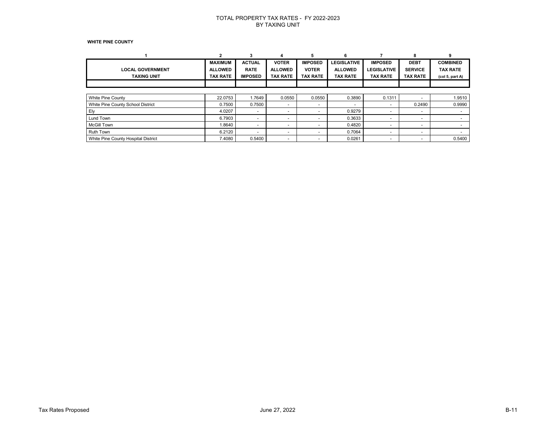#### **WHITE PINE COUNTY**

|                                     |                 |                          |                          |                 | 6                        |                          | 8                        | ٩                                       |
|-------------------------------------|-----------------|--------------------------|--------------------------|-----------------|--------------------------|--------------------------|--------------------------|-----------------------------------------|
|                                     | <b>MAXIMUM</b>  | <b>ACTUAL</b>            | <b>VOTER</b>             | <b>IMPOSED</b>  | <b>LEGISLATIVE</b>       | <b>IMPOSED</b>           | <b>DEBT</b>              | <b>COMBINED</b>                         |
| <b>LOCAL GOVERNMENT</b>             | <b>ALLOWED</b>  | <b>RATE</b>              | <b>ALLOWED</b>           | <b>VOTER</b>    | <b>ALLOWED</b>           | <b>LEGISLATIVE</b>       | <b>SERVICE</b>           | <b>TAX RATE</b>                         |
| <b>TAXING UNIT</b>                  | <b>TAX RATE</b> | <b>IMPOSED</b>           | <b>TAX RATE</b>          | <b>TAX RATE</b> | <b>TAX RATE</b>          | <b>TAX RATE</b>          | <b>TAX RATE</b>          | (col <sub>5</sub> , part <sub>A</sub> ) |
|                                     |                 |                          |                          |                 |                          |                          |                          |                                         |
|                                     |                 |                          |                          |                 |                          |                          |                          |                                         |
| White Pine County                   | 22.0753         | 1.7649                   | 0.0550                   | 0.0550          | 0.3890                   | 0.1311                   | $\overline{\phantom{a}}$ | 1.9510                                  |
| White Pine County School District   | 0.7500          | 0.7500                   | $\overline{\phantom{0}}$ | ۰               | $\overline{\phantom{a}}$ |                          | 0.2490                   | 0.9990                                  |
| Ely                                 | 4.0207          | $\overline{\phantom{0}}$ | $\overline{\phantom{0}}$ | ۰               | 0.9279                   |                          | $\overline{\phantom{a}}$ |                                         |
| Lund Town                           | 6.7903          | $\overline{\phantom{0}}$ | $\overline{\phantom{0}}$ | -               | 0.3633                   | $\overline{\phantom{0}}$ | $\overline{\phantom{a}}$ |                                         |
| <b>McGill Town</b>                  | 1.8640          | $\overline{\phantom{0}}$ | $\overline{\phantom{0}}$ |                 | 0.4820                   | $\overline{\phantom{0}}$ | $\overline{\phantom{0}}$ |                                         |
| <b>Ruth Town</b>                    | 6.2120          | $\overline{\phantom{0}}$ | $\overline{\phantom{0}}$ | ۰               | 0.7064                   |                          | $\overline{\phantom{0}}$ |                                         |
| White Pine County Hospital District | 7.4080          | 0.5400                   | $\overline{\phantom{0}}$ | -               | 0.0261                   | $\overline{\phantom{a}}$ | $\overline{\phantom{a}}$ | 0.5400                                  |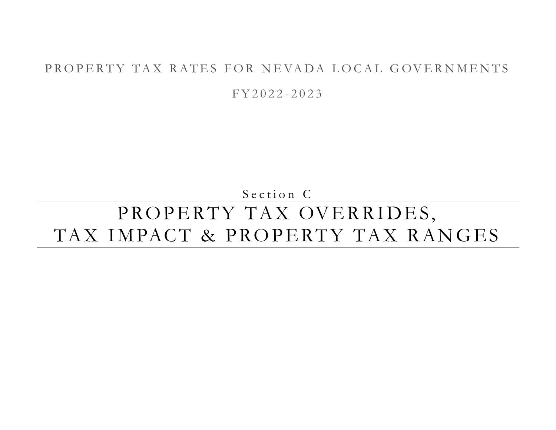## PROPERTY TAX RATES FOR NEVADA LOCAL GOVERNMENTS

F Y 2 0 2 2 - 2 0 2 3

Section C

# PROPERTY TAX OVERRIDES, TAX IMPACT & PROPERTY TAX RANGES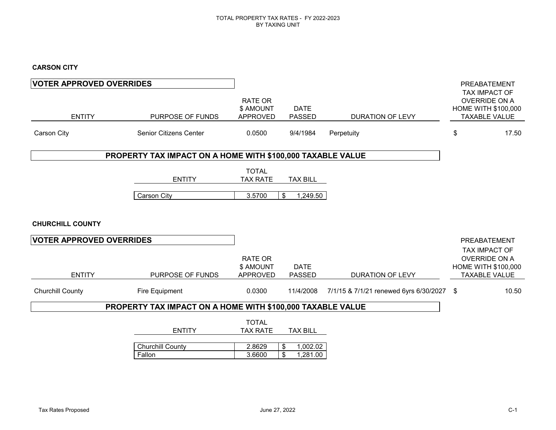### **CARSON CITY**

| <b>VOTER APPROVED OVERRIDES</b> |                                                            |                                                |                                  |                                           | PREABATEMENT                                                                         |
|---------------------------------|------------------------------------------------------------|------------------------------------------------|----------------------------------|-------------------------------------------|--------------------------------------------------------------------------------------|
| <b>ENTITY</b>                   | PURPOSE OF FUNDS                                           | <b>RATE OR</b><br>\$ AMOUNT<br><b>APPROVED</b> | <b>DATE</b><br><b>PASSED</b>     | <b>DURATION OF LEVY</b>                   | TAX IMPACT OF<br><b>OVERRIDE ON A</b><br>HOME WITH \$100,000<br><b>TAXABLE VALUE</b> |
| Carson City                     | <b>Senior Citizens Center</b>                              | 0.0500                                         | 9/4/1984                         | Perpetuity                                | \$<br>17.50                                                                          |
|                                 | PROPERTY TAX IMPACT ON A HOME WITH \$100,000 TAXABLE VALUE |                                                |                                  |                                           |                                                                                      |
|                                 | <b>ENTITY</b>                                              | <b>TOTAL</b><br><b>TAX RATE</b>                | <b>TAX BILL</b>                  |                                           |                                                                                      |
|                                 | Carson City                                                | 3.5700                                         | \$<br>1,249.50                   |                                           |                                                                                      |
| <b>CHURCHILL COUNTY</b>         |                                                            |                                                |                                  |                                           |                                                                                      |
| <b>VOTER APPROVED OVERRIDES</b> |                                                            |                                                |                                  |                                           | PREABATEMENT<br>TAX IMPACT OF                                                        |
| <b>ENTITY</b>                   | PURPOSE OF FUNDS                                           | <b>RATE OR</b><br>\$ AMOUNT<br><b>APPROVED</b> | <b>DATE</b><br><b>PASSED</b>     | <b>DURATION OF LEVY</b>                   | <b>OVERRIDE ON A</b><br><b>HOME WITH \$100,000</b><br><b>TAXABLE VALUE</b>           |
| <b>Churchill County</b>         | Fire Equipment                                             | 0.0300                                         | 11/4/2008                        | 7/1/15 & 7/1/21 renewed 6yrs 6/30/2027 \$ | 10.50                                                                                |
|                                 | PROPERTY TAX IMPACT ON A HOME WITH \$100,000 TAXABLE VALUE |                                                |                                  |                                           |                                                                                      |
|                                 | <b>ENTITY</b>                                              | <b>TOTAL</b><br><b>TAX RATE</b>                | <b>TAX BILL</b>                  |                                           |                                                                                      |
|                                 | <b>Churchill County</b><br>Fallon                          | 2.8629<br>3.6600                               | \$<br>1,002.02<br>\$<br>1,281.00 |                                           |                                                                                      |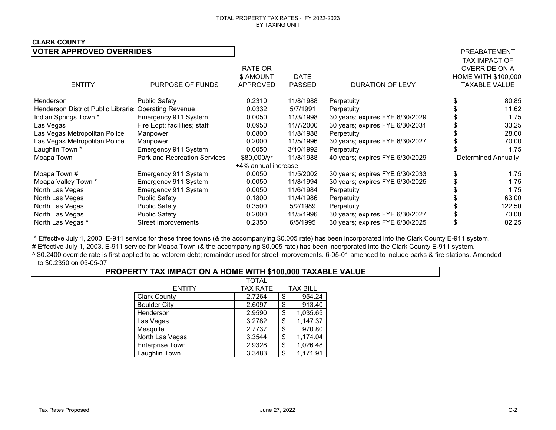### **CLARK COUNTY**

| <b>VOTER APPROVED OVERRIDES</b>                       |                              |                                         |                              |                                 | PREABATEMENT                                                                                |
|-------------------------------------------------------|------------------------------|-----------------------------------------|------------------------------|---------------------------------|---------------------------------------------------------------------------------------------|
| <b>ENTITY</b>                                         | PURPOSE OF FUNDS             | RATE OR<br>\$ AMOUNT<br><b>APPROVED</b> | <b>DATE</b><br><b>PASSED</b> | <b>DURATION OF LEVY</b>         | TAX IMPACT OF<br><b>OVERRIDE ON A</b><br><b>HOME WITH \$100,000</b><br><b>TAXABLE VALUE</b> |
| Henderson                                             | <b>Public Safety</b>         | 0.2310                                  | 11/8/1988                    | Perpetuity                      | 80.85                                                                                       |
| Henderson District Public Librarie: Operating Revenue |                              | 0.0332                                  | 5/7/1991                     | Perpetuity                      | 11.62                                                                                       |
| Indian Springs Town *                                 | Emergency 911 System         | 0.0050                                  | 11/3/1998                    | 30 years; expires FYE 6/30/2029 | 1.75                                                                                        |
| Las Vegas                                             | Fire Eqpt; facilities; staff | 0.0950                                  | 11/7/2000                    | 30 years; expires FYE 6/30/2031 | 33.25                                                                                       |
| Las Vegas Metropolitan Police                         | Manpower                     | 0.0800                                  | 11/8/1988                    | Perpetuity                      | 28.00                                                                                       |
| Las Vegas Metropolitan Police                         | Manpower                     | 0.2000                                  | 11/5/1996                    | 30 years; expires FYE 6/30/2027 | 70.00                                                                                       |
| Laughlin Town <sup>*</sup>                            | Emergency 911 System         | 0.0050                                  | 3/10/1992                    | Perpetuity                      | 1.75                                                                                        |
| Moapa Town                                            | Park and Recreation Services | \$80,000/yr                             | 11/8/1988                    | 40 years; expires FYE 6/30/2029 | <b>Determined Annually</b>                                                                  |
|                                                       |                              | +4% annual increase                     |                              |                                 |                                                                                             |
| Moapa Town #                                          | Emergency 911 System         | 0.0050                                  | 11/5/2002                    | 30 years; expires FYE 6/30/2033 | 1.75                                                                                        |
| Moapa Valley Town *                                   | Emergency 911 System         | 0.0050                                  | 11/8/1994                    | 30 years; expires FYE 6/30/2025 | 1.75                                                                                        |
| North Las Vegas                                       | Emergency 911 System         | 0.0050                                  | 11/6/1984                    | Perpetuity                      | 1.75                                                                                        |
| North Las Vegas                                       | <b>Public Safety</b>         | 0.1800                                  | 11/4/1986                    | Perpetuity                      | 63.00                                                                                       |
| North Las Vegas                                       | <b>Public Safety</b>         | 0.3500                                  | 5/2/1989                     | Perpetuity                      | 122.50                                                                                      |
| North Las Vegas                                       | <b>Public Safety</b>         | 0.2000                                  | 11/5/1996                    | 30 years; expires FYE 6/30/2027 | 70.00                                                                                       |
| North Las Vegas ^                                     | <b>Street Improvements</b>   | 0.2350                                  | 6/5/1995                     | 30 years; expires FYE 6/30/2025 | 82.25                                                                                       |

\* Effective July 1, 2000, E-911 service for these three towns (& the accompanying \$0.005 rate) has been incorporated into the Clark County E-911 system.

# Effective July 1, 2003, E-911 service for Moapa Town (& the accompanying \$0.005 rate) has been incorporated into the Clark County E-911 system.

^ \$0.2400 override rate is first applied to ad valorem debt; remainder used for street improvements. 6-05-01 amended to include parks & fire stations. Amended to \$0.2350 on 05-05-07

### **PROPERTY TAX IMPACT ON A HOME WITH \$100,000 TAXABLE VALUE**

|                        | <b>TOTAL</b>    |                 |
|------------------------|-----------------|-----------------|
| <b>ENTITY</b>          | <b>TAX RATE</b> | <b>TAX BILL</b> |
| <b>Clark County</b>    | 2.7264          | \$<br>954.24    |
| <b>Boulder City</b>    | 2.6097          | \$<br>913.40    |
| Henderson              | 2.9590          | \$<br>1,035.65  |
| Las Vegas              | 3.2782          | \$<br>1,147.37  |
| Mesquite               | 2.7737          | \$<br>970.80    |
| North Las Vegas        | 3.3544          | \$<br>1,174.04  |
| <b>Enterprise Town</b> | 2.9328          | \$<br>1,026.48  |
| Laughlin Town          | 3.3483          | \$<br>1,171.91  |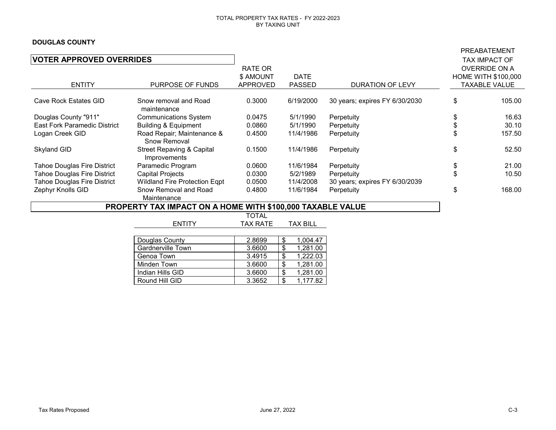### **DOUGLAS COUNTY**

|                                     |                                                            |                 |                 |                                | PREABATEMENT               |
|-------------------------------------|------------------------------------------------------------|-----------------|-----------------|--------------------------------|----------------------------|
| <b>VOTER APPROVED OVERRIDES</b>     |                                                            |                 |                 |                                | TAX IMPACT OF              |
|                                     |                                                            | RATE OR         |                 |                                | <b>OVERRIDE ON A</b>       |
|                                     |                                                            | \$ AMOUNT       | DATE            |                                | <b>HOME WITH \$100,000</b> |
| <b>ENTITY</b>                       | PURPOSE OF FUNDS                                           | APPROVED        | <b>PASSED</b>   | <b>DURATION OF LEVY</b>        | <b>TAXABLE VALUE</b>       |
|                                     |                                                            |                 |                 |                                |                            |
| Cave Rock Estates GID               | Snow removal and Road<br>maintenance                       | 0.3000          | 6/19/2000       | 30 years; expires FY 6/30/2030 | \$<br>105.00               |
| Douglas County "911"                | <b>Communications System</b>                               | 0.0475          | 5/1/1990        | Perpetuity                     | \$<br>16.63                |
| <b>East Fork Paramedic District</b> | <b>Building &amp; Equipment</b>                            | 0.0860          | 5/1/1990        | Perpetuity                     | \$<br>30.10                |
| Logan Creek GID                     | Road Repair; Maintenance &<br>Snow Removal                 | 0.4500          | 11/4/1986       | Perpetuity                     | 157.50                     |
| Skyland GID                         | <b>Street Repaving &amp; Capital</b><br>Improvements       | 0.1500          | 11/4/1986       | Perpetuity                     | \$<br>52.50                |
| <b>Tahoe Douglas Fire District</b>  | Paramedic Program                                          | 0.0600          | 11/6/1984       | Perpetuity                     | \$<br>21.00                |
| <b>Tahoe Douglas Fire District</b>  | <b>Capital Projects</b>                                    | 0.0300          | 5/2/1989        | Perpetuity                     | \$<br>10.50                |
| Tahoe Douglas Fire District         | Wildland Fire Protection Eqpt                              | 0.0500          | 11/4/2008       | 30 years; expires FY 6/30/2039 |                            |
| Zephyr Knolls GID                   | Snow Removal and Road                                      | 0.4800          | 11/6/1984       | Perpetuity                     | \$<br>168.00               |
|                                     | Maintenance                                                |                 |                 |                                |                            |
|                                     | PROPERTY TAX IMPACT ON A HOME WITH \$100,000 TAXABLE VALUE |                 |                 |                                |                            |
|                                     |                                                            | TOTAL           |                 |                                |                            |
|                                     | <b>ENTITY</b>                                              | <b>TAX RATE</b> | <b>TAX BILL</b> |                                |                            |
|                                     |                                                            |                 |                 |                                |                            |
|                                     | Douglas County                                             | 2.8699          | 1,004.47<br>\$  |                                |                            |
|                                     | Gardnerville Town                                          | 3.6600          | \$<br>1,281.00  |                                |                            |
|                                     | Genoa Town                                                 | 3.4915          | \$<br>,222.03   |                                |                            |
|                                     | Minden Town                                                | 3.6600          | \$<br>1,281.00  |                                |                            |

Minden Town 3.6600 \$ 1,281.00<br>Indian Hills GID 3.6600 \$ 1,281.00 11 Indian Hills GID 3.6600 \$ 1,281.00<br>Round Hill GID 3.3652 \$ 1,177.82

Round Hill GID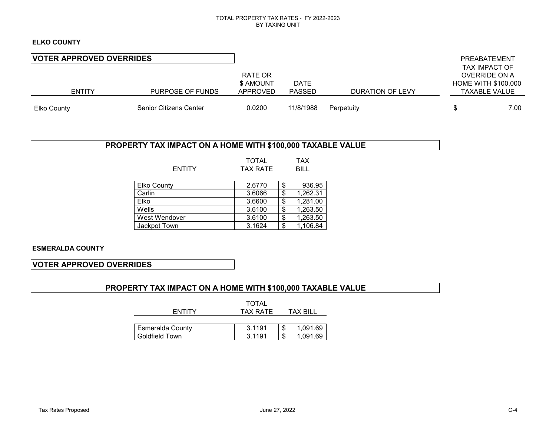### **ELKO COUNTY**

| <b>VOTER APPROVED OVERRIDES</b> |                        |           |               |                  | PREABATEMENT               |
|---------------------------------|------------------------|-----------|---------------|------------------|----------------------------|
|                                 |                        |           |               |                  | TAX IMPACT OF              |
|                                 |                        | RATE OR   |               |                  | OVERRIDE ON A              |
|                                 |                        | \$ AMOUNT | <b>DATE</b>   |                  | <b>HOME WITH \$100,000</b> |
| <b>ENTITY</b>                   | PURPOSE OF FUNDS       | APPROVED  | <b>PASSED</b> | DURATION OF LEVY | <b>TAXABLE VALUE</b>       |
| Elko County                     | Senior Citizens Center | 0.0200    | 11/8/1988     | Perpetuity       | 7.00                       |

### **PROPERTY TAX IMPACT ON A HOME WITH \$100,000 TAXABLE VALUE**

|                    | <b>TOTAL</b>                   |    | <b>TAX</b> |
|--------------------|--------------------------------|----|------------|
| <b>ENTITY</b>      | <b>TAX RATE</b><br><b>BILL</b> |    |            |
|                    |                                |    |            |
| <b>Elko County</b> | 2.6770                         | \$ | 936.95     |
| Carlin             | 3.6066                         | \$ | 1,262.31   |
| Elko               | 3.6600                         | \$ | 1,281.00   |
| Wells              | 3.6100                         | \$ | 1,263.50   |
| West Wendover      | 3.6100                         | \$ | 1,263.50   |
| Jackpot Town       | 3.1624                         | \$ | 1,106.84   |

### **ESMERALDA COUNTY**

### **VOTER APPROVED OVERRIDES**

### **PROPERTY TAX IMPACT ON A HOME WITH \$100,000 TAXABLE VALUE**

|                  | <b>TOTAL</b> |          |
|------------------|--------------|----------|
| <b>ENTITY</b>    | TAX RATE     | TAX BILL |
|                  |              |          |
| Esmeralda County | 3.1191       | 1,091.69 |
| l Goldfield Town | 3.1191       | 1,091.69 |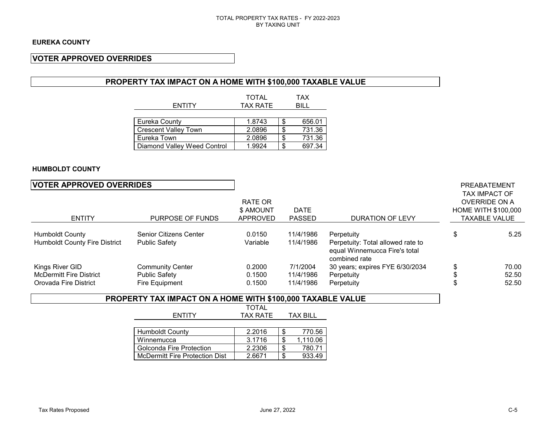### **VOTER APPROVED OVERRIDES**

### **PROPERTY TAX IMPACT ON A HOME WITH \$100,000 TAXABLE VALUE**

| <b>ENTITY</b>               | <b>TOTAL</b><br><b>TAX RATE</b> |    | <b>TAX</b><br>BIL L |
|-----------------------------|---------------------------------|----|---------------------|
|                             |                                 |    |                     |
| Eureka County               | 1.8743                          | \$ | 656.01              |
| Crescent Valley Town        | 2.0896                          | ß. | 731.36              |
| Eureka Town                 | 2.0896                          | S  | 731.36              |
| Diamond Valley Weed Control | 1.9924                          | S  | 697.34              |

### **HUMBOLDT COUNTY**

### **VOTER APPROVED OVERRIDES PREABATEMENT**

| <b>ENTITY</b>                                                  | PURPOSE OF FUNDS                                | RATE OR<br>\$ AMOUNT<br><b>APPROVED</b> | <b>DATE</b><br><b>PASSED</b> | DURATION OF LEVY                                                                                  | <b>TAX IMPACT OF</b><br><b>OVERRIDE ON A</b><br><b>HOME WITH \$100,000</b><br><b>TAXABLE VALUE</b> |
|----------------------------------------------------------------|-------------------------------------------------|-----------------------------------------|------------------------------|---------------------------------------------------------------------------------------------------|----------------------------------------------------------------------------------------------------|
| <b>Humboldt County</b><br><b>Humboldt County Fire District</b> | Senior Citizens Center<br><b>Public Safety</b>  | 0.0150<br>Variable                      | 11/4/1986<br>11/4/1986       | Perpetuity<br>Perpetuity: Total allowed rate to<br>equal Winnemucca Fire's total<br>combined rate | 5.25                                                                                               |
| Kings River GID<br><b>McDermitt Fire District</b>              | <b>Community Center</b><br><b>Public Safety</b> | 0.2000<br>0.1500                        | 7/1/2004<br>11/4/1986        | 30 years; expires FYE 6/30/2034<br>Perpetuity                                                     | 70.00<br>52.50                                                                                     |
| Orovada Fire District                                          | Fire Equipment                                  | 0.1500                                  | 11/4/1986                    | Perpetuity                                                                                        | 52.50                                                                                              |

### **PROPERTY TAX IMPACT ON A HOME WITH \$100,000 TAXABLE VALUE**

|                                | <b>TOTAL</b>    |                 |          |
|--------------------------------|-----------------|-----------------|----------|
| <b>ENTITY</b>                  | <b>TAX RATE</b> | <b>TAX BILL</b> |          |
|                                |                 |                 |          |
| <b>Humboldt County</b>         | 2.2016          |                 | 770.56   |
| Winnemucca                     | 3.1716          |                 | 1,110.06 |
| Golconda Fire Protection       | 2.2306          |                 | 780.71   |
| McDermitt Fire Protection Dist | 2.6671          |                 | 933.49   |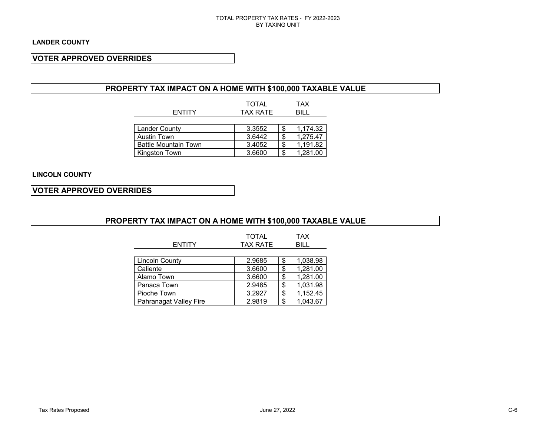### **VOTER APPROVED OVERRIDES**

### **PROPERTY TAX IMPACT ON A HOME WITH \$100,000 TAXABLE VALUE**

|                             | <b>TOTAL</b>    |    | TAX      |
|-----------------------------|-----------------|----|----------|
| <b>ENTITY</b>               | <b>TAX RATE</b> |    | BILL     |
|                             |                 |    |          |
| <b>Lander County</b>        | 3.3552          | S. | 1,174.32 |
| <b>Austin Town</b>          | 3.6442          |    | 1,275.47 |
| <b>Battle Mountain Town</b> | 3.4052          |    | 1,191.82 |
| Kingston Town               | 3.6600          | S  | 1,281.00 |

### **LINCOLN COUNTY**

### **VOTER APPROVED OVERRIDES**

### **PROPERTY TAX IMPACT ON A HOME WITH \$100,000 TAXABLE VALUE**

| <b>ENTITY</b>                 | <b>TOTAL</b><br><b>TAX RATE</b> | <b>TAX</b><br><b>BILL</b> |
|-------------------------------|---------------------------------|---------------------------|
| <b>Lincoln County</b>         | 2.9685                          | \$<br>1,038.98            |
| Caliente                      | 3.6600                          | \$<br>1,281.00            |
| Alamo Town                    | 3.6600                          | \$<br>1,281.00            |
| Panaca Town                   | 2.9485                          | \$<br>1,031.98            |
| Pioche Town                   | 3.2927                          | \$<br>1,152.45            |
| <b>Pahranagat Valley Fire</b> | 2.9819                          | \$<br>1,043.67            |

**Pahranagat Valley Fire**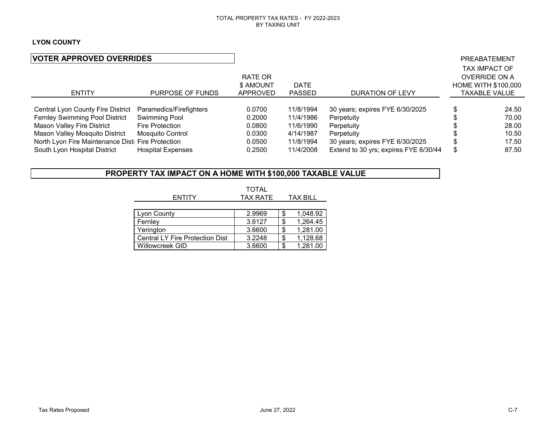### **LYON COUNTY**

| <b>VOTER APPROVED OVERRIDES</b>                           |                          |                 |               |                                       | PREABATEMENT               |
|-----------------------------------------------------------|--------------------------|-----------------|---------------|---------------------------------------|----------------------------|
|                                                           |                          |                 |               |                                       | <b>TAX IMPACT OF</b>       |
|                                                           |                          | RATE OR         |               |                                       | <b>OVERRIDE ON A</b>       |
|                                                           |                          | \$ AMOUNT       | <b>DATE</b>   |                                       | <b>HOME WITH \$100,000</b> |
| <b>ENTITY</b>                                             | PURPOSE OF FUNDS         | <b>APPROVED</b> | <b>PASSED</b> | DURATION OF LEVY                      | TAXABLE VALUE              |
|                                                           |                          |                 |               |                                       |                            |
| Central Lyon County Fire District Paramedics/Firefighters |                          | 0.0700          | 11/8/1994     | 30 years; expires FYE 6/30/2025       | 24.50                      |
| Fernley Swimming Pool District                            | Swimming Pool            | 0.2000          | 11/4/1986     | Perpetuity                            | 70.00                      |
| Mason Valley Fire District                                | Fire Protection          | 0.0800          | 11/6/1990     | Perpetuity                            | 28.00                      |
| Mason Valley Mosquito District                            | Mosquito Control         | 0.0300          | 4/14/1987     | Perpetuity                            | 10.50                      |
| North Lyon Fire Maintenance Dist Fire Protection          |                          | 0.0500          | 11/8/1994     | 30 years; expires FYE 6/30/2025       | 17.50                      |
| South Lyon Hospital District                              | <b>Hospital Expenses</b> | 0.2500          | 11/4/2008     | Extend to 30 yrs; expires FYE 6/30/44 | 87.50                      |

### **PROPERTY TAX IMPACT ON A HOME WITH \$100,000 TAXABLE VALUE**

|                                        | <b>TOTAL</b>    |   |                 |
|----------------------------------------|-----------------|---|-----------------|
| <b>ENTITY</b>                          | <b>TAX RATE</b> |   | <b>TAX BILL</b> |
|                                        |                 |   |                 |
| Lyon County                            | 2.9969          | S | 1,048.92        |
| Fernley                                | 3.6127          |   | 1.264.45        |
| Yerington                              | 3.6600          |   | 1,281.00        |
| <b>Central LY Fire Protection Dist</b> | 3.2248          | S | 1,128.68        |

Central LY Fire Protection Dist 3.2248 \$ 1,128.68<br>Willowcreek GID 3.6600 \$ 1,281.00

Willowcreek GID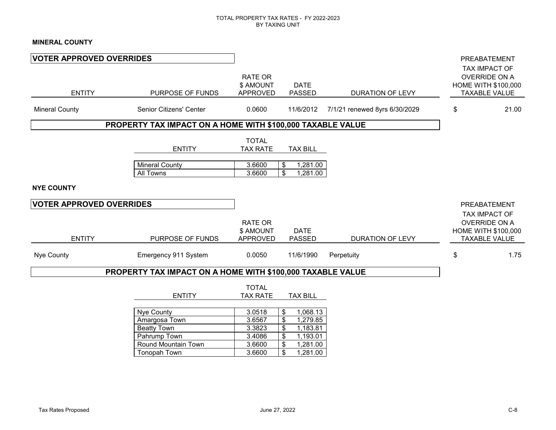### **MINERAL COUNTY**

| <b>VOTER APPROVED OVERRIDES</b>                  |                                                                                                          |                                                          |                                                                                                                   |                               | PREABATEMENT                                                                                         |
|--------------------------------------------------|----------------------------------------------------------------------------------------------------------|----------------------------------------------------------|-------------------------------------------------------------------------------------------------------------------|-------------------------------|------------------------------------------------------------------------------------------------------|
| <b>ENTITY</b>                                    | PURPOSE OF FUNDS                                                                                         | RATE OR<br>\$ AMOUNT<br><b>APPROVED</b>                  | <b>DATE</b><br><b>PASSED</b>                                                                                      | <b>DURATION OF LEVY</b>       | TAX IMPACT OF<br><b>OVERRIDE ON A</b><br>HOME WITH \$100,000<br><b>TAXABLE VALUE</b>                 |
| <b>Mineral County</b>                            | Senior Citizens' Center                                                                                  | 0.0600                                                   | 11/6/2012                                                                                                         | 7/1/21 renewed 8yrs 6/30/2029 | \$<br>21.00                                                                                          |
|                                                  | PROPERTY TAX IMPACT ON A HOME WITH \$100,000 TAXABLE VALUE                                               |                                                          |                                                                                                                   |                               |                                                                                                      |
|                                                  | <b>ENTITY</b><br><b>Mineral County</b><br>All Towns                                                      | <b>TOTAL</b><br><b>TAX RATE</b><br>3.6600<br>3.6600      | <b>TAX BILL</b><br>1,281.00<br>\$<br>$\overline{\mathbf{s}}$<br>1,281.00                                          |                               |                                                                                                      |
| <b>NYE COUNTY</b>                                |                                                                                                          |                                                          |                                                                                                                   |                               |                                                                                                      |
| <b>VOTER APPROVED OVERRIDES</b><br><b>ENTITY</b> | PURPOSE OF FUNDS                                                                                         | RATE OR<br>\$ AMOUNT<br><b>APPROVED</b>                  | <b>DATE</b><br><b>PASSED</b>                                                                                      | DURATION OF LEVY              | PREABATEMENT<br>TAX IMPACT OF<br><b>OVERRIDE ON A</b><br>HOME WITH \$100,000<br><b>TAXABLE VALUE</b> |
| Nye County                                       | Emergency 911 System                                                                                     | 0.0050                                                   | 11/6/1990                                                                                                         | Perpetuity                    | \$<br>1.75                                                                                           |
|                                                  | PROPERTY TAX IMPACT ON A HOME WITH \$100,000 TAXABLE VALUE                                               |                                                          |                                                                                                                   |                               |                                                                                                      |
|                                                  | <b>ENTITY</b>                                                                                            | <b>TOTAL</b><br><b>TAX RATE</b>                          | <b>TAX BILL</b>                                                                                                   |                               |                                                                                                      |
|                                                  | Nye County<br>Amargosa Town<br><b>Beatty Town</b><br>Pahrump Town<br>Round Mountain Town<br>Tonopah Town | 3.0518<br>3.6567<br>3.3823<br>3.4086<br>3.6600<br>3.6600 | 1,068.13<br>\$<br>\$<br>1,279.85<br>\$<br>1,183.81<br>$\$\$<br>1,193.01<br>$\$\$<br>1,281.00<br>$\$\$<br>1,281.00 |                               |                                                                                                      |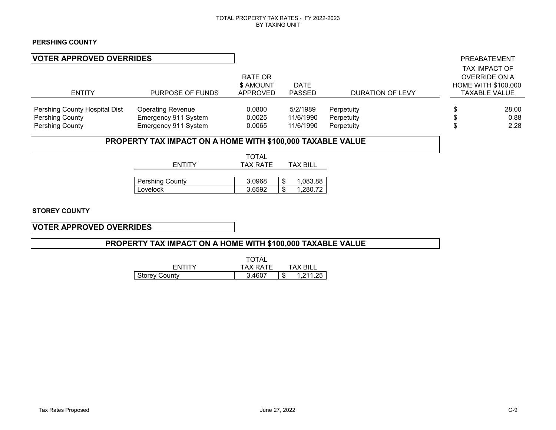### **PERSHING COUNTY**

| <b>VOTER APPROVED OVERRIDES</b>                                     |                                                                          |                                  |                                    |                                        |        | PREABATEMENT                                                                                |
|---------------------------------------------------------------------|--------------------------------------------------------------------------|----------------------------------|------------------------------------|----------------------------------------|--------|---------------------------------------------------------------------------------------------|
| <b>ENTITY</b>                                                       | PURPOSE OF FUNDS                                                         | RATE OR<br>\$ AMOUNT<br>APPROVED | <b>DATE</b><br><b>PASSED</b>       | DURATION OF LEVY                       |        | <b>TAX IMPACT OF</b><br>OVERRIDE ON A<br><b>HOME WITH \$100,000</b><br><b>TAXABLE VALUE</b> |
| Pershing County Hospital Dist<br>Pershing County<br>Pershing County | <b>Operating Revenue</b><br>Emergency 911 System<br>Emergency 911 System | 0.0800<br>0.0025<br>0.0065       | 5/2/1989<br>11/6/1990<br>11/6/1990 | Perpetuity<br>Perpetuity<br>Perpetuity | Φ<br>Ф | 28.00<br>0.88<br>2.28                                                                       |
|                                                                     | PROPERTY TAX IMPACT ON A HOME WITH \$100,000 TAXABLE VALUE               |                                  |                                    |                                        |        |                                                                                             |
|                                                                     | <b>ENTITY</b>                                                            | <b>TOTAL</b><br><b>TAX RATE</b>  | <b>TAX BILL</b>                    |                                        |        |                                                                                             |

| <b>Pershing County</b> | 3.0968 | Œ  | 083.88 |
|------------------------|--------|----|--------|
| _ovelock               | 3.6592 | Œ. | 280 72 |

**STOREY COUNTY**

**VOTER APPROVED OVERRIDES**

### **PROPERTY TAX IMPACT ON A HOME WITH \$100,000 TAXABLE VALUE**

|                      | <b>TOTAL</b> |           |
|----------------------|--------------|-----------|
| <b>FNTITY</b>        | TAX RATF     | TAX RII I |
| <b>Storey County</b> | 3.4607       | 1.211.25  |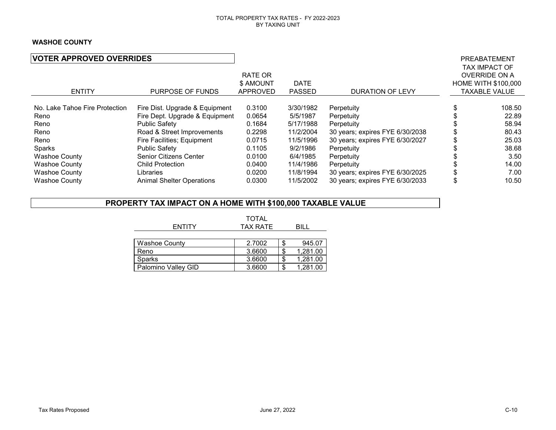### **WASHOE COUNTY**

| <b>VOTER APPROVED OVERRIDES</b> |                                  |           |               |                                 | PREABATEMENT<br><b>TAX IMPACT OF</b> |
|---------------------------------|----------------------------------|-----------|---------------|---------------------------------|--------------------------------------|
|                                 |                                  | RATE OR   |               |                                 | <b>OVERRIDE ON A</b>                 |
|                                 |                                  | \$ AMOUNT | <b>DATE</b>   |                                 | <b>HOME WITH \$100,000</b>           |
| <b>ENTITY</b>                   | PURPOSE OF FUNDS                 | APPROVED  | <b>PASSED</b> | <b>DURATION OF LEVY</b>         | <b>TAXABLE VALUE</b>                 |
| No. Lake Tahoe Fire Protection  | Fire Dist. Upgrade & Equipment   | 0.3100    | 3/30/1982     | Perpetuity                      | 108.50                               |
| Reno                            | Fire Dept. Upgrade & Equipment   | 0.0654    | 5/5/1987      | Perpetuity                      | 22.89                                |
| Reno                            | <b>Public Safety</b>             | 0.1684    | 5/17/1988     | Perpetuity                      | 58.94                                |
| Reno                            | Road & Street Improvements       | 0.2298    | 11/2/2004     | 30 years; expires FYE 6/30/2038 | 80.43                                |
| Reno                            | Fire Facilities; Equipment       | 0.0715    | 11/5/1996     | 30 years; expires FYE 6/30/2027 | 25.03                                |
| Sparks                          | Public Safety                    | 0.1105    | 9/2/1986      | Perpetuity                      | 38.68                                |
| <b>Washoe County</b>            | Senior Citizens Center           | 0.0100    | 6/4/1985      | Perpetuity                      | 3.50                                 |
| <b>Washoe County</b>            | <b>Child Protection</b>          | 0.0400    | 11/4/1986     | Perpetuity                      | 14.00                                |
| <b>Washoe County</b>            | Libraries                        | 0.0200    | 11/8/1994     | 30 years; expires FYE 6/30/2025 | 7.00                                 |
| <b>Washoe County</b>            | <b>Animal Shelter Operations</b> | 0.0300    | 11/5/2002     | 30 years; expires FYE 6/30/2033 | 10.50                                |

### **PROPERTY TAX IMPACT ON A HOME WITH \$100,000 TAXABLE VALUE**

|                      | <b>TOTAL</b>    |          |
|----------------------|-----------------|----------|
| <b>ENTITY</b>        | <b>TAX RATE</b> | BILL     |
|                      |                 |          |
| <b>Washoe County</b> | 2.7002          | 945.07   |
| Reno                 | 3.6600          | 1,281.00 |
| <b>Sparks</b>        | 3.6600          | 1,281.00 |
| Palomino Valley GID  | 3.6600          | 1,281.00 |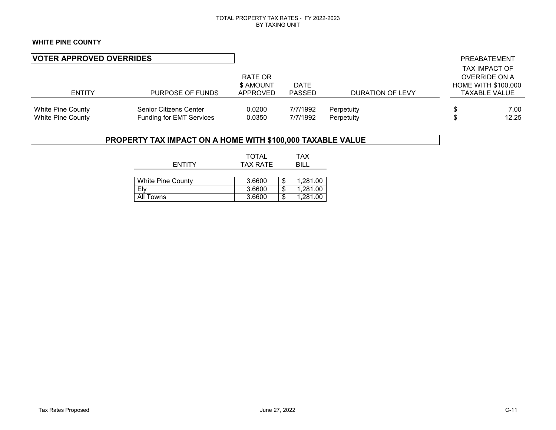### **WHITE PINE COUNTY**

| <b>VOTER APPROVED OVERRIDES</b><br><b>ENTITY</b><br>PURPOSE OF FUNDS |                                                            | RATE OR<br>\$ AMOUNT<br>APPROVED | <b>DATE</b><br><b>PASSED</b> | DURATION OF LEVY         |          | PREABATEMENT<br><b>TAX IMPACT OF</b><br><b>OVERRIDE ON A</b><br><b>HOME WITH \$100,000</b><br><b>TAXABLE VALUE</b> |
|----------------------------------------------------------------------|------------------------------------------------------------|----------------------------------|------------------------------|--------------------------|----------|--------------------------------------------------------------------------------------------------------------------|
| <b>White Pine County</b><br><b>White Pine County</b>                 | Senior Citizens Center<br><b>Funding for EMT Services</b>  | 0.0200<br>0.0350                 | 7/7/1992<br>7/7/1992         | Perpetuity<br>Perpetuity | \$<br>\$ | 7.00<br>12.25                                                                                                      |
|                                                                      | PROPERTY TAX IMPACT ON A HOME WITH \$100,000 TAXABLE VALUE |                                  |                              |                          |          |                                                                                                                    |
|                                                                      | <b>ENTITY</b>                                              | <b>TOTAL</b><br><b>TAX RATE</b>  | TAX<br><b>BILL</b>           |                          |          |                                                                                                                    |

| <b>White Pine County</b> | 3.6600 | 1.281.00 |
|--------------------------|--------|----------|
| Elv                      | 3.6600 | 1.281.00 |
| All Towns                | 3.6600 | 1.281.00 |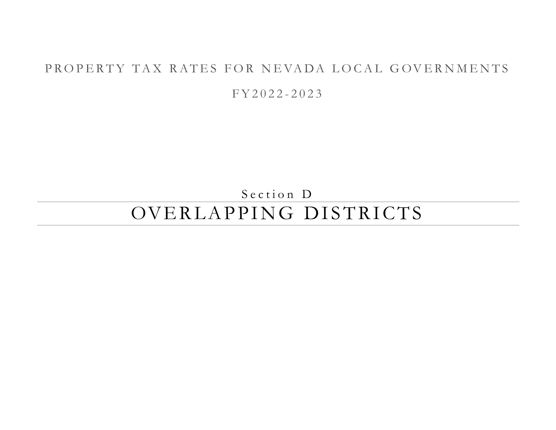## PROPERTY TAX RATES FOR NEVADA LOCAL GOVERNMENTS

F Y 2 0 2 2 - 2 0 2 3

Section D

# OVERLAPPING DISTRICTS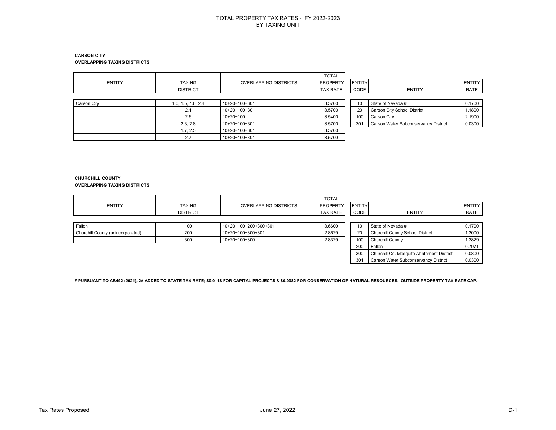#### **CARSON CITY OVERLAPPING TAXING DISTRICTS**

| <b>ENTITY</b> | <b>TAXING</b><br><b>DISTRICT</b> | <b>OVERLAPPING DISTRICTS</b> | <b>TOTAL</b><br>PROPERTY<br><b>TAX RATE</b> | <b>ENTITY</b><br>CODE | <b>ENTITY</b>                        | <b>ENTITY</b><br>RATE |
|---------------|----------------------------------|------------------------------|---------------------------------------------|-----------------------|--------------------------------------|-----------------------|
| Carson City   | 1.0, 1.5, 1.6, 2.4               | 10+20+100+301                | 3.5700                                      | 10                    | State of Nevada #                    | 0.1700                |
|               | 2.1                              | 10+20+100+301                | 3.5700                                      | 20                    | Carson City School District          | 1.1800                |
|               | 2.6                              | $10+20+100$                  | 3.5400                                      | 100                   | Carson City                          | 2.1900                |
|               | 2.3, 2.8                         | 10+20+100+301                | 3.5700                                      | 301                   | Carson Water Subconservancy District | 0.0300                |
|               | 1.7, 2.5                         | 10+20+100+301                | 3.5700                                      |                       |                                      |                       |
|               | 2.7                              | 10+20+100+301                | 3.5700                                      |                       |                                      |                       |

#### **CHURCHILL COUNTY OVERLAPPING TAXING DISTRICTS**

| <b>ENTITY</b>                     | <b>TAXING</b><br><b>DISTRICT</b> | <b>OVERLAPPING DISTRICTS</b> | <b>TOTAL</b><br><b>PROPERTYI</b><br><b>TAX RATE</b> | <b>ENTITY</b><br>CODE | <b>ENTITY</b>                             | ENTITY<br>RATE |
|-----------------------------------|----------------------------------|------------------------------|-----------------------------------------------------|-----------------------|-------------------------------------------|----------------|
| Fallon                            | 100                              | 10+20+100+200+300+301        | 3.6600                                              | 10                    | State of Nevada #                         | 0.1700         |
| Churchill County (unincorporated) | 200                              | 10+20+100+300+301            | 2.8629                                              | 20                    | <b>Churchill County School District</b>   | 1.3000         |
|                                   | 300                              | 10+20+100+300                | 2.8329                                              | 100                   | Churchill County                          | 1.2829         |
|                                   |                                  |                              |                                                     | 200                   | Fallon                                    | 0.7971         |
|                                   |                                  |                              |                                                     | 300                   | Churchill Co. Mosquito Abatement District | 0.0800         |
|                                   |                                  |                              |                                                     | 301                   | Carson Water Subconservancy District      | 0.0300         |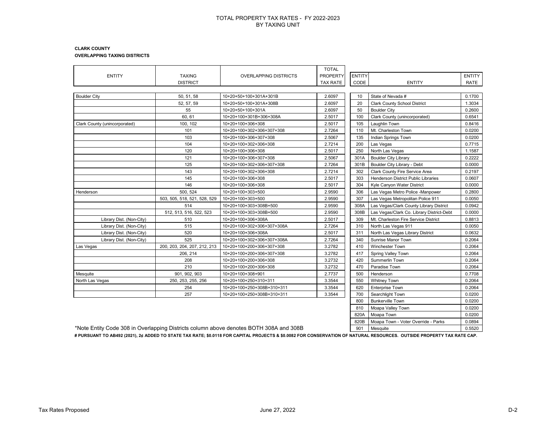#### **CLARK COUNTY OVERLAPPING TAXING DISTRICTS**

|                               |                              |                                                                                        | <b>TOTAL</b>    |               |                                           |               |
|-------------------------------|------------------------------|----------------------------------------------------------------------------------------|-----------------|---------------|-------------------------------------------|---------------|
| <b>ENTITY</b>                 | <b>TAXING</b>                | <b>OVERLAPPING DISTRICTS</b>                                                           | <b>PROPERTY</b> | <b>ENTITY</b> |                                           | <b>ENTITY</b> |
|                               | <b>DISTRICT</b>              |                                                                                        | <b>TAX RATE</b> | CODE          | <b>ENTITY</b>                             | RATE          |
|                               |                              |                                                                                        |                 |               |                                           |               |
| <b>Boulder City</b>           | 50, 51, 58                   | 10+20+50+100+301A+301B                                                                 | 2.6097          | 10            | State of Nevada #                         | 0.1700        |
|                               | 52, 57, 59                   | 10+20+50+100+301A+308B                                                                 | 2.6097          | 20            | <b>Clark County School District</b>       | 1.3034        |
|                               | 55                           | 10+20+50+100+301A                                                                      | 2.6097          | 50            | <b>Boulder City</b>                       | 0.2600        |
|                               | 60.61                        | 10+20+100+301B+306+308A                                                                | 2.5017          | 100           | Clark County (unincorporated)             | 0.6541        |
| Clark County (unincorporated) | 100, 102                     | 10+20+100+306+308                                                                      | 2.5017          | 105           | Laughlin Town                             | 0.8416        |
|                               | 101                          | 10+20+100+302+306+307+308                                                              | 2.7264          | 110           | Mt. Charleston Town                       | 0.0200        |
|                               | 103                          | 10+20+100+306+307+308                                                                  | 2.5067          | 135           | Indian Springs Town                       | 0.0200        |
|                               | 104                          | 10+20+100+302+306+308                                                                  | 2.7214          | 200           | Las Vegas                                 | 0.7715        |
|                               | 120                          | 10+20+100+306+308                                                                      | 2.5017          | 250           | North Las Vegas                           | 1.1587        |
|                               | 121                          | 10+20+100+306+307+308                                                                  | 2.5067          | 301A          | <b>Boulder City Library</b>               | 0.2222        |
|                               | 125                          | 10+20+100+302+306+307+308                                                              | 2.7264          | 301B          | Boulder City Library - Debt               | 0.0000        |
|                               | 143                          | 10+20+100+302+306+308                                                                  | 2.7214          | 302           | Clark County Fire Service Area            | 0.2197        |
|                               | 145                          | 10+20+100+306+308                                                                      | 2.5017          | 303           | Henderson District Public Libraries       | 0.0607        |
|                               | 146                          | 10+20+100+306+308                                                                      | 2.5017          | 304           | Kyle Canyon Water District                | 0.0000        |
| Henderson                     | 500.524                      | 10+20+100+303+500                                                                      | 2.9590          | 306           | Las Vegas Metro Police -Manpower          | 0.2800        |
|                               | 503, 505, 518, 521, 528, 529 | 10+20+100+303+500                                                                      | 2.9590          | 307           | Las Vegas Metropolitan Police 911         | 0.0050        |
|                               | 514                          | 10+20+100+303+308B+500                                                                 | 2.9590          | 308A          | Las Vegas/Clark County Library District   | 0.0942        |
|                               | 512, 513, 516, 522, 523      | 10+20+100+303+308B+500                                                                 | 2.9590          | 308B          | Las Vegas/Clark Co. Library District-Debt | 0.0000        |
| Library Dist. (Non-City)      | 510                          | 10+20+100+306+308A                                                                     | 2.5017          | 309           | Mt. Charleston Fire Service District      | 0.8813        |
| Library Dist. (Non-City)      | 515                          | 10+20+100+302+306+307+308A                                                             | 2.7264          | 310           | North Las Vegas 911                       | 0.0050        |
| Library Dist. (Non-City)      | 520                          | 10+20+100+306+308A                                                                     | 2.5017          | 311           | North Las Vegas Library District          | 0.0632        |
| Library Dist. (Non-City)      | 525                          | 10+20+100+302+306+307+308A                                                             | 2.7264          | 340           | Sunrise Manor Town                        | 0.2064        |
| Las Vegas                     | 200, 203, 204, 207, 212, 213 | 10+20+100+200+306+307+308                                                              | 3.2782          | 410           | <b>Winchester Town</b>                    | 0.2064        |
|                               | 206, 214                     | 10+20+100+200+306+307+308                                                              | 3.2782          | 417           | Spring Valley Town                        | 0.2064        |
|                               | 208                          | 10+20+100+200+306+308                                                                  | 3.2732          | 420           | Summerlin Town                            | 0.2064        |
|                               | 210                          | 10+20+100+200+306+308                                                                  | 3.2732          | 470           | Paradise Town                             | 0.2064        |
| Mesquite                      | 901, 902, 903                | 10+20+100+308+901                                                                      | 2.7737          | 500           | Henderson                                 | 0.7708        |
| North Las Vegas               | 250, 253, 255, 256           | 10+20+100+250+310+311                                                                  | 3.3544          | 550           | <b>Whitney Town</b>                       | 0.2064        |
|                               | 254                          | 10+20+100+250+308B+310+311                                                             | 3.3544          | 620           | <b>Enterprise Town</b>                    | 0.2064        |
|                               | 257                          | 10+20+100+250+308B+310+311                                                             | 3.3544          | 700           | Searchlight Town                          | 0.0200        |
|                               |                              |                                                                                        |                 | 800           | <b>Bunkerville Town</b>                   | 0.0200        |
|                               |                              |                                                                                        |                 | 810           | Moapa Valley Town                         | 0.0200        |
|                               |                              |                                                                                        |                 | 820A          | Moapa Town                                | 0.0200        |
|                               |                              |                                                                                        |                 | 820B          | Moapa Town - Voter Override - Parks       | 0.0894        |
|                               |                              | *Note Entity Code 308 in Overlapping Districts column above denotes BOTH 308A and 308B |                 | 901           | Mesquite                                  | 0.5520        |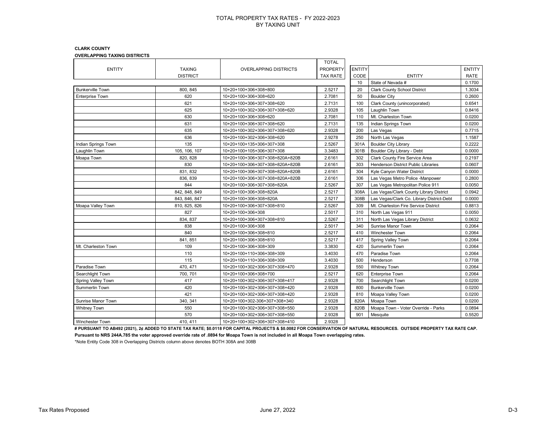#### **CLARK COUNTY**

**OVERLAPPING TAXING DISTRICTS**

|                         |                 |                                 | <b>TOTAL</b>    |               |                                           |               |
|-------------------------|-----------------|---------------------------------|-----------------|---------------|-------------------------------------------|---------------|
| <b>ENTITY</b>           | <b>TAXING</b>   | <b>OVERLAPPING DISTRICTS</b>    | <b>PROPERTY</b> | <b>ENTITY</b> |                                           | <b>ENTITY</b> |
|                         | <b>DISTRICT</b> |                                 | <b>TAX RATE</b> | CODE          | <b>ENTITY</b>                             | <b>RATE</b>   |
|                         |                 |                                 |                 | 10            | State of Nevada #                         | 0.1700        |
| <b>Bunkerville Town</b> | 800, 845        | 10+20+100+306+308+800           | 2.5217          | 20            | <b>Clark County School District</b>       | 1.3034        |
| <b>Enterprise Town</b>  | 620             | 10+20+100+306+308+620           | 2.7081          | 50            | <b>Boulder City</b>                       | 0.2600        |
|                         | 621             | 10+20+100+306+307+308+620       | 2.7131          | 100           | Clark County (unincorporated)             | 0.6541        |
|                         | 625             | 10+20+100+302+306+307+308+620   | 2.9328          | 105           | Laughlin Town                             | 0.8416        |
|                         | 630             | 10+20+100+306+308+620           | 2.7081          | 110           | Mt. Charleston Town                       | 0.0200        |
|                         | 631             | 10+20+100+306+307+308+620       | 2.7131          | 135           | Indian Springs Town                       | 0.0200        |
|                         | 635             | 10+20+100+302+306+307+308+620   | 2.9328          | 200           | Las Vegas                                 | 0.7715        |
|                         | 636             | 10+20+100+302+306+308+620       | 2.9278          | 250           | North Las Vegas                           | 1.1587        |
| Indian Springs Town     | 135             | 10+20+100+135+306+307+308       | 2.5267          | 301A          | <b>Boulder City Library</b>               | 0.2222        |
| Laughlin Town           | 105, 106, 107   | 10+20+100+105+306+307+308       | 3.3483          | 301B          | Boulder City Library - Debt               | 0.0000        |
| Moapa Town              | 820, 828        | 10+20+100+306+307+308+820A+820B | 2.6161          | 302           | Clark County Fire Service Area            | 0.2197        |
|                         | 830             | 10+20+100+306+307+308+820A+820B | 2.6161          | 303           | Henderson District Public Libraries       | 0.0607        |
|                         | 831, 832        | 10+20+100+306+307+308+820A+820B | 2.6161          | 304           | Kyle Canyon Water District                | 0.0000        |
|                         | 836, 839        | 10+20+100+306+307+308+820A+820B | 2.6161          | 306           | Las Vegas Metro Police - Manpower         | 0.2800        |
|                         | 844             | 10+20+100+306+307+308+820A      | 2.5267          | 307           | Las Vegas Metropolitan Police 911         | 0.0050        |
|                         | 842, 848, 849   | 10+20+100+306+308+820A          | 2.5217          | 308A          | Las Vegas/Clark County Library District   | 0.0942        |
|                         | 843, 846, 847   | 10+20+100+306+308+820A          | 2.5217          | 308B          | Las Vegas/Clark Co. Library District-Debt | 0.0000        |
| Moapa Valley Town       | 810, 825, 826   | 10+20+100+306+307+308+810       | 2.5267          | 309           | Mt. Charleston Fire Service District      | 0.8813        |
|                         | 827             | 10+20+100+306+308               | 2.5017          | 310           | North Las Vegas 911                       | 0.0050        |
|                         | 834, 837        | 10+20+100+306+307+308+810       | 2.5267          | 311           | North Las Vegas Library District          | 0.0632        |
|                         | 838             | 10+20+100+306+308               | 2.5017          | 340           | Sunrise Manor Town                        | 0.2064        |
|                         | 840             | 10+20+100+306+308+810           | 2.5217          | 410           | <b>Winchester Town</b>                    | 0.2064        |
|                         | 841, 851        | 10+20+100+306+308+810           | 2.5217          | 417           | Spring Valley Town                        | 0.2064        |
| Mt. Charleston Town     | 109             | 10+20+100+306+308+309           | 3.3830          | 420           | Summerlin Town                            | 0.2064        |
|                         | 110             | 10+20+100+110+306+308+309       | 3.4030          | 470           | Paradise Town                             | 0.2064        |
|                         | 115             | 10+20+100+110+306+308+309       | 3.4030          | 500           | Henderson                                 | 0.7708        |
| Paradise Town           | 470, 471        | 10+20+100+302+306+307+308+470   | 2.9328          | 550           | <b>Whitney Town</b>                       | 0.2064        |
| Searchlight Town        | 700, 701        | 10+20+100+306+308+700           | 2.5217          | 620           | <b>Enterprise Town</b>                    | 0.2064        |
| Spring Valley Town      | 417             | 10+20+100+302+306+307+308+417   | 2.9328          | 700           | Searchlight Town                          | 0.0200        |
| Summerlin Town          | 420             | 10+20+100+302+306+307+308+420   | 2.9328          | 800           | <b>Bunkerville Town</b>                   | 0.0200        |
|                         | 421             | 10+20+100+302+306+307+308+420   | 2.9328          | 810           | Moapa Valley Town                         | 0.0200        |
| Sunrise Manor Town      | 340, 341        | 10+20+100+302-306+307+308+340   | 2.9328          | 820A          | Moapa Town                                | 0.0200        |
| <b>Whitney Town</b>     | 550             | 10+20+100+302+306+307+308+550   | 2.9328          | 820B          | Moapa Town - Voter Override - Parks       | 0.0894        |
|                         | 570             | 10+20+100+302+306+307+308+550   | 2.9328          | 901           | Mesquite                                  | 0.5520        |
| <b>Winchester Town</b>  | 410.411         | 10+20+100+302+306+307+308+410   | 2.9328          |               |                                           |               |

**# PURSUANT TO AB492 (2021), 2¢ ADDED TO STATE TAX RATE; \$0.0118 FOR CAPITAL PROJECTS & \$0.0082 FOR CONSERVATION OF NATURAL RESOURCES. OUTSIDE PROPERTY TAX RATE CAP. Pursuant to NRS 244A.785 the voter approved override rate of .0894 for Moapa Town is not included in all Moapa Town overlapping rates.**

\*Note Entity Code 308 in Overlapping Districts column above denotes BOTH 308A and 308B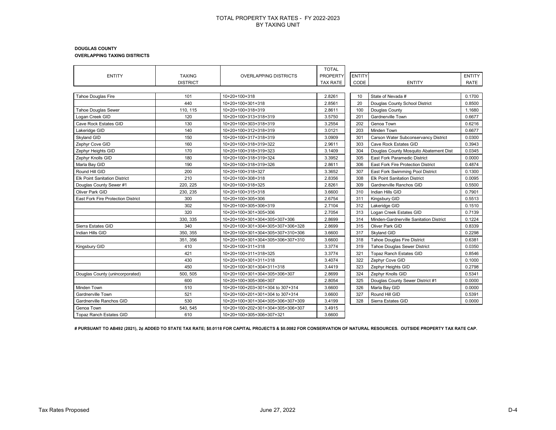#### **DOUGLAS COUNTY OVERLAPPING TAXING DISTRICTS**

|                                           |                 |                                   | <b>TOTAL</b>    |               |                                         |               |
|-------------------------------------------|-----------------|-----------------------------------|-----------------|---------------|-----------------------------------------|---------------|
| <b>ENTITY</b>                             | <b>TAXING</b>   | <b>OVERLAPPING DISTRICTS</b>      | <b>PROPERTY</b> | <b>ENTITY</b> |                                         | <b>ENTITY</b> |
|                                           | <b>DISTRICT</b> |                                   | TAX RATE        | CODE          | <b>ENTITY</b>                           | RATE          |
|                                           |                 |                                   |                 |               |                                         |               |
| Tahoe Douglas Fire                        | 101             | 10+20+100+318                     | 2.8261          | 10            | State of Nevada #                       | 0.1700        |
|                                           | 440             | 10+20+100+301+318                 | 2.8561          | 20            | Douglas County School District          | 0.8500        |
| Tahoe Douglas Sewer                       | 110, 115        | 10+20+100+318+319                 | 2.8611          | 100           | Douglas County                          | 1.1680        |
| Logan Creek GID                           | 120             | 10+20+100+313+318+319             | 3.5750          | 201           | Gardnerville Town                       | 0.6677        |
| Cave Rock Estates GID                     | 130             | 10+20+100+303+318+319             | 3.2554          | 202           | Genoa Town                              | 0.6216        |
| Lakeridge GID                             | 140             | 10+20+100+312+318+319             | 3.0121          | 203           | Minden Town                             | 0.6677        |
| Skyland GID                               | 150             | 10+20+100+317+318+319             | 3.0909          | 301           | Carson Water Subconservancy District    | 0.0300        |
| Zephyr Cove GID                           | 160             | 10+20+100+318+319+322             | 2.9611          | 303           | Cave Rock Estates GID                   | 0.3943        |
| Zephyr Heights GID                        | 170             | 10+20+100+318+319+323             | 3.1409          | 304           | Douglas County Mosquito Abatement Dist  | 0.0345        |
| Zephyr Knolls GID                         | 180             | 10+20+100+318+319+324             | 3.3952          | 305           | East Fork Paramedic District            | 0.0000        |
| Marla Bay GID                             | 190             | 10+20+100+318+319+326             | 2.8611          | 306           | East Fork Fire Protection District      | 0.4874        |
| Round Hill GID                            | 200             | 10+20+100+318+327                 | 3.3652          | 307           | East Fork Swimming Pool District        | 0.1300        |
| <b>Elk Point Sanitation District</b>      | 210             | 10+20+100+308+318                 | 2.8356          | 308           | <b>Elk Point Sanitation District</b>    | 0.0095        |
| Douglas County Sewer #1                   | 220.225         | 10+20+100+318+325                 | 2.8261          | 309           | Gardnerville Ranchos GID                | 0.5500        |
| Oliver Park GID                           | 230, 235        | 10+20+100+315+318                 | 3.6600          | 310           | Indian Hills GID                        | 0.7901        |
| <b>East Fork Fire Protection District</b> | 300             | 10+20+100+305+306                 | 2.6754          | 311           | Kingsbury GID                           | 0.5513        |
|                                           | 302             | 10+20+100+305+306+319             | 2.7104          | 312           | Lakeridge GID                           | 0.1510        |
|                                           | 320             | 10+20+100+301+305+306             | 2.7054          | 313           | Logan Creek Estates GID                 | 0.7139        |
|                                           | 330, 335        | 10+20+100+301+304+305+307+306     | 2.8699          | 314           | Minden-Gardnerville Sanitation District | 0.1224        |
| Sierra Estates GID                        | 340             | 10+20+100+301+304+305+307+306+328 | 2.8699          | 315           | Oliver Park GID                         | 0.8339        |
| Indian Hills GID                          | 350, 355        | 10+20+100+301+304+305+307+310+306 | 3.6600          | 317           | Skyland GID                             | 0.2298        |
|                                           | 351, 356        | 10+20+100+301+304+305+306+307+310 | 3.6600          | 318           | <b>Tahoe Douglas Fire District</b>      | 0.6381        |
| Kingsbury GID                             | 410             | 10+20+100+311+318                 | 3.3774          | 319           | <b>Tahoe Douglas Sewer District</b>     | 0.0350        |
|                                           | 421             | 10+20+100+311+318+325             | 3.3774          | 321           | <b>Topaz Ranch Estates GID</b>          | 0.8546        |
|                                           | 430             | 10+20+100+301+311+318             | 3.4074          | 322           | Zephyr Cove GID                         | 0.1000        |
|                                           | 450             | 10+20+100+301+304+311+318         | 3.4419          | 323           | Zephyr Heights GID                      | 0.2798        |
| Douglas County (unincorporated)           | 500, 505        | 10+20+100+301+304+305+306+307     | 2.8699          | 324           | Zephyr Knolls GID                       | 0.5341        |
|                                           | 600             | 10+20+100+305+306+307             | 2.8054          | 325           | Douglas County Sewer District #1        | 0.0000        |
| Minden Town                               | 510             | 10+20+100+203+301+304 to 307+314  | 3.6600          | 326           | Marla Bay GID                           | 0.0000        |
| Gardnerville Town                         | 521             | 10+20+100+201+301+304 to 307+314  | 3.6600          | 327           | Round Hill GID                          | 0.5391        |
| Gardnerville Ranchos GID                  | 530             | 10+20+100+301+304+305+306+307+309 | 3.4199          | 328           | Sierra Estates GID                      | 0.0000        |
| Genoa Town                                | 540, 545        | 10+20+100+202+301+304+305+306+307 | 3.4915          |               |                                         |               |
| <b>Topaz Ranch Estates GID</b>            | 610             | 10+20+100+305+306+307+321         | 3.6600          |               |                                         |               |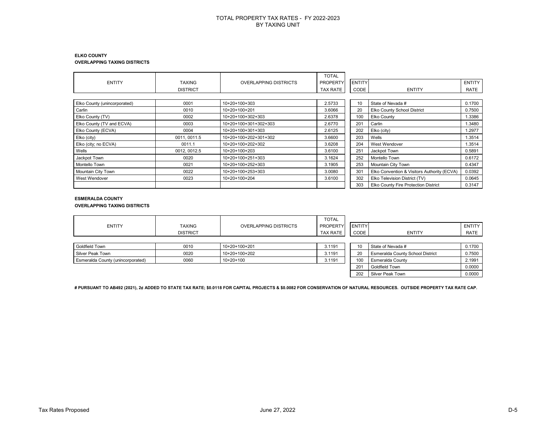#### **ELKO COUNTY OVERLAPPING TAXING DISTRICTS**

|                              |                 |                              | <b>TOTAL</b>    |               |                                             |               |
|------------------------------|-----------------|------------------------------|-----------------|---------------|---------------------------------------------|---------------|
| <b>ENTITY</b>                | <b>TAXING</b>   | <b>OVERLAPPING DISTRICTS</b> | <b>PROPERTY</b> | <b>ENTITY</b> |                                             | <b>ENTITY</b> |
|                              | <b>DISTRICT</b> |                              | <b>TAX RATE</b> | CODE          | <b>ENTITY</b>                               | RATE          |
|                              |                 |                              |                 |               |                                             |               |
| Elko County (unincorporated) | 0001            | 10+20+100+303                | 2.5733          | 10            | State of Nevada #                           | 0.1700        |
| Carlin                       | 0010            | 10+20+100+201                | 3.6066          | 20            | Elko County School District                 | 0.7500        |
| Elko County (TV)             | 0002            | 10+20+100+302+303            | 2.6378          | 100           | Elko County                                 | .3386         |
| Elko County (TV and ECVA)    | 0003            | 10+20+100+301+302+303        | 2.6770          | 201           | Carlin                                      | .3480         |
| Elko County (ECVA)           | 0004            | 10+20+100+301+303            | 2.6125          | 202           | Elko (city)                                 | 1.2977        |
| Elko (city)                  | 0011, 0011.5    | 10+20+100+202+301+302        | 3.6600          | 203           | Wells                                       | 1.3514        |
| Elko (city; no ECVA)         | 0011.1          | 10+20+100+202+302            | 3.6208          | 204           | West Wendover                               | 1.3514        |
| Wells                        | 0012, 0012.5    | 10+20+100+203                | 3.6100          | 251           | Jackpot Town                                | 0.5891        |
| Jackpot Town                 | 0020            | 10+20+100+251+303            | 3.1624          | 252           | Montello Town                               | 0.6172        |
| Montello Town                | 0021            | 10+20+100+252+303            | 3.1905          | 253           | Mountain City Town                          | 0.4347        |
| Mountain City Town           | 0022            | 10+20+100+253+303            | 3.0080          | 301           | Elko Convention & Visitors Authority (ECVA) | 0.0392        |
| West Wendover                | 0023            | 10+20+100+204                | 3.6100          | 302           | Elko Television District (TV)               | 0.0645        |
|                              |                 |                              |                 | 303           | Elko County Fire Protection District        | 0.3147        |

### **ESMERALDA COUNTY**

**OVERLAPPING TAXING DISTRICTS**

|                                   |                 |                              | <b>TOTAL</b>    |               |                                         |               |
|-----------------------------------|-----------------|------------------------------|-----------------|---------------|-----------------------------------------|---------------|
| <b>ENTITY</b>                     | <b>TAXING</b>   | <b>OVERLAPPING DISTRICTS</b> | PROPERTY        | <b>ENTITY</b> |                                         | <b>ENTITY</b> |
|                                   | <b>DISTRICT</b> |                              | <b>TAX RATE</b> | CODE          | <b>ENTITY</b>                           | RATE          |
|                                   |                 |                              |                 |               |                                         |               |
| Goldfield Town                    | 0010            | 10+20+100+201                | 3.1191          | 10            | State of Nevada #                       | 0.1700        |
| Silver Peak Town                  | 0020            | 10+20+100+202                | 3.1191          | 20            | <b>Esmeralda County School District</b> | 0.7500        |
| Esmeralda County (unincorporated) | 0060            | $10+20+100$                  | 3.1191          | 100           | <b>Esmeralda County</b>                 | 2.1991        |
|                                   |                 |                              |                 | 201           | Goldfield Town                          | 0.0000        |
|                                   |                 |                              |                 | 202           | Silver Peak Town                        | 0.0000        |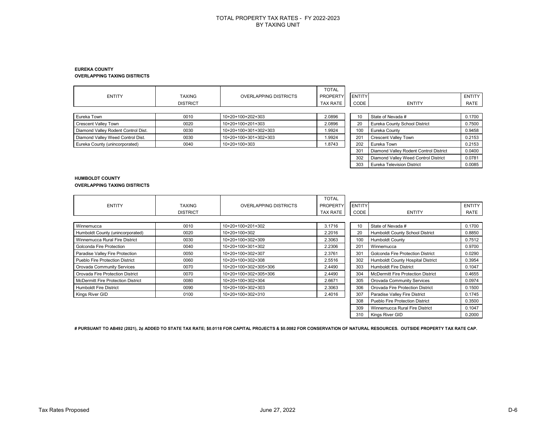#### **EUREKA COUNTY OVERLAPPING TAXING DISTRICTS**

| <b>ENTITY</b>                       | <b>TAXING</b><br><b>DISTRICT</b> | <b>OVERLAPPING DISTRICTS</b> | <b>TOTAL</b><br>PROPERTY<br>TAX RATE | <b>ENTITY</b><br>CODE | <b>ENTITY</b>                          | ENTITY<br>RATE |
|-------------------------------------|----------------------------------|------------------------------|--------------------------------------|-----------------------|----------------------------------------|----------------|
| Eureka Town                         | 0010                             | 10+20+100+202+303            | 2.0896                               | 10                    | State of Nevada #                      | 0.1700         |
| <b>Crescent Valley Town</b>         | 0020                             | 10+20+100+201+303            | 2.0896                               | 20                    | Eureka County School District          | 0.7500         |
| Diamond Valley Rodent Control Dist. | 0030                             | 10+20+100+301+302+303        | 1.9924                               | 100                   | Eureka County                          | 0.9458         |
| Diamond Valley Weed Control Dist.   | 0030                             | 10+20+100+301+302+303        | 1.9924                               | 201                   | <b>Crescent Valley Town</b>            | 0.2153         |
| Eureka County (unincorporated)      | 0040                             | 10+20+100+303                | 1.8743                               | 202                   | Eureka Town                            | 0.2153         |
|                                     |                                  |                              |                                      | 301                   | Diamond Valley Rodent Control District | 0.0400         |
|                                     |                                  |                              |                                      | 302                   | Diamond Valley Weed Control District   | 0.0781         |
|                                     |                                  |                              |                                      | 303                   | <b>Eureka Television District</b>      | 0.0085         |

#### **HUMBOLDT COUNTY OVERLAPPING TAXING DISTRICTS**

|                                           |                 |                              | <b>TOTAL</b>    |               |                                           |               |
|-------------------------------------------|-----------------|------------------------------|-----------------|---------------|-------------------------------------------|---------------|
| <b>ENTITY</b>                             | <b>TAXING</b>   | <b>OVERLAPPING DISTRICTS</b> | <b>PROPERTY</b> | <b>ENTITY</b> |                                           | <b>ENTITY</b> |
|                                           | <b>DISTRICT</b> |                              | TAX RATE        | CODE          | <b>ENTITY</b>                             | RATE          |
|                                           |                 |                              |                 |               |                                           |               |
| Winnemucca                                | 0010            | 10+20+100+201+302            | 3.1716          | 10            | State of Nevada #                         | 0.1700        |
| Humboldt County (unincorporated)          | 0020            | 10+20+100+302                | 2.2016          | 20            | Humboldt County School District           | 0.8850        |
| Winnemucca Rural Fire District            | 0030            | 10+20+100+302+309            | 2.3063          | 100           | <b>Humboldt County</b>                    | 0.7512        |
| Golconda Fire Protection                  | 0040            | 10+20+100+301+302            | 2.2306          | 201           | Winnemucca                                | 0.9700        |
| Paradise Valley Fire Protection           | 0050            | 10+20+100+302+307            | 2.3761          | 301           | Golconda Fire Protection District         | 0.0290        |
| Pueblo Fire Protection District           | 0060            | 10+20+100+302+308            | 2.5516          | 302           | Humboldt County Hospital District         | 0.3954        |
| Orovada Community Services                | 0070            | 10+20+100+302+305+306        | 2.4490          | 303           | <b>Humboldt Fire District</b>             | 0.1047        |
| Orovada Fire Protection District          | 0070            | 10+20+100+302+305+306        | 2.4490          | 304           | <b>McDermitt Fire Protection District</b> | 0.4655        |
| <b>McDermitt Fire Protection District</b> | 0080            | 10+20+100+302+304            | 2.6671          | 305           | Orovada Community Services                | 0.0974        |
| <b>Humboldt Fire District</b>             | 0090            | 10+20+100+302+303            | 2.3063          | 306           | Orovada Fire Protection District          | 0.1500        |
| Kings River GID                           | 0100            | 10+20+100+302+310            | 2.4016          | 307           | Paradise Valley Fire District             | 0.1745        |
|                                           |                 |                              |                 | 308           | <b>Pueblo Fire Protection District</b>    | 0.3500        |
|                                           |                 |                              |                 | 309           | Winnemucca Rural Fire District            | 0.1047        |
|                                           |                 |                              |                 | 310           | Kings River GID                           | 0.2000        |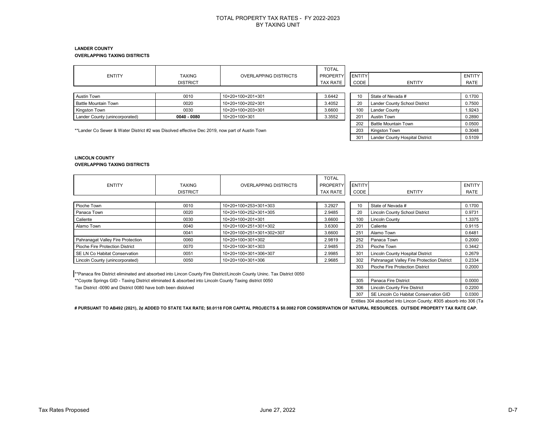#### **LANDER COUNTY OVERLAPPING TAXING DISTRICTS**

|                                                                                                |                 |                              | <b>TOTAL</b>    |        |                                 |        |
|------------------------------------------------------------------------------------------------|-----------------|------------------------------|-----------------|--------|---------------------------------|--------|
| ENTITY                                                                                         | <b>TAXING</b>   | <b>OVERLAPPING DISTRICTS</b> | <b>PROPERTY</b> | ENTITY |                                 | ENTITY |
|                                                                                                | <b>DISTRICT</b> |                              | <b>TAX RATE</b> | CODE   | <b>ENTITY</b>                   | RATE   |
|                                                                                                |                 |                              |                 |        |                                 |        |
| Austin Town                                                                                    | 0010            | 10+20+100+201+301            | 3.6442          | 10     | State of Nevada #               | 0.1700 |
| <b>Battle Mountain Town</b>                                                                    | 0020            | 10+20+100+202+301            | 3.4052          | 20     | Lander County School District   | 0.7500 |
| Kingston Town                                                                                  | 0030            | 10+20+100+203+301            | 3.6600          | 100    | Lander County                   | 1.9243 |
| Lander County (unincorporated)                                                                 | 0040 - 0080     | 10+20+100+301                | 3.3552          | 201    | Austin Town                     | 0.2890 |
|                                                                                                |                 |                              |                 | 202    | <b>Battle Mountain Town</b>     | 0.0500 |
| **Lander Co Sewer & Water District #2 was Disolved effective Dec 2019, now part of Austin Town |                 |                              |                 | 203    | Kingston Town                   | 0.3048 |
|                                                                                                |                 |                              |                 | 301    | Lander County Hospital District | 0.5109 |

#### **LINCOLN COUNTY OVERLAPPING TAXING DISTRICTS**

|                                                                                                        |                 |                                                                                                                         | <b>TOTAL</b>    |               |                                            |               |
|--------------------------------------------------------------------------------------------------------|-----------------|-------------------------------------------------------------------------------------------------------------------------|-----------------|---------------|--------------------------------------------|---------------|
| <b>ENTITY</b>                                                                                          | TAXING          | <b>OVERLAPPING DISTRICTS</b>                                                                                            | <b>PROPERTY</b> | <b>ENTITY</b> |                                            | <b>ENTITY</b> |
|                                                                                                        | <b>DISTRICT</b> |                                                                                                                         | TAX RATE        | CODE          | <b>ENTITY</b>                              | RATE          |
|                                                                                                        |                 |                                                                                                                         |                 |               |                                            |               |
| Pioche Town                                                                                            | 0010            | 10+20+100+253+301+303                                                                                                   | 3.2927          | 10            | State of Nevada #                          | 0.1700        |
| Panaca Town                                                                                            | 0020            | 10+20+100+252+301+305                                                                                                   | 2.9485          | 20            | <b>Lincoln County School District</b>      | 0.9731        |
| Caliente                                                                                               | 0030            | 10+20+100+201+301                                                                                                       | 3.6600          | 100           | <b>Lincoln County</b>                      | 1.3375        |
| Alamo Town                                                                                             | 0040            | 10+20+100+251+301+302                                                                                                   | 3.6300          | 201           | Caliente                                   | 0.9115        |
|                                                                                                        | 0041            | 10+20+100+251+301+302+307                                                                                               | 3.6600          | 251           | Alamo Town                                 | 0.6481        |
| Pahranagat Valley Fire Protection                                                                      | 0060            | 10+20+100+301+302                                                                                                       | 2.9819          | 252           | Panaca Town                                | 0.2000        |
| Pioche Fire Protection District                                                                        | 0070            | 10+20+100+301+303                                                                                                       | 2.9485          | 253           | Pioche Town                                | 0.3442        |
| SE LN Co Habitat Conservation                                                                          | 0051            | 10+20+100+301+306+307                                                                                                   | 2.9985          | 301           | <b>Lincoln County Hospital District</b>    | 0.2679        |
| Lincoln County (unincorporated)                                                                        | 0050            | 10+20+100+301+306                                                                                                       | 2.9685          | 302           | Pahranagat Valley Fire Protection District | 0.2334        |
|                                                                                                        |                 |                                                                                                                         |                 | 303           | Pioche Fire Protection District            | 0.2000        |
|                                                                                                        |                 | **Panaca fire District eliminated and absorbed into Lincon County Fire District/Lincoln County Uninc. Tax District 0050 |                 |               |                                            |               |
| ** Coyote Springs GID - Taxing District eliminated & absorbed into Lincoln County Taxing district 0050 |                 |                                                                                                                         |                 | 305           | Panaca Fire District                       | 0.0000        |

Tax District -0090 and District 0080 have both been dislolved 3.2200

307 SE Lincoln Co Habitat Conservation GID 0.0300 Entities 304 absorbed into Lincon County; #305 absorb into 306 (Ta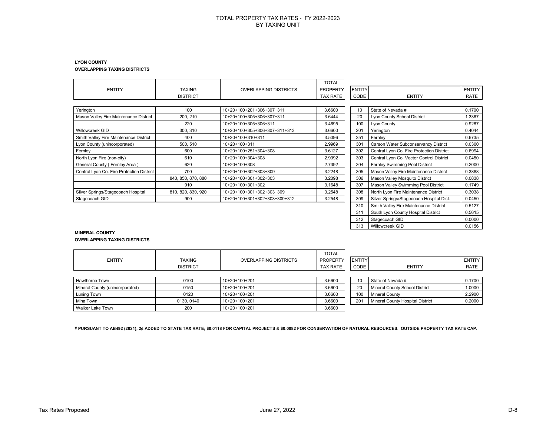#### **LYON COUNTY OVERLAPPING TAXING DISTRICTS**

|                                           |                    |                               | <b>TOTAL</b>    |               |                                           |               |
|-------------------------------------------|--------------------|-------------------------------|-----------------|---------------|-------------------------------------------|---------------|
| <b>ENTITY</b>                             | <b>TAXING</b>      | <b>OVERLAPPING DISTRICTS</b>  | <b>PROPERTY</b> | <b>ENTITY</b> |                                           | <b>ENTITY</b> |
|                                           | <b>DISTRICT</b>    |                               | <b>TAX RATE</b> | CODE          | <b>ENTITY</b>                             | RATE          |
|                                           |                    |                               |                 |               |                                           |               |
| Yerington                                 | 100                | 10+20+100+201+306+307+311     | 3.6600          | 10            | State of Nevada #                         | 0.1700        |
| Mason Valley Fire Maintenance District    | 200, 210           | 10+20+100+305+306+307+311     | 3.6444          | 20            | Lyon County School District               | 1.3367        |
|                                           | 220                | 10+20+100+305+306+311         | 3.4695          | 100           | Lyon County                               | 0.9287        |
| Willowcreek GID                           | 300, 310           | 10+20+100+305+306+307+311+313 | 3.6600          | 201           | Yerington                                 | 0.4044        |
| Smith Valley Fire Maintenance District    | 400                | 10+20+100+310+311             | 3.5096          | 251           | Fernley                                   | 0.6735        |
| Lyon County (unincorporated)              | 500, 510           | 10+20+100+311                 | 2.9969          | 301           | Carson Water Subconservancy District      | 0.0300        |
| Fernley                                   | 600                | 10+20+100+251+304+308         | 3.6127          | 302           | Central Lyon Co. Fire Protection District | 0.6994        |
| North Lyon Fire (non-city)                | 610                | 10+20+100+304+308             | 2.9392          | 303           | Central Lyon Co. Vector Control District  | 0.0450        |
| General County (Fernley Area)             | 620                | $10+20+100+308$               | 2.7392          | 304           | Fernley Swimming Pool District            | 0.2000        |
| Central Lyon Co. Fire Protection District | 700                | 10+20+100+302+303+309         | 3.2248          | 305           | Mason Valley Fire Maintenance District    | 0.3888        |
|                                           | 840, 850, 870, 880 | 10+20+100+301+302+303         | 3.2098          | 306           | Mason Valley Mosquito District            | 0.0838        |
|                                           | 910                | 10+20+100+301+302             | 3.1648          | 307           | Mason Valley Swimming Pool District       | 0.1749        |
| Silver Springs/Stagecoach Hospital        | 810, 820, 830, 920 | 10+20+100+301+302+303+309     | 3.2548          | 308           | North Lyon Fire Maintenance District      | 0.3038        |
| Stagecoach GID                            | 900                | 10+20+100+301+302+303+309+312 | 3.2548          | 309           | Silver Springs/Stagecoach Hospital Dist.  | 0.0450        |
|                                           |                    |                               |                 | 310           | Smith Valley Fire Maintenance District    | 0.5127        |
|                                           |                    |                               |                 | 311           | South Lyon County Hospital District       | 0.5615        |
|                                           |                    |                               |                 | 312           | Stagecoach GID                            | 0.0000        |
|                                           |                    |                               |                 | 313           | Willowcreek GID                           | 0.0156        |

#### **MINERAL COUNTY OVERLAPPING TAXING DISTRICTS**

| <b>ENTITY</b>                   | <b>TAXING</b>   | <b>OVERLAPPING DISTRICTS</b> | <b>TOTAL</b><br>PROPERTY | <b>ENTITY</b> |                                  | <b>ENTITY</b> |
|---------------------------------|-----------------|------------------------------|--------------------------|---------------|----------------------------------|---------------|
|                                 | <b>DISTRICT</b> |                              | <b>TAX RATE</b>          | CODE          | <b>ENTITY</b>                    | RATE          |
|                                 |                 |                              |                          |               |                                  |               |
| Hawthorne Town                  | 0100            | 10+20+100+201                | 3.6600                   | 10            | State of Nevada #                | 0.1700        |
| Mineral County (unincorporated) | 0150            | 10+20+100+201                | 3.6600                   | 20            | Mineral County School District   | 1.0000        |
| Luning Town                     | 0120            | 10+20+100+201                | 3.6600                   | 100           | <b>Mineral County</b>            | 2.2900        |
| Mina Town                       | 0130, 0140      | 10+20+100+201                | 3.6600                   | 201           | Mineral County Hospital District | 0.2000        |
| Walker Lake Town                | 200             | 10+20+100+201                | 3.6600                   |               |                                  |               |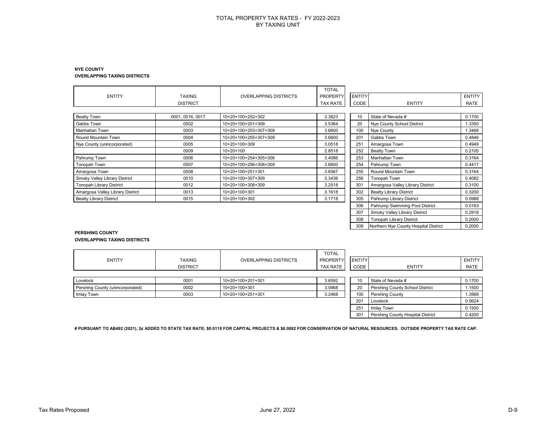#### **NYE COUNTY OVERLAPPING TAXING DISTRICTS**

|                                  |                  |                              | <b>TOTAL</b>    |               |                                  |               |
|----------------------------------|------------------|------------------------------|-----------------|---------------|----------------------------------|---------------|
| <b>ENTITY</b>                    | <b>TAXING</b>    | <b>OVERLAPPING DISTRICTS</b> | <b>PROPERTY</b> | <b>ENTITY</b> |                                  | <b>ENTITY</b> |
|                                  | <b>DISTRICT</b>  |                              | TAX RATE        | CODE          | <b>ENTITY</b>                    | RATE          |
|                                  |                  |                              |                 |               |                                  |               |
| Beatty Town                      | 0001, 0016, 0017 | 10+20+100+252+302            | 3.3823          | 10            | State of Nevada #                | 0.1700        |
| Gabbs Town                       | 0002             | 10+20+100+201+309            | 3.5364          | 20            | Nye County School District       | 1.3350        |
| Manhattan Town                   | 0003             | 10+20+100+253+307+309        | 3.6600          | 100           | Nye County                       | 1.3468        |
| Round Mountain Town              | 0004             | 10+20+100+255+307+309        | 3.6600          | 201           | Gabbs Town                       | 0.4846        |
| Nye County (unincorporated)      | 0005             | $10+20+100+309$              | 3.0518          | 251           | Amargosa Town                    | 0.4949        |
|                                  | 0009             | $10+20+100$                  | 2.8518          | 252           | <b>Beatty Town</b>               | 0.2105        |
| Pahrump Town                     | 0006             | 10+20+100+254+305+306        | 3.4086          | 253           | Manhattan Town                   | 0.3164        |
| Tonopah Town                     | 0007             | 10+20+100+256+308+309        | 3.6600          | 254           | Pahrump Town                     | 0.4417        |
| Amargosa Town                    | 0008             | 10+20+100+251+301            | 3.6567          | 255           | Round Mountain Town              | 0.3164        |
| Smoky Valley Library District    | 0010             | 10+20+100+307+309            | 3.3436          | 256           | Tonopah Town                     | 0.4082        |
| <b>Tonopah Library District</b>  | 0012             | 10+20+100+308+309            | 3.2518          | 301           | Amargosa Valley Library District | 0.3100        |
| Amargosa Valley Library District | 0013             | 10+20+100+301                | 3.1618          | 302           | <b>Beatty Library District</b>   | 0.3200        |
| <b>Beatty Library District</b>   | 0015             | 10+20+100+302                | 3.1718          | 305           | Pahrump Library District         | 0.0988        |
|                                  |                  |                              |                 | 306           | Pahrump Swimming Pool District   | 0.0163        |
|                                  |                  |                              |                 | 307           | Smoky Valley Library District    | 0.2918        |

#### **PERSHING COUNTY OVERLAPPING TAXING DISTRICTS**

| <b>ENTITY</b>                    | <b>TAXING</b><br><b>DISTRICT</b> | <b>OVERLAPPING DISTRICTS</b> | <b>TOTAL</b><br><b>PROPERTY</b><br><b>TAX RATE</b> | <b>ENTITY</b><br>CODE | <b>ENTITY</b>                     | ENTITY<br><b>RATE</b> |
|----------------------------------|----------------------------------|------------------------------|----------------------------------------------------|-----------------------|-----------------------------------|-----------------------|
| Lovelock                         | 0001                             | 10+20+100+201+301            | 3.6592                                             | 10                    | State of Nevada #                 | 0.1700                |
| Pershing County (unincorporated) | 0002                             | 10+20+100+301                | 3.0968                                             | 20                    | Pershing County School District   | 1.1500                |
| Imlay Town                       | 0003                             | 10+20+100+251+301            | 3.2468                                             | 100                   | Pershing County                   | 1.3568                |
|                                  |                                  |                              |                                                    | 201                   | Lovelock                          | 0.5624                |
|                                  |                                  |                              |                                                    | 251                   | Imlay Town                        | 0.1500                |
|                                  |                                  |                              |                                                    | 301                   | Pershing County Hospital District | 0.4200                |

**# PURSUANT TO AB492 (2021), 2¢ ADDED TO STATE TAX RATE; \$0.0118 FOR CAPITAL PROJECTS & \$0.0082 FOR CONSERVATION OF NATURAL RESOURCES. OUTSIDE PROPERTY TAX RATE CAP.**

308 Tonopah Library District 0.2000 309 Northern Nye County Hospital District 0.2000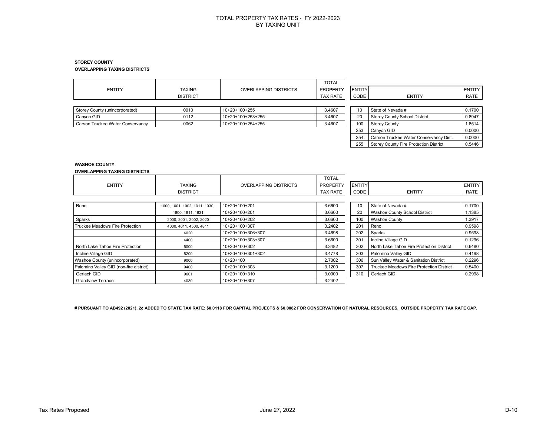#### **STOREY COUNTY OVERLAPPING TAXING DISTRICTS**

| <b>ENTITY</b>                    | <b>TAXING</b><br><b>DISTRICT</b> | <b>OVERLAPPING DISTRICTS</b> | <b>TOTAL</b><br><b>PROPERTY</b><br>TAX RATE | <b>ENTITY</b><br>CODE | <b>ENTITY</b>                          | <b>ENTITY</b><br>RATE |
|----------------------------------|----------------------------------|------------------------------|---------------------------------------------|-----------------------|----------------------------------------|-----------------------|
| Storey County (unincorporated)   | 0010                             | 10+20+100+255                | 3.4607                                      | 10                    | State of Nevada #                      | 0.1700                |
| Canyon GID                       | 0112                             | 10+20+100+253+255            | 3.4607                                      | 20                    | <b>Storey County School District</b>   | 0.8947                |
| Carson Truckee Water Conservancy | 0062                             | 10+20+100+254+255            | 3.4607                                      | 100                   | <b>Storey County</b>                   | 1.8514                |
|                                  |                                  |                              |                                             | 253                   | Canyon GID                             | 0.0000                |
|                                  |                                  |                              |                                             | 254                   | Carson Truckee Water Conservancy Dist. | 0.0000                |
|                                  |                                  |                              |                                             | 255                   | Storey County Fire Protection District | 0.5446                |

### **WASHOE COUNTY**

#### **OVERLAPPING TAXING DISTRICTS**

|                                         |                               |                              | <b>TOTAL</b>    |               |                                           |               |
|-----------------------------------------|-------------------------------|------------------------------|-----------------|---------------|-------------------------------------------|---------------|
| <b>ENTITY</b>                           | <b>TAXING</b>                 | <b>OVERLAPPING DISTRICTS</b> | <b>PROPERTY</b> | <b>ENTITY</b> |                                           | <b>ENTITY</b> |
|                                         | <b>DISTRICT</b>               |                              | <b>TAX RATE</b> | CODE          | <b>ENTITY</b>                             | RATE          |
|                                         |                               |                              |                 |               |                                           |               |
| Reno                                    | 1000, 1001, 1002, 1011, 1030, | 10+20+100+201                | 3.6600          | 10            | State of Nevada #                         | 0.1700        |
|                                         | 1800, 1811, 1831              | 10+20+100+201                | 3.6600          | 20            | <b>Washoe County School District</b>      | 1.1385        |
| Sparks                                  | 2000, 2001, 2002, 2020        | 10+20+100+202                | 3.6600          | 100           | <b>Washoe County</b>                      | .3917         |
| Truckee Meadows Fire Protection         | 4000, 4011, 4500, 4811        | 10+20+100+307                | 3.2402          | 201           | Reno                                      | 0.9598        |
|                                         | 4020                          | 10+20+100+306+307            | 3.4698          | 202           | Sparks                                    | 0.9598        |
|                                         | 4400                          | 10+20+100+303+307            | 3.6600          | 301           | Incline Village GID                       | 0.1296        |
| North Lake Tahoe Fire Protection        | 5000                          | 10+20+100+302                | 3.3482          | 302           | North Lake Tahoe Fire Protection District | 0.6480        |
| Incline Village GID                     | 5200                          | 10+20+100+301+302            | 3.4778          | 303           | Palomino Valley GID                       | 0.4198        |
| Washoe County (unincorporated)          | 9000                          | $10+20+100$                  | 2.7002          | 306           | Sun Valley Water & Sanitation District    | 0.2296        |
| Palomino Valley GID (non-fire district) | 9400                          | 10+20+100+303                | 3.1200          | 307           | Truckee Meadows Fire Protection District  | 0.5400        |
| Gerlach GID                             | 9601                          | 10+20+100+310                | 3.0000          | 310           | Gerlach GID                               | 0.2998        |
| <b>Grandview Terrace</b>                | 4030                          | 10+20+100+307                | 3.2402          |               |                                           |               |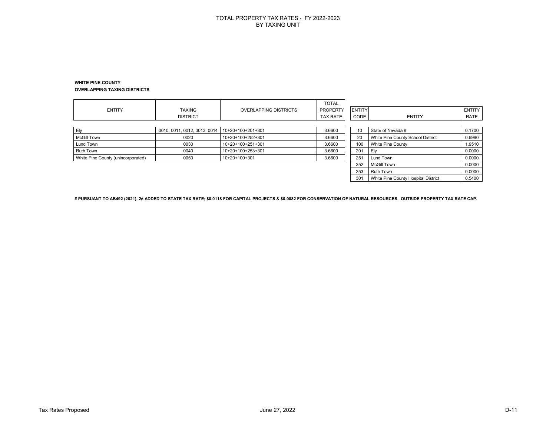#### **WHITE PINE COUNTY OVERLAPPING TAXING DISTRICTS**

| <b>ENTITY</b>                      | <b>TAXING</b><br><b>DISTRICT</b> | <b>OVERLAPPING DISTRICTS</b> | <b>TOTAL</b><br><b>PROPERTY</b><br>TAX RATE | <b>ENTITY</b><br>CODE | <b>ENTITY</b>                       | ENTITY<br>RATE |
|------------------------------------|----------------------------------|------------------------------|---------------------------------------------|-----------------------|-------------------------------------|----------------|
| Ely                                | 0010, 0011, 0012, 0013, 0014     | 10+20+100+201+301            | 3.6600                                      | 10                    | State of Nevada #                   | 0.1700         |
| <b>McGill Town</b>                 | 0020                             | 10+20+100+252+301            | 3.6600                                      | 20                    | White Pine County School District   | 0.9990         |
| Lund Town                          | 0030                             | 10+20+100+251+301            | 3.6600                                      | 100                   | White Pine County                   | 1.9510         |
| Ruth Town                          | 0040                             | 10+20+100+253+301            | 3.6600                                      | 201                   | Ely                                 | 0.0000         |
| White Pine County (unincorporated) | 0050                             | $10+20+100+301$              | 3.6600                                      | 251                   | Lund Town                           | 0.0000         |
|                                    |                                  |                              |                                             | 252                   | <b>McGill Town</b>                  | 0.0000         |
|                                    |                                  |                              |                                             | 253                   | <b>Ruth Town</b>                    | 0.0000         |
|                                    |                                  |                              |                                             | 301                   | White Pine County Hospital District | 0.5400         |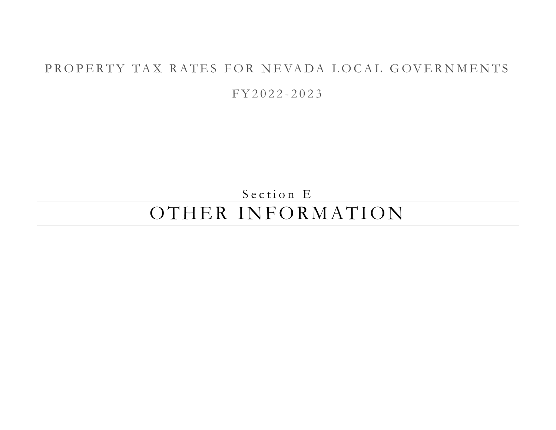# PROPERTY TAX RATES FOR NEVADA LOCAL GOVERNMENTS

F Y 2 0 2 2 - 2 0 2 3

Section E OTHER INFORMATION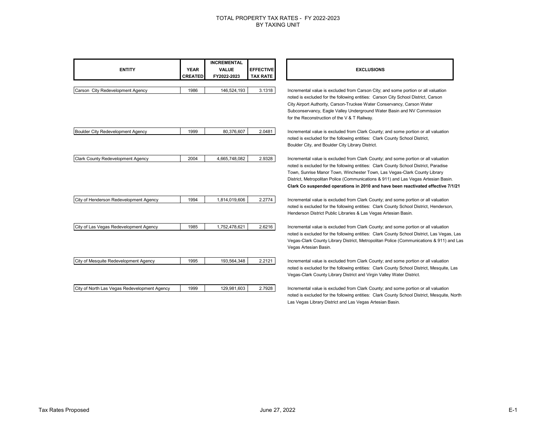| <b>ENTITY</b>                                | <b>YEAR</b><br><b>CREATED</b> | <b>INCREMENTAL</b><br><b>VALUE</b><br>FY2022-2023 | <b>EFFECTIVE</b><br><b>TAX RATE</b> | <b>EXCLUSIONS</b>                                                                                                                                                                                                                                                                                                                                                                                                                 |
|----------------------------------------------|-------------------------------|---------------------------------------------------|-------------------------------------|-----------------------------------------------------------------------------------------------------------------------------------------------------------------------------------------------------------------------------------------------------------------------------------------------------------------------------------------------------------------------------------------------------------------------------------|
| Carson City Redevelopment Agency             | 1986                          | 146,524,193                                       | 3.1318                              | Incremental value is excluded from Carson City; and some portion or all valuation<br>noted is excluded for the following entities: Carson City School District, Carson<br>City Airport Authority, Carson-Truckee Water Conservancy, Carson Water<br>Subconservancy, Eagle Valley Underground Water Basin and NV Commission<br>for the Reconstruction of the V & T Railway.                                                        |
| Boulder City Redevelopment Agency            | 1999                          | 80,376,607                                        | 2.0481                              | Incremental value is excluded from Clark County; and some portion or all valuation<br>noted is excluded for the following entities: Clark County School District,<br>Boulder City, and Boulder City Library District.                                                                                                                                                                                                             |
| Clark County Redevelopment Agency            | 2004                          | 4,665,748,082                                     | 2.9328                              | Incremental value is excluded from Clark County; and some portion or all valuation<br>noted is excluded for the following entities: Clark County School District, Paradise<br>Town, Sunrise Manor Town, Winchester Town, Las Vegas-Clark County Library<br>District, Metropolitan Police (Communications & 911) and Las Vegas Artesian Basin.<br>Clark Co suspended operations in 2010 and have been reactivated effective 7/1/21 |
| City of Henderson Redevelopment Agency       | 1994                          | 1,814,019,606                                     | 2.2774                              | Incremental value is excluded from Clark County; and some portion or all valuation<br>noted is excluded for the following entities: Clark County School District, Henderson,<br>Henderson District Public Libraries & Las Vegas Artesian Basin.                                                                                                                                                                                   |
| City of Las Vegas Redevelopment Agency       | 1985                          | 1,752,478,621                                     | 2.6216                              | Incremental value is excluded from Clark County; and some portion or all valuation<br>noted is excluded for the following entities: Clark County School District, Las Vegas, Las<br>Vegas-Clark County Library District, Metropolitan Police (Communications & 911) and Las<br>Vegas Artesian Basin.                                                                                                                              |
| City of Mesquite Redevelopment Agency        | 1995                          | 193,564,348                                       | 2.2121                              | Incremental value is excluded from Clark County; and some portion or all valuation<br>noted is excluded for the following entities: Clark County School District, Mesquite, Las<br>Vegas-Clark County Library District and Virgin Valley Water District.                                                                                                                                                                          |
| City of North Las Vegas Redevelopment Agency | 1999                          | 129,981,603                                       | 2.7928                              | Incremental value is excluded from Clark County; and some portion or all valuation<br>noted is excluded for the following entities: Clark County School District, Mesquite, North                                                                                                                                                                                                                                                 |

Las Vegas Library District and Las Vegas Artesian Basin.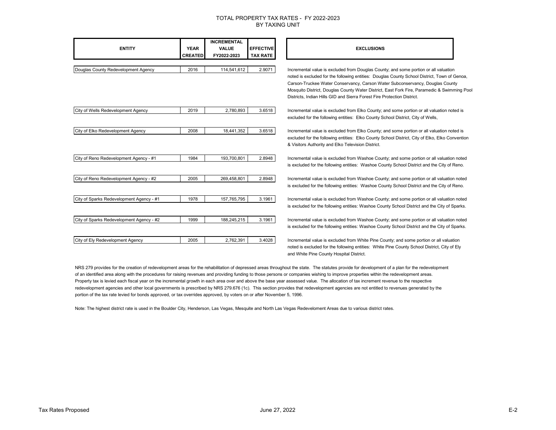| <b>ENTITY</b>                            | <b>YEAR</b><br><b>CREATED</b> | <b>INCREMENTAL</b><br><b>VALUE</b><br>FY2022-2023 | <b>EFFECTIVE</b><br><b>TAX RATE</b> | <b>EXCLUSIONS</b>                                                                                                                                                           |  |
|------------------------------------------|-------------------------------|---------------------------------------------------|-------------------------------------|-----------------------------------------------------------------------------------------------------------------------------------------------------------------------------|--|
|                                          |                               |                                                   |                                     |                                                                                                                                                                             |  |
| Douglas County Redevelopment Agency      | 2016                          | 114,541,612                                       | 2.9071                              | Incremental value is excluded from Douglas County; and some portion or all valuation                                                                                        |  |
|                                          |                               |                                                   |                                     | noted is excluded for the following entities: Douglas County School District, Town of Genoa,                                                                                |  |
|                                          |                               |                                                   |                                     | Carson-Truckee Water Conservancy, Carson Water Subconservancy, Douglas County<br>Mosquito District, Douglas County Water District, East Fork Fire, Paramedic & Swimming Poo |  |
|                                          |                               |                                                   |                                     | Districts, Indian Hills GID and Sierra Forest Fire Protection District.                                                                                                     |  |
| City of Wells Redevelopment Agency       | 2019                          | 2,780,893                                         | 3.6518                              | Incremental value is excluded from Elko County; and some portion or all valuation noted is                                                                                  |  |
|                                          |                               |                                                   |                                     | excluded for the following entities: Elko County School District, City of Wells,                                                                                            |  |
| City of Elko Redevelopment Agency        | 2008                          | 18,441,352                                        | 3.6518                              | Incremental value is excluded from Elko County; and some portion or all valuation noted is                                                                                  |  |
|                                          |                               |                                                   |                                     | excluded for the following entities: Elko County School District, City of Elko, Elko Convention<br>& Visitors Authority and Elko Television District.                       |  |
| City of Reno Redevelopment Agency - #1   | 1984                          | 193,700,801                                       | 2.8948                              | Incremental value is excluded from Washoe County; and some portion or all valuation noted                                                                                   |  |
|                                          |                               |                                                   |                                     | is excluded for the following entities: Washoe County School District and the City of Reno.                                                                                 |  |
| City of Reno Redevelopment Agency - #2   | 2005                          | 269,458,801                                       | 2.8948                              | Incremental value is excluded from Washoe County; and some portion or all valuation noted                                                                                   |  |
|                                          |                               |                                                   |                                     | is excluded for the following entities: Washoe County School District and the City of Reno.                                                                                 |  |
| City of Sparks Redevelopment Agency - #1 | 1978                          | 157,765,795                                       | 3.1961                              | Incremental value is excluded from Washoe County; and some portion or all valuation noted                                                                                   |  |
|                                          |                               |                                                   |                                     | is excluded for the following entities: Washoe County School District and the City of Sparks.                                                                               |  |
| City of Sparks Redevelopment Agency - #2 | 1999                          | 188,245,215                                       | 3.1961                              | Incremental value is excluded from Washoe County; and some portion or all valuation noted                                                                                   |  |
|                                          |                               |                                                   |                                     | is excluded for the following entities: Washoe County School District and the City of Sparks.                                                                               |  |
| City of Ely Redevelopment Agency         | 2005                          | 2,762,391                                         | 3.4028                              | Incremental value is excluded from White Pine County; and some portion or all valuation                                                                                     |  |
|                                          |                               |                                                   |                                     | noted is excluded for the following entities: White Pine County School District, City of Ely                                                                                |  |

NRS 279 provides for the creation of redevelopment areas for the rehabilitation of depressed areas throughout the state. The statutes provide for development of a plan for the redevelopment of an identified area along with the procedures for raising revenues and providing funding to those persons or companies wishing to improve properties within the redevelopment areas. Property tax is levied each fiscal year on the incremental growth in each area over and above the base year assessed value. The allocation of tax increment revenue to the respective redevelopment agencies and other local governments is prescribed by NRS 279.676 (1c). This section provides that redevelopment agencies are not entitled to revenues generated by the portion of the tax rate levied for bonds approved, or tax overrides approved, by voters on or after November 5, 1996.

and White Pine County Hospital District.

Note: The highest district rate is used in the Boulder City, Henderson, Las Vegas, Mesquite and North Las Vegas Redeveloment Areas due to various district rates.